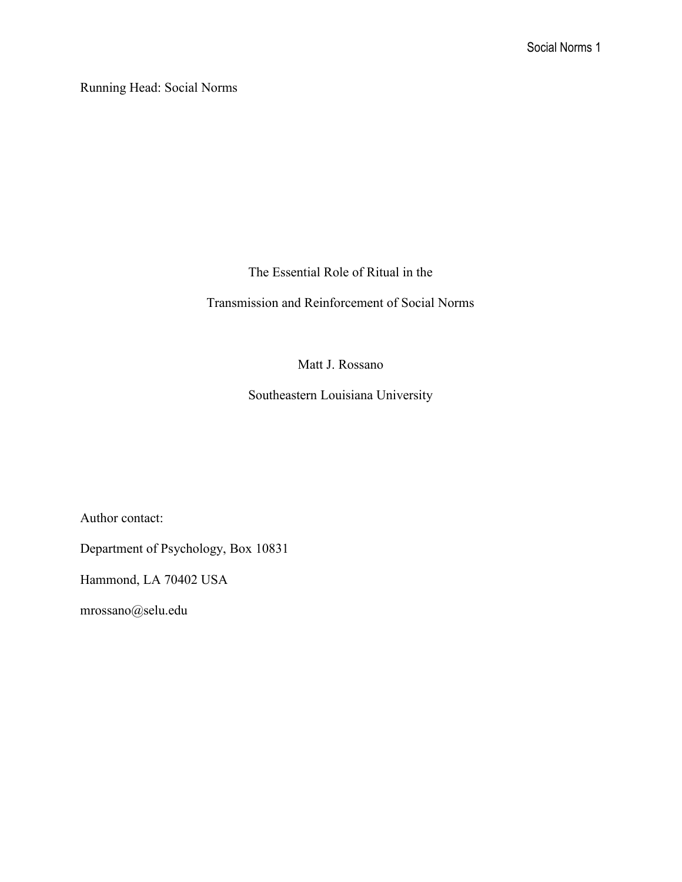Running Head: Social Norms

# The Essential Role of Ritual in the

Transmission and Reinforcement of Social Norms

# Matt J. Rossano

Southeastern Louisiana University

Author contact:

Department of Psychology, Box 10831

Hammond, LA 70402 USA

mrossano@selu.edu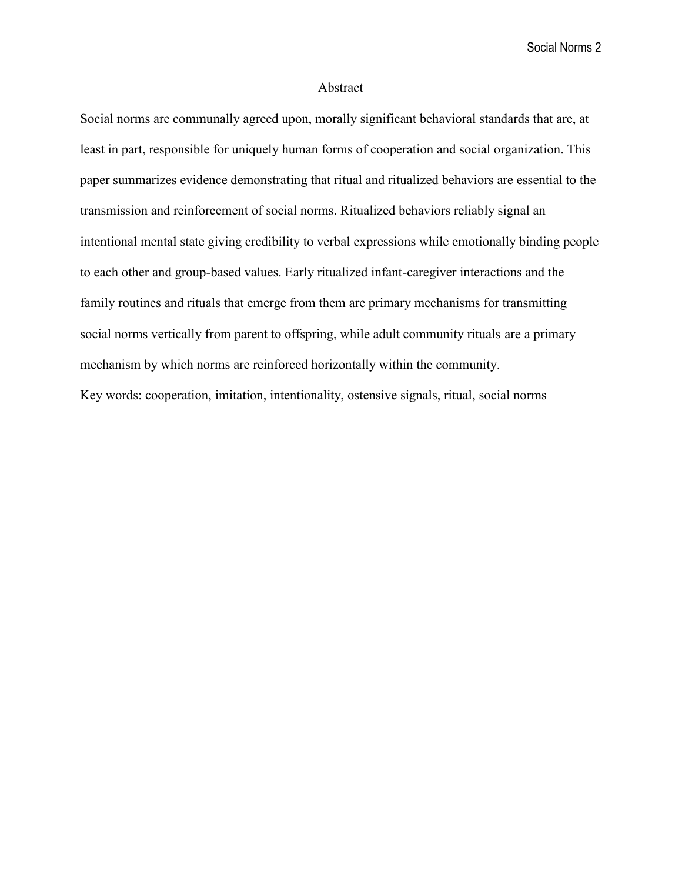## Abstract

Social norms are communally agreed upon, morally significant behavioral standards that are, at least in part, responsible for uniquely human forms of cooperation and social organization. This paper summarizes evidence demonstrating that ritual and ritualized behaviors are essential to the transmission and reinforcement of social norms. Ritualized behaviors reliably signal an intentional mental state giving credibility to verbal expressions while emotionally binding people to each other and group-based values. Early ritualized infant-caregiver interactions and the family routines and rituals that emerge from them are primary mechanisms for transmitting social norms vertically from parent to offspring, while adult community rituals are a primary mechanism by which norms are reinforced horizontally within the community. Key words: cooperation, imitation, intentionality, ostensive signals, ritual, social norms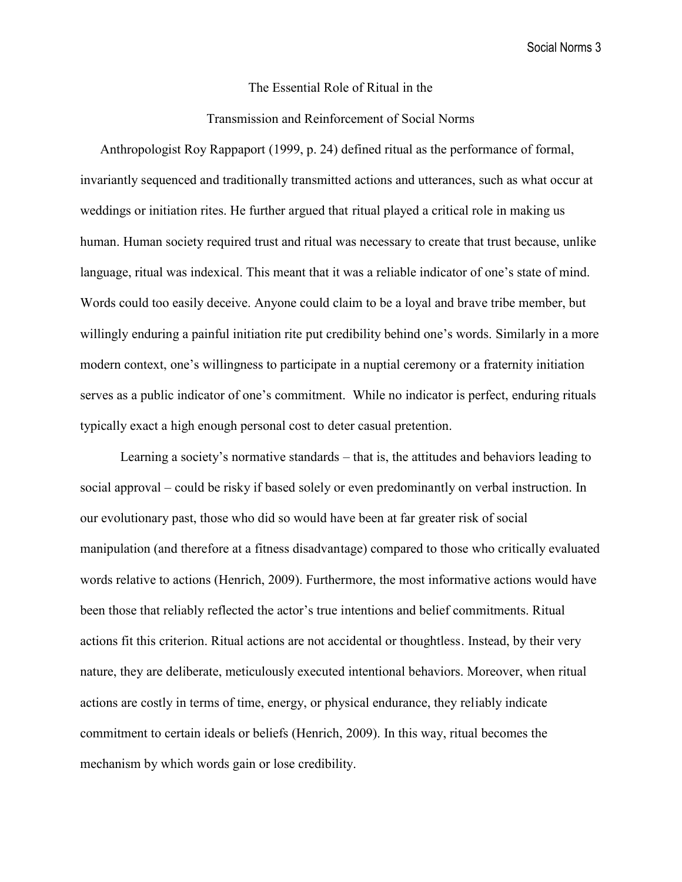#### The Essential Role of Ritual in the

# Transmission and Reinforcement of Social Norms

Anthropologist Roy Rappaport (1999, p. 24) defined ritual as the performance of formal, invariantly sequenced and traditionally transmitted actions and utterances, such as what occur at weddings or initiation rites. He further argued that ritual played a critical role in making us human. Human society required trust and ritual was necessary to create that trust because, unlike language, ritual was indexical. This meant that it was a reliable indicator of one's state of mind. Words could too easily deceive. Anyone could claim to be a loyal and brave tribe member, but willingly enduring a painful initiation rite put credibility behind one's words. Similarly in a more modern context, one's willingness to participate in a nuptial ceremony or a fraternity initiation serves as a public indicator of one's commitment. While no indicator is perfect, enduring rituals typically exact a high enough personal cost to deter casual pretention.

Learning a society's normative standards – that is, the attitudes and behaviors leading to social approval – could be risky if based solely or even predominantly on verbal instruction. In our evolutionary past, those who did so would have been at far greater risk of social manipulation (and therefore at a fitness disadvantage) compared to those who critically evaluated words relative to actions (Henrich, 2009). Furthermore, the most informative actions would have been those that reliably reflected the actor's true intentions and belief commitments. Ritual actions fit this criterion. Ritual actions are not accidental or thoughtless. Instead, by their very nature, they are deliberate, meticulously executed intentional behaviors. Moreover, when ritual actions are costly in terms of time, energy, or physical endurance, they reliably indicate commitment to certain ideals or beliefs (Henrich, 2009). In this way, ritual becomes the mechanism by which words gain or lose credibility.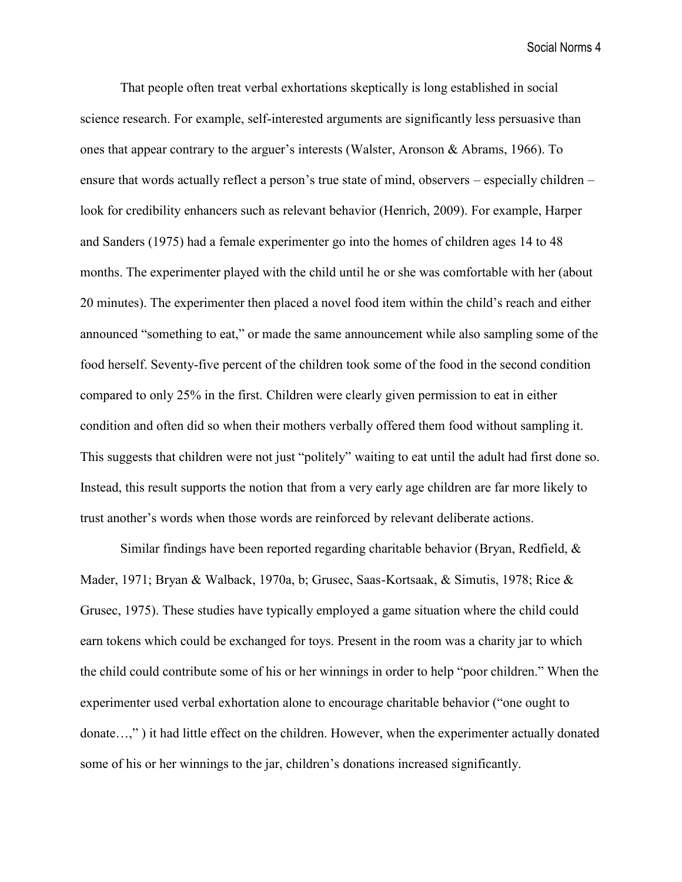That people often treat verbal exhortations skeptically is long established in social science research. For example, self-interested arguments are significantly less persuasive than ones that appear contrary to the arguer's interests (Walster, Aronson & Abrams, 1966). To ensure that words actually reflect a person's true state of mind, observers – especially children – look for credibility enhancers such as relevant behavior (Henrich, 2009). For example, Harper and Sanders (1975) had a female experimenter go into the homes of children ages 14 to 48 months. The experimenter played with the child until he or she was comfortable with her (about 20 minutes). The experimenter then placed a novel food item within the child's reach and either announced "something to eat," or made the same announcement while also sampling some of the food herself. Seventy-five percent of the children took some of the food in the second condition compared to only 25% in the first. Children were clearly given permission to eat in either condition and often did so when their mothers verbally offered them food without sampling it. This suggests that children were not just "politely" waiting to eat until the adult had first done so. Instead, this result supports the notion that from a very early age children are far more likely to trust another's words when those words are reinforced by relevant deliberate actions.

Similar findings have been reported regarding charitable behavior (Bryan, Redfield, & Mader, 1971; Bryan & Walback, 1970a, b; Grusec, Saas-Kortsaak, & Simutis, 1978; Rice & Grusec, 1975). These studies have typically employed a game situation where the child could earn tokens which could be exchanged for toys. Present in the room was a charity jar to which the child could contribute some of his or her winnings in order to help "poor children." When the experimenter used verbal exhortation alone to encourage charitable behavior ("one ought to donate…," ) it had little effect on the children. However, when the experimenter actually donated some of his or her winnings to the jar, children's donations increased significantly.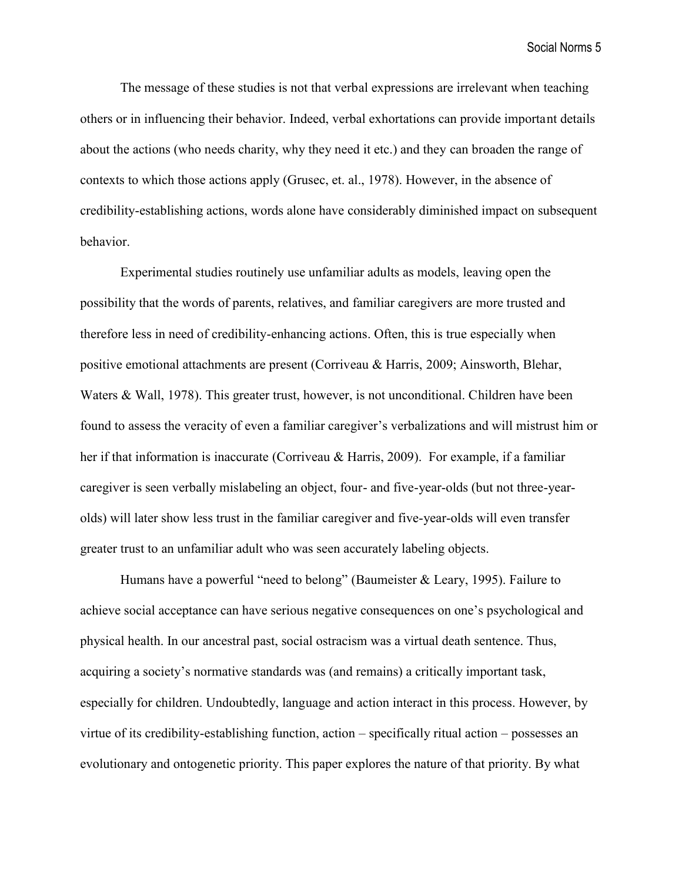The message of these studies is not that verbal expressions are irrelevant when teaching others or in influencing their behavior. Indeed, verbal exhortations can provide important details about the actions (who needs charity, why they need it etc.) and they can broaden the range of contexts to which those actions apply (Grusec, et. al., 1978). However, in the absence of credibility-establishing actions, words alone have considerably diminished impact on subsequent behavior.

Experimental studies routinely use unfamiliar adults as models, leaving open the possibility that the words of parents, relatives, and familiar caregivers are more trusted and therefore less in need of credibility-enhancing actions. Often, this is true especially when positive emotional attachments are present (Corriveau & Harris, 2009; Ainsworth, Blehar, Waters & Wall, 1978). This greater trust, however, is not unconditional. Children have been found to assess the veracity of even a familiar caregiver's verbalizations and will mistrust him or her if that information is inaccurate (Corriveau & Harris, 2009). For example, if a familiar caregiver is seen verbally mislabeling an object, four- and five-year-olds (but not three-year olds) will later show less trust in the familiar caregiver and five-year-olds will even transfer greater trust to an unfamiliar adult who was seen accurately labeling objects.

Humans have a powerful "need to belong" (Baumeister & Leary, 1995). Failure to achieve social acceptance can have serious negative consequences on one's psychological and physical health. In our ancestral past, social ostracism was a virtual death sentence. Thus, acquiring a society's normative standards was (and remains) a critically important task, especially for children. Undoubtedly, language and action interact in this process. However, by virtue of its credibility-establishing function, action – specifically ritual action – possesses an evolutionary and ontogenetic priority. This paper explores the nature of that priority. By what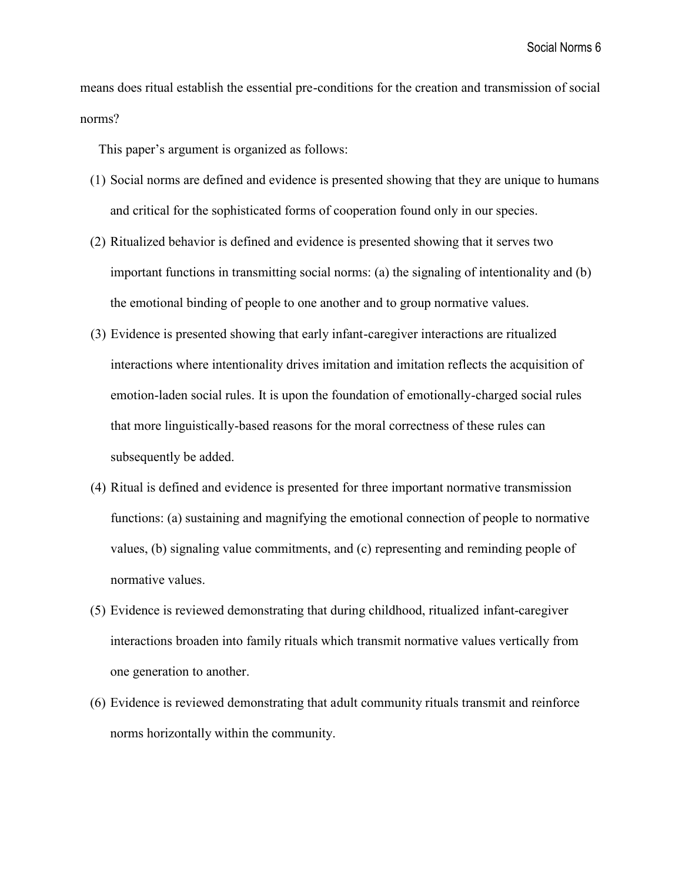means does ritual establish the essential pre-conditions for the creation and transmission of social norms?

This paper's argument is organized as follows:

- (1) Social norms are defined and evidence is presented showing that they are unique to humans and critical for the sophisticated forms of cooperation found only in our species.
- (2) Ritualized behavior is defined and evidence is presented showing that it serves two important functions in transmitting social norms: (a) the signaling of intentionality and (b) the emotional binding of people to one another and to group normative values.
- (3) Evidence is presented showing that early infant-caregiver interactions are ritualized interactions where intentionality drives imitation and imitation reflects the acquisition of emotion-laden social rules. It is upon the foundation of emotionally-charged social rules that more linguistically-based reasons for the moral correctness of these rules can subsequently be added.
- (4) Ritual is defined and evidence is presented for three important normative transmission functions: (a) sustaining and magnifying the emotional connection of people to normative values, (b) signaling value commitments, and (c) representing and reminding people of normative values.
- (5) Evidence is reviewed demonstrating that during childhood, ritualized infant-caregiver interactions broaden into family rituals which transmit normative values vertically from one generation to another.
- (6) Evidence is reviewed demonstrating that adult community rituals transmit and reinforce norms horizontally within the community.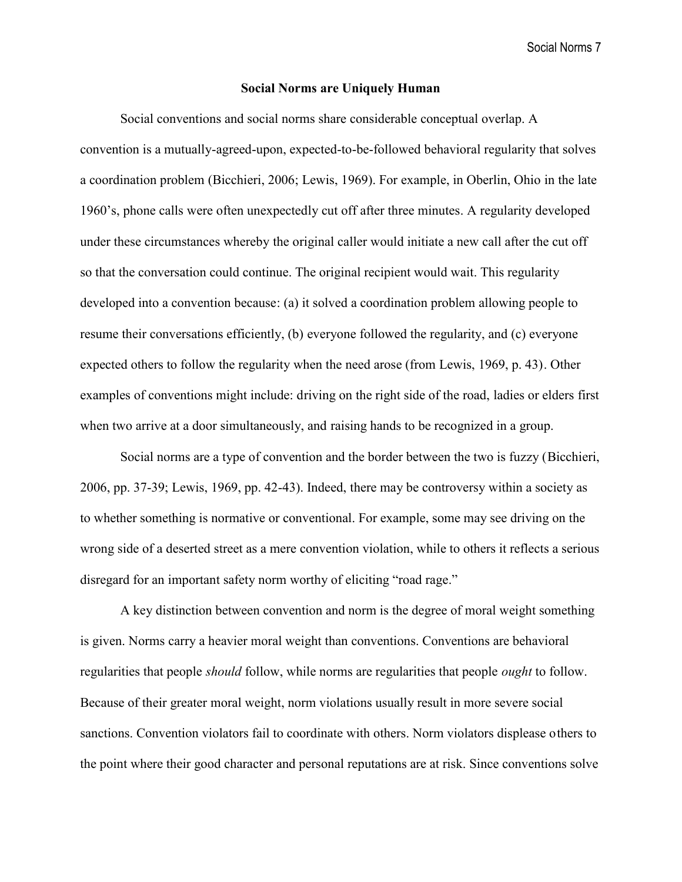#### **Social Norms are Uniquely Human**

Social conventions and social norms share considerable conceptual overlap. A convention is a mutually-agreed-upon, expected-to-be-followed behavioral regularity that solves a coordination problem (Bicchieri, 2006; Lewis, 1969). For example, in Oberlin, Ohio in the late 1960's, phone calls were often unexpectedly cut off after three minutes. A regularity developed under these circumstances whereby the original caller would initiate a new call after the cut off so that the conversation could continue. The original recipient would wait. This regularity developed into a convention because: (a) it solved a coordination problem allowing people to resume their conversations efficiently, (b) everyone followed the regularity, and (c) everyone expected others to follow the regularity when the need arose (from Lewis, 1969, p. 43). Other examples of conventions might include: driving on the right side of the road, ladies or elders first when two arrive at a door simultaneously, and raising hands to be recognized in a group.

Social norms are a type of convention and the border between the two is fuzzy (Bicchieri, 2006, pp. 37-39; Lewis, 1969, pp. 42-43). Indeed, there may be controversy within a society as to whether something is normative or conventional. For example, some may see driving on the wrong side of a deserted street as a mere convention violation, while to others it reflects a serious disregard for an important safety norm worthy of eliciting "road rage."

A key distinction between convention and norm is the degree of moral weight something is given. Norms carry a heavier moral weight than conventions. Conventions are behavioral regularities that people *should* follow, while norms are regularities that people *ought* to follow. Because of their greater moral weight, norm violations usually result in more severe social sanctions. Convention violators fail to coordinate with others. Norm violators displease others to the point where their good character and personal reputations are at risk. Since conventions solve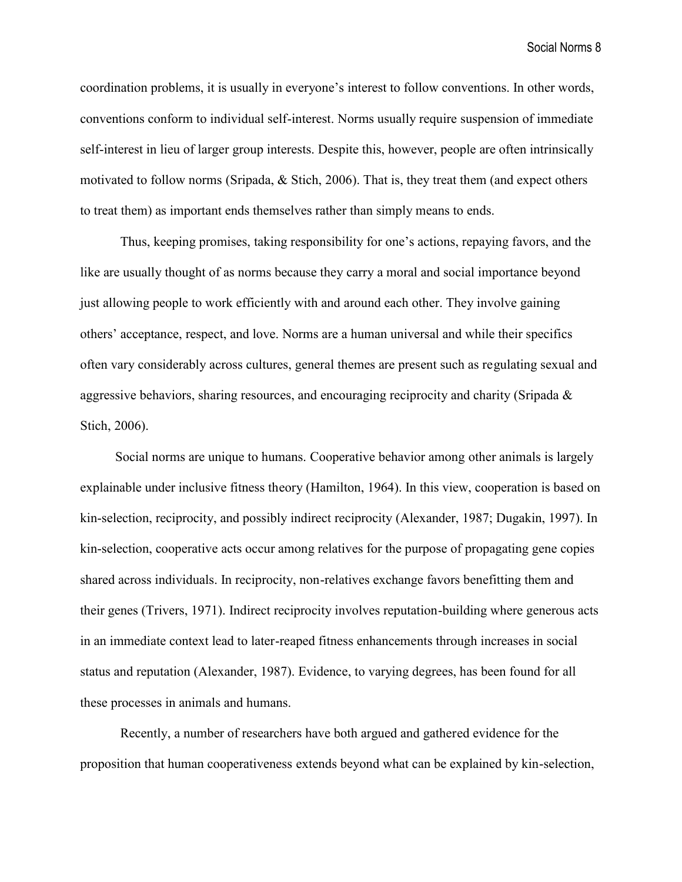coordination problems, it is usually in everyone's interest to follow conventions. In other words, conventions conform to individual self-interest. Norms usually require suspension of immediate self-interest in lieu of larger group interests. Despite this, however, people are often intrinsically motivated to follow norms (Sripada, & Stich, 2006). That is, they treat them (and expect others to treat them) as important ends themselves rather than simply means to ends.

Thus, keeping promises, taking responsibility for one's actions, repaying favors, and the like are usually thought of as norms because they carry a moral and social importance beyond just allowing people to work efficiently with and around each other. They involve gaining others' acceptance, respect, and love. Norms are a human universal and while their specifics often vary considerably across cultures, general themes are present such as regulating sexual and aggressive behaviors, sharing resources, and encouraging reciprocity and charity (Sripada & Stich, 2006).

Social norms are unique to humans. Cooperative behavior among other animals is largely explainable under inclusive fitness theory (Hamilton, 1964). In this view, cooperation is based on kin-selection, reciprocity, and possibly indirect reciprocity (Alexander, 1987; Dugakin, 1997). In kin-selection, cooperative acts occur among relatives for the purpose of propagating gene copies shared across individuals. In reciprocity, non-relatives exchange favors benefitting them and their genes (Trivers, 1971). Indirect reciprocity involves reputation-building where generous acts in an immediate context lead to later-reaped fitness enhancements through increases in social status and reputation (Alexander, 1987). Evidence, to varying degrees, has been found for all these processes in animals and humans.

Recently, a number of researchers have both argued and gathered evidence for the proposition that human cooperativeness extends beyond what can be explained by kin-selection,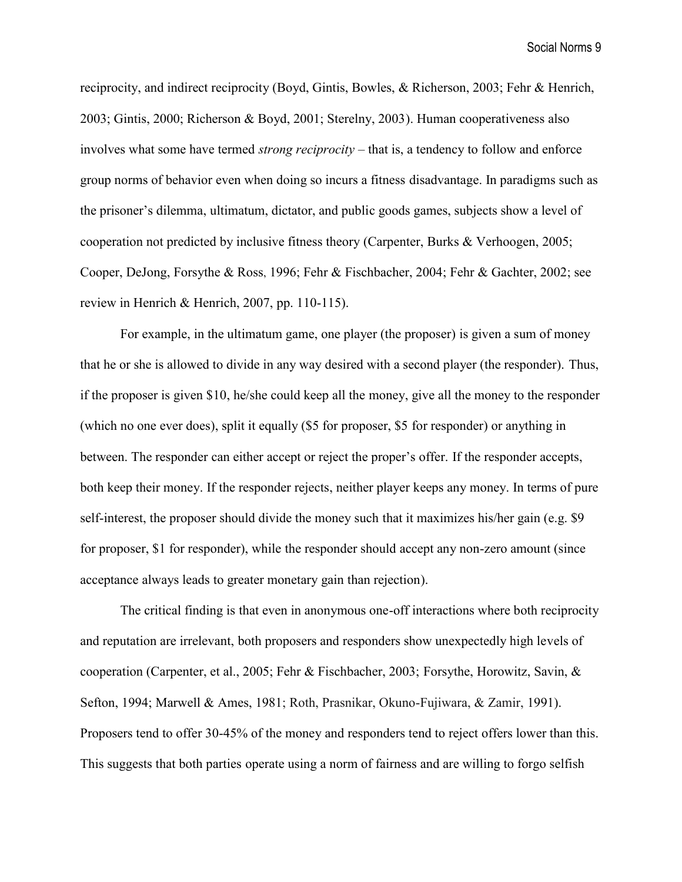reciprocity, and indirect reciprocity (Boyd, Gintis, Bowles, & Richerson, 2003; Fehr & Henrich, 2003; Gintis, 2000; Richerson & Boyd, 2001; Sterelny, 2003). Human cooperativeness also involves what some have termed *strong reciprocity* – that is, a tendency to follow and enforce group norms of behavior even when doing so incurs a fitness disadvantage. In paradigms such as the prisoner's dilemma, ultimatum, dictator, and public goods games, subjects show a level of cooperation not predicted by inclusive fitness theory (Carpenter, Burks & Verhoogen, 2005; Cooper, DeJong, Forsythe & Ross, 1996; Fehr & Fischbacher, 2004; Fehr & Gachter, 2002; see review in Henrich & Henrich, 2007, pp. 110-115).

For example, in the ultimatum game, one player (the proposer) is given a sum of money that he or she is allowed to divide in any way desired with a second player (the responder). Thus, if the proposer is given \$10, he/she could keep all the money, give all the money to the responder (which no one ever does), split it equally (\$5 for proposer, \$5 for responder) or anything in between. The responder can either accept or reject the proper's offer. If the responder accepts, both keep their money. If the responder rejects, neither player keeps any money. In terms of pure self-interest, the proposer should divide the money such that it maximizes his/her gain (e.g. \$9 for proposer, \$1 for responder), while the responder should accept any non-zero amount (since acceptance always leads to greater monetary gain than rejection).

The critical finding is that even in anonymous one-off interactions where both reciprocity and reputation are irrelevant, both proposers and responders show unexpectedly high levels of cooperation (Carpenter, et al., 2005; Fehr & Fischbacher, 2003; Forsythe, Horowitz, Savin, & Sefton, 1994; Marwell & Ames, 1981; Roth, Prasnikar, Okuno-Fujiwara, & Zamir, 1991). Proposers tend to offer 30-45% of the money and responders tend to reject offers lower than this. This suggests that both parties operate using a norm of fairness and are willing to forgo selfish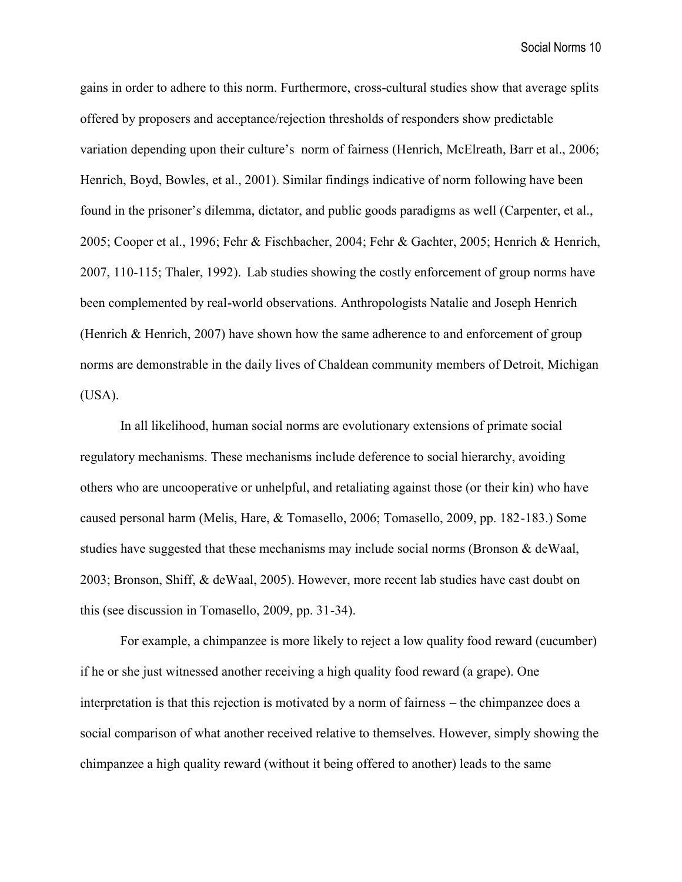gains in order to adhere to this norm. Furthermore, cross-cultural studies show that average splits offered by proposers and acceptance/rejection thresholds of responders show predictable variation depending upon their culture's norm of fairness (Henrich, McElreath, Barr et al., 2006; Henrich, Boyd, Bowles, et al., 2001). Similar findings indicative of norm following have been found in the prisoner's dilemma, dictator, and public goods paradigms as well (Carpenter, et al., 2005; Cooper et al., 1996; Fehr & Fischbacher, 2004; Fehr & Gachter, 2005; Henrich & Henrich, 2007, 110-115; Thaler, 1992). Lab studies showing the costly enforcement of group norms have been complemented by real-world observations. Anthropologists Natalie and Joseph Henrich (Henrich & Henrich, 2007) have shown how the same adherence to and enforcement of group norms are demonstrable in the daily lives of Chaldean community members of Detroit, Michigan (USA).

In all likelihood, human social norms are evolutionary extensions of primate social regulatory mechanisms. These mechanisms include deference to social hierarchy, avoiding others who are uncooperative or unhelpful, and retaliating against those (or their kin) who have caused personal harm (Melis, Hare, & Tomasello, 2006; Tomasello, 2009, pp. 182-183.) Some studies have suggested that these mechanisms may include social norms (Bronson & deWaal, 2003; Bronson, Shiff, & deWaal, 2005). However, more recent lab studies have cast doubt on this (see discussion in Tomasello, 2009, pp. 31-34).

For example, a chimpanzee is more likely to reject a low quality food reward (cucumber) if he or she just witnessed another receiving a high quality food reward (a grape). One interpretation is that this rejection is motivated by a norm of fairness – the chimpanzee does a social comparison of what another received relative to themselves. However, simply showing the chimpanzee a high quality reward (without it being offered to another) leads to the same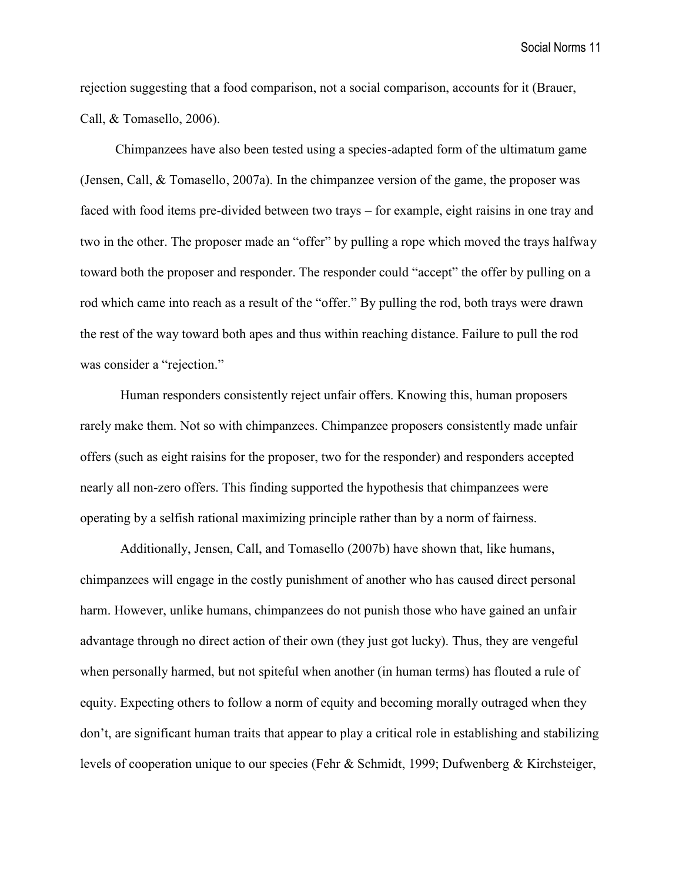rejection suggesting that a food comparison, not a social comparison, accounts for it (Brauer, Call, & Tomasello, 2006).

Chimpanzees have also been tested using a species-adapted form of the ultimatum game (Jensen, Call, & Tomasello, 2007a). In the chimpanzee version of the game, the proposer was faced with food items pre-divided between two trays – for example, eight raisins in one tray and two in the other. The proposer made an "offer" by pulling a rope which moved the trays halfway toward both the proposer and responder. The responder could "accept" the offer by pulling on a rod which came into reach as a result of the "offer." By pulling the rod, both trays were drawn the rest of the way toward both apes and thus within reaching distance. Failure to pull the rod was consider a "rejection."

Human responders consistently reject unfair offers. Knowing this, human proposers rarely make them. Not so with chimpanzees. Chimpanzee proposers consistently made unfair offers (such as eight raisins for the proposer, two for the responder) and responders accepted nearly all non-zero offers. This finding supported the hypothesis that chimpanzees were operating by a selfish rational maximizing principle rather than by a norm of fairness.

Additionally, Jensen, Call, and Tomasello (2007b) have shown that, like humans, chimpanzees will engage in the costly punishment of another who has caused direct personal harm. However, unlike humans, chimpanzees do not punish those who have gained an unfair advantage through no direct action of their own (they just got lucky). Thus, they are vengeful when personally harmed, but not spiteful when another (in human terms) has flouted a rule of equity. Expecting others to follow a norm of equity and becoming morally outraged when they don't, are significant human traits that appear to play a critical role in establishing and stabilizing levels of cooperation unique to our species (Fehr & Schmidt, 1999; Dufwenberg & Kirchsteiger,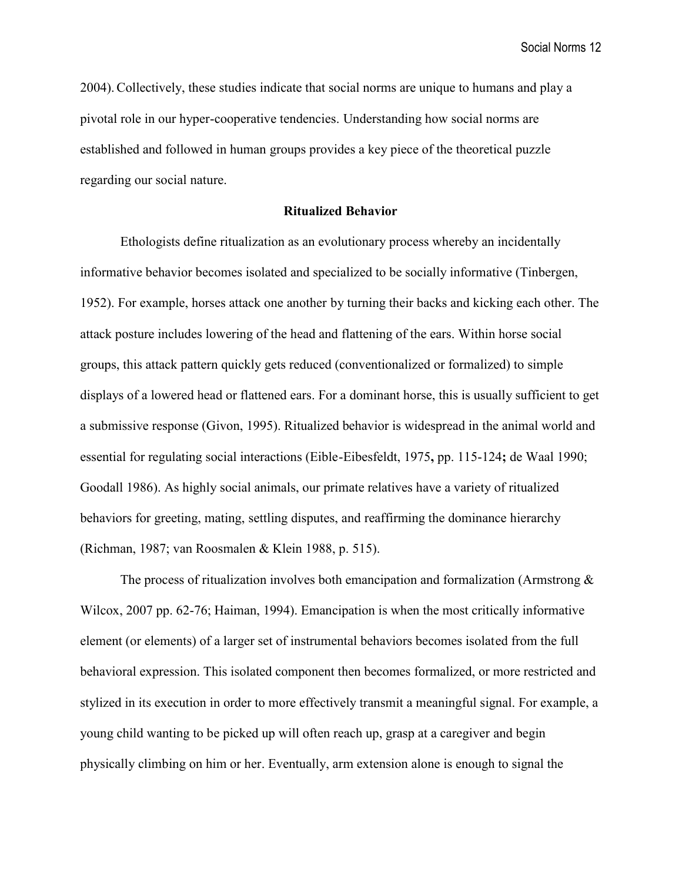2004).Collectively, these studies indicate that social norms are unique to humans and play a pivotal role in our hyper-cooperative tendencies. Understanding how social norms are established and followed in human groups provides a key piece of the theoretical puzzle regarding our social nature.

# **Ritualized Behavior**

Ethologists define ritualization as an evolutionary process whereby an incidentally informative behavior becomes isolated and specialized to be socially informative (Tinbergen, 1952). For example, horses attack one another by turning their backs and kicking each other. The attack posture includes lowering of the head and flattening of the ears. Within horse social groups, this attack pattern quickly gets reduced (conventionalized or formalized) to simple displays of a lowered head or flattened ears. For a dominant horse, this is usually sufficient to get a submissive response (Givon, 1995). Ritualized behavior is widespread in the animal world and essential for regulating social interactions (Eible-Eibesfeldt, 1975**,** pp. 115-124**;** de Waal 1990; Goodall 1986). As highly social animals, our primate relatives have a variety of ritualized behaviors for greeting, mating, settling disputes, and reaffirming the dominance hierarchy (Richman, 1987; van Roosmalen & Klein 1988, p. 515).

The process of ritualization involves both emancipation and formalization (Armstrong & Wilcox, 2007 pp. 62-76; Haiman, 1994). Emancipation is when the most critically informative element (or elements) of a larger set of instrumental behaviors becomes isolated from the full behavioral expression. This isolated component then becomes formalized, or more restricted and stylized in its execution in order to more effectively transmit a meaningful signal. For example, a young child wanting to be picked up will often reach up, grasp at a caregiver and begin physically climbing on him or her. Eventually, arm extension alone is enough to signal the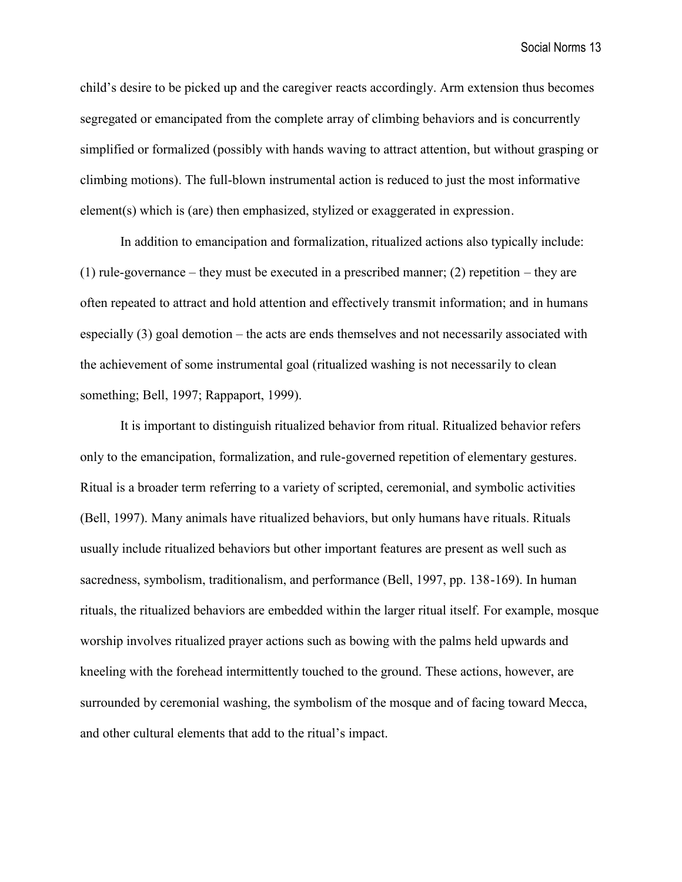child's desire to be picked up and the caregiver reacts accordingly. Arm extension thus becomes segregated or emancipated from the complete array of climbing behaviors and is concurrently simplified or formalized (possibly with hands waving to attract attention, but without grasping or climbing motions). The full-blown instrumental action is reduced to just the most informative element(s) which is (are) then emphasized, stylized or exaggerated in expression.

In addition to emancipation and formalization, ritualized actions also typically include: (1) rule-governance – they must be executed in a prescribed manner; (2) repetition – they are often repeated to attract and hold attention and effectively transmit information; and in humans especially (3) goal demotion – the acts are ends themselves and not necessarily associated with the achievement of some instrumental goal (ritualized washing is not necessarily to clean something; Bell, 1997; Rappaport, 1999).

It is important to distinguish ritualized behavior from ritual. Ritualized behavior refers only to the emancipation, formalization, and rule-governed repetition of elementary gestures. Ritual is a broader term referring to a variety of scripted, ceremonial, and symbolic activities (Bell, 1997). Many animals have ritualized behaviors, but only humans have rituals. Rituals usually include ritualized behaviors but other important features are present as well such as sacredness, symbolism, traditionalism, and performance (Bell, 1997, pp. 138-169). In human rituals, the ritualized behaviors are embedded within the larger ritual itself. For example, mosque worship involves ritualized prayer actions such as bowing with the palms held upwards and kneeling with the forehead intermittently touched to the ground. These actions, however, are surrounded by ceremonial washing, the symbolism of the mosque and of facing toward Mecca, and other cultural elements that add to the ritual's impact.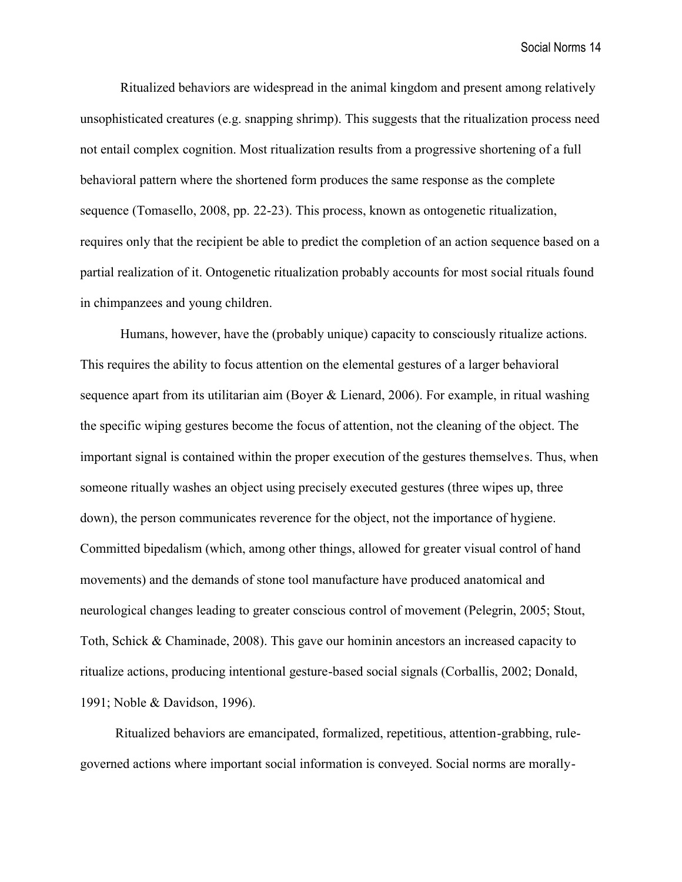Ritualized behaviors are widespread in the animal kingdom and present among relatively unsophisticated creatures (e.g. snapping shrimp). This suggests that the ritualization process need not entail complex cognition. Most ritualization results from a progressive shortening of a full behavioral pattern where the shortened form produces the same response as the complete sequence (Tomasello, 2008, pp. 22-23). This process, known as ontogenetic ritualization, requires only that the recipient be able to predict the completion of an action sequence based on a partial realization of it. Ontogenetic ritualization probably accounts for most social rituals found in chimpanzees and young children.

Humans, however, have the (probably unique) capacity to consciously ritualize actions. This requires the ability to focus attention on the elemental gestures of a larger behavioral sequence apart from its utilitarian aim (Boyer & Lienard, 2006). For example, in ritual washing the specific wiping gestures become the focus of attention, not the cleaning of the object. The important signal is contained within the proper execution of the gestures themselves. Thus, when someone ritually washes an object using precisely executed gestures (three wipes up, three down), the person communicates reverence for the object, not the importance of hygiene. Committed bipedalism (which, among other things, allowed for greater visual control of hand movements) and the demands of stone tool manufacture have produced anatomical and neurological changes leading to greater conscious control of movement (Pelegrin, 2005; Stout, Toth, Schick & Chaminade, 2008). This gave our hominin ancestors an increased capacity to ritualize actions, producing intentional gesture-based social signals (Corballis, 2002; Donald, 1991; Noble & Davidson, 1996).

Ritualized behaviors are emancipated, formalized, repetitious, attention-grabbing, rule governed actions where important social information is conveyed. Social norms are morally-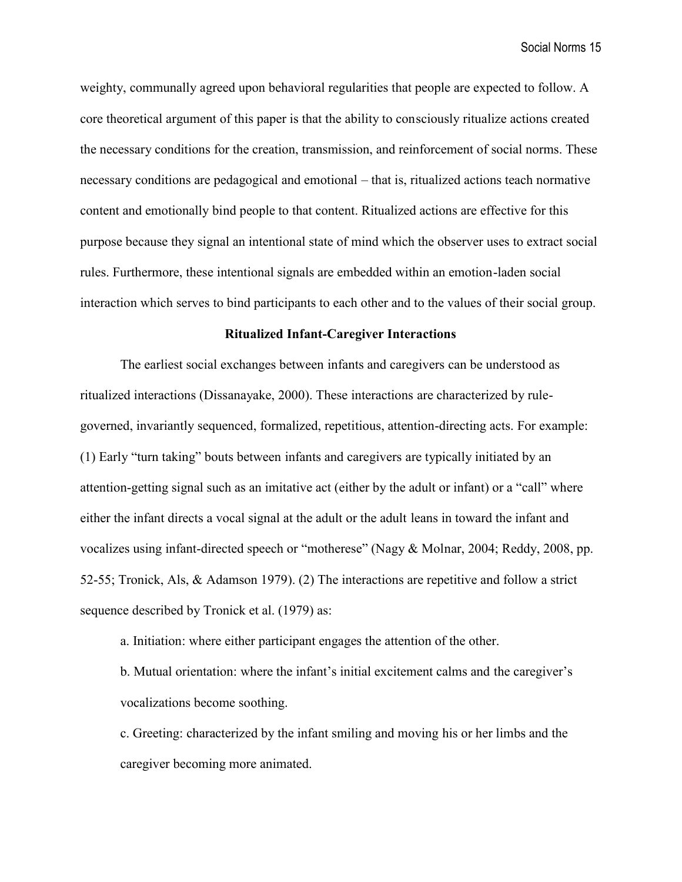weighty, communally agreed upon behavioral regularities that people are expected to follow. A core theoretical argument of this paper is that the ability to consciously ritualize actions created the necessary conditions for the creation, transmission, and reinforcement of social norms. These necessary conditions are pedagogical and emotional – that is, ritualized actions teach normative content and emotionally bind people to that content. Ritualized actions are effective for this purpose because they signal an intentional state of mind which the observer uses to extract social rules. Furthermore, these intentional signals are embedded within an emotion-laden social interaction which serves to bind participants to each other and to the values of their social group.

#### **Ritualized Infant-Caregiver Interactions**

The earliest social exchanges between infants and caregivers can be understood as ritualized interactions (Dissanayake, 2000). These interactions are characterized by rule governed, invariantly sequenced, formalized, repetitious, attention-directing acts. For example: (1) Early "turn taking" bouts between infants and caregivers are typically initiated by an attention-getting signal such as an imitative act (either by the adult or infant) or a "call" where either the infant directs a vocal signal at the adult or the adult leans in toward the infant and vocalizes using infant-directed speech or "motherese" (Nagy & Molnar, 2004; Reddy, 2008, pp. 52-55; Tronick, Als, & Adamson 1979). (2) The interactions are repetitive and follow a strict sequence described by Tronick et al. (1979) as:

a. Initiation: where either participant engages the attention of the other.

b. Mutual orientation: where the infant's initial excitement calms and the caregiver's vocalizations become soothing.

c. Greeting: characterized by the infant smiling and moving his or her limbs and the caregiver becoming more animated.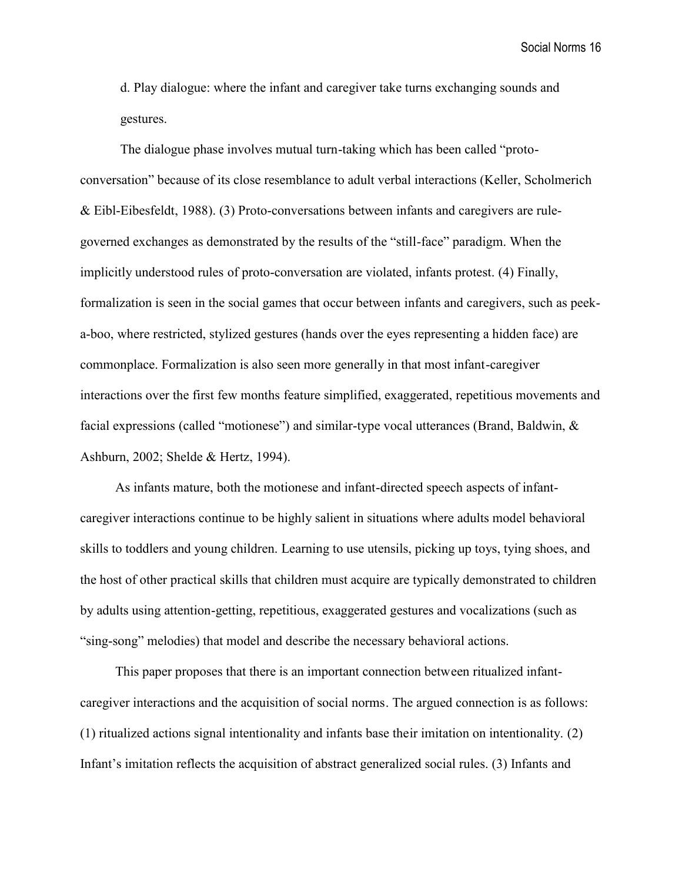d. Play dialogue: where the infant and caregiver take turns exchanging sounds and gestures.

The dialogue phase involves mutual turn-taking which has been called "proto conversation" because of its close resemblance to adult verbal interactions (Keller, Scholmerich & Eibl-Eibesfeldt, 1988). (3) Proto-conversations between infants and caregivers are rule governed exchanges as demonstrated by the results of the "still-face" paradigm. When the implicitly understood rules of proto-conversation are violated, infants protest. (4) Finally, formalization is seen in the social games that occur between infants and caregivers, such as peek a-boo, where restricted, stylized gestures (hands over the eyes representing a hidden face) are commonplace. Formalization is also seen more generally in that most infant-caregiver interactions over the first few months feature simplified, exaggerated, repetitious movements and facial expressions (called "motionese") and similar-type vocal utterances (Brand, Baldwin, & Ashburn, 2002; Shelde & Hertz, 1994).

As infants mature, both the motionese and infant-directed speech aspects of infant caregiver interactions continue to be highly salient in situations where adults model behavioral skills to toddlers and young children. Learning to use utensils, picking up toys, tying shoes, and the host of other practical skills that children must acquire are typically demonstrated to children by adults using attention-getting, repetitious, exaggerated gestures and vocalizations (such as "sing-song" melodies) that model and describe the necessary behavioral actions.

This paper proposes that there is an important connection between ritualized infant caregiver interactions and the acquisition of social norms. The argued connection is as follows: (1) ritualized actions signal intentionality and infants base their imitation on intentionality. (2) Infant's imitation reflects the acquisition of abstract generalized social rules. (3) Infants and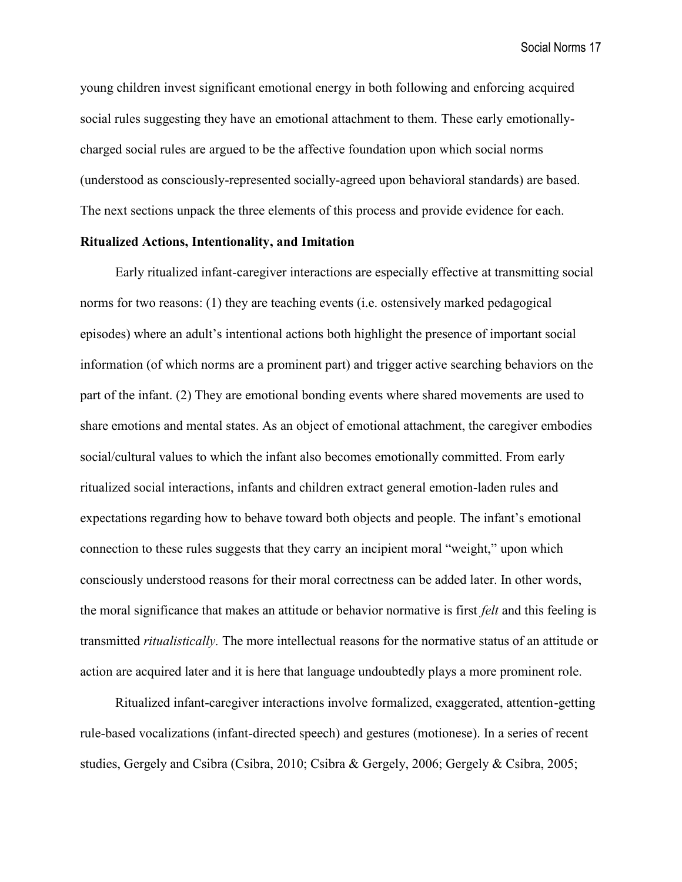young children invest significant emotional energy in both following and enforcing acquired social rules suggesting they have an emotional attachment to them. These early emotionally charged social rules are argued to be the affective foundation upon which social norms (understood as consciously-represented socially-agreed upon behavioral standards) are based. The next sections unpack the three elements of this process and provide evidence for each.

### **Ritualized Actions, Intentionality, and Imitation**

Early ritualized infant-caregiver interactions are especially effective at transmitting social norms for two reasons: (1) they are teaching events (i.e. ostensively marked pedagogical episodes) where an adult's intentional actions both highlight the presence of important social information (of which norms are a prominent part) and trigger active searching behaviors on the part of the infant. (2) They are emotional bonding events where shared movements are used to share emotions and mental states. As an object of emotional attachment, the caregiver embodies social/cultural values to which the infant also becomes emotionally committed. From early ritualized social interactions, infants and children extract general emotion-laden rules and expectations regarding how to behave toward both objects and people. The infant's emotional connection to these rules suggests that they carry an incipient moral "weight," upon which consciously understood reasons for their moral correctness can be added later. In other words, the moral significance that makes an attitude or behavior normative is first *felt* and this feeling is transmitted *ritualistically.* The more intellectual reasons for the normative status of an attitude or action are acquired later and it is here that language undoubtedly plays a more prominent role.

Ritualized infant-caregiver interactions involve formalized, exaggerated, attention-getting rule-based vocalizations (infant-directed speech) and gestures (motionese). In a series of recent studies, Gergely and Csibra (Csibra, 2010; Csibra & Gergely, 2006; Gergely & Csibra, 2005;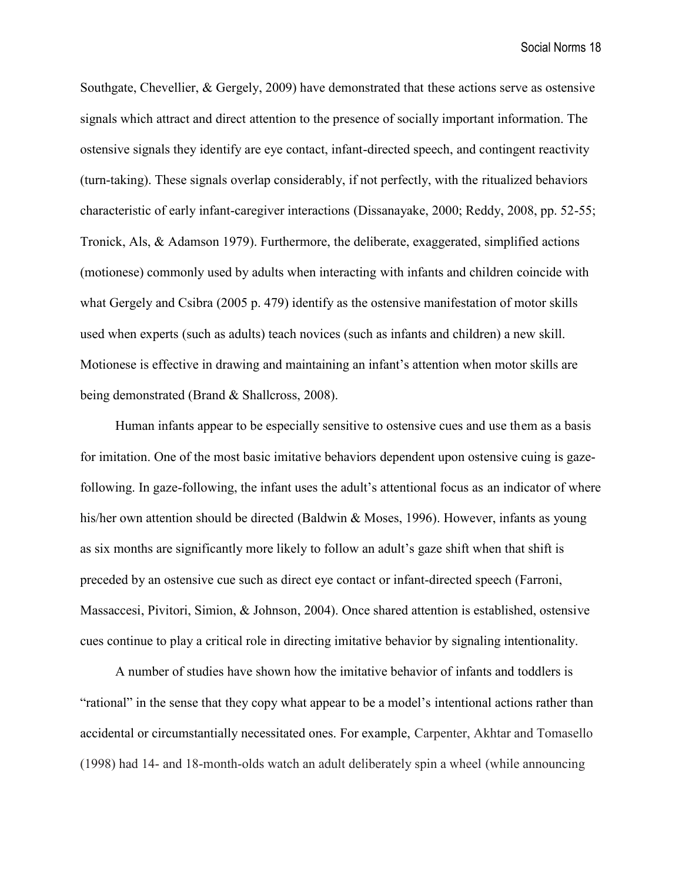Southgate, Chevellier, & Gergely, 2009) have demonstrated that these actions serve as ostensive signals which attract and direct attention to the presence of socially important information. The ostensive signals they identify are eye contact, infant-directed speech, and contingent reactivity (turn-taking). These signals overlap considerably, if not perfectly, with the ritualized behaviors characteristic of early infant-caregiver interactions (Dissanayake, 2000; Reddy, 2008, pp. 52-55; Tronick, Als, & Adamson 1979). Furthermore, the deliberate, exaggerated, simplified actions (motionese) commonly used by adults when interacting with infants and children coincide with what Gergely and Csibra (2005 p. 479) identify as the ostensive manifestation of motor skills used when experts (such as adults) teach novices (such as infants and children) a new skill. Motionese is effective in drawing and maintaining an infant's attention when motor skills are being demonstrated (Brand & Shallcross, 2008).

Human infants appear to be especially sensitive to ostensive cues and use them as a basis for imitation. One of the most basic imitative behaviors dependent upon ostensive cuing is gazefollowing. In gaze-following, the infant uses the adult's attentional focus as an indicator of where his/her own attention should be directed (Baldwin & Moses, 1996). However, infants as young as six months are significantly more likely to follow an adult's gaze shift when that shift is preceded by an ostensive cue such as direct eye contact or infant-directed speech (Farroni, Massaccesi, Pivitori, Simion, & Johnson, 2004). Once shared attention is established, ostensive cues continue to play a critical role in directing imitative behavior by signaling intentionality.

A number of studies have shown how the imitative behavior of infants and toddlers is "rational" in the sense that they copy what appear to be a model's intentional actions rather than accidental or circumstantially necessitated ones. For example, Carpenter, Akhtar and Tomasello (1998) had 14- and 18-month-olds watch an adult deliberately spin a wheel (while announcing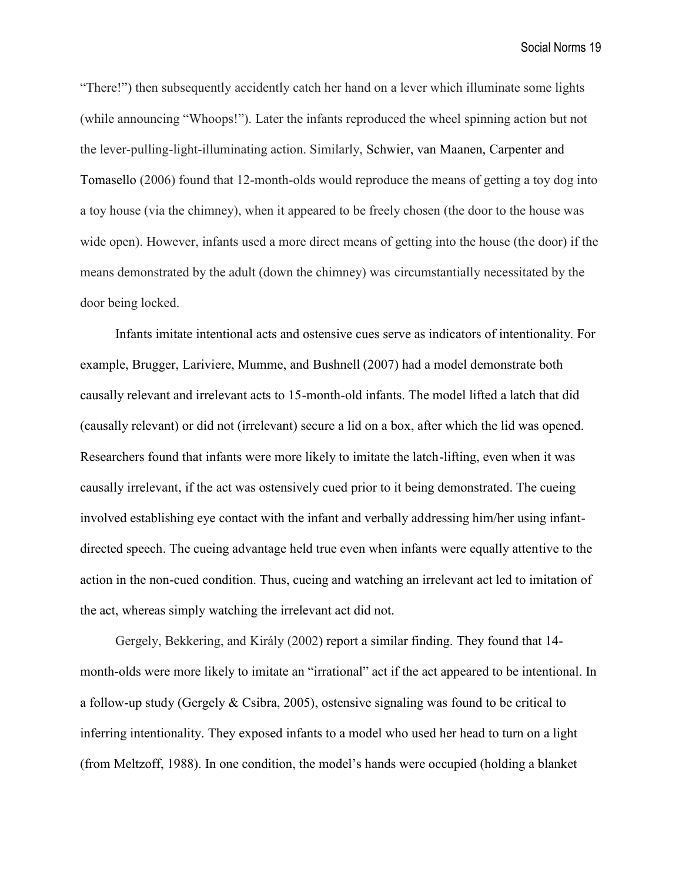"There!") then subsequently accidently catch her hand on a lever which illuminate some lights (while announcing "Whoops!"). Later the infants reproduced the wheel spinning action but not the lever-pulling-light-illuminating action. Similarly, Schwier, van Maanen, Carpenter and Tomasello (2006) found that 12-month-olds would reproduce the means of getting a toy dog into a toy house (via the chimney), when it appeared to be freely chosen (the door to the house was wide open). However, infants used a more direct means of getting into the house (the door) if the means demonstrated by the adult (down the chimney) was circumstantially necessitated by the door being locked.

Infants imitate intentional acts and ostensive cues serve as indicators of intentionality. For example, Brugger, Lariviere, Mumme, and Bushnell (2007) had a model demonstrate both causally relevant and irrelevant acts to 15-month-old infants. The model lifted a latch that did (causally relevant) or did not (irrelevant) secure a lid on a box, after which the lid was opened. Researchers found that infants were more likely to imitate the latch-lifting, even when it was causally irrelevant, if the act was ostensively cued prior to it being demonstrated. The cueing involved establishing eye contact with the infant and verbally addressing him/her using infant directed speech. The cueing advantage held true even when infants were equally attentive to the action in the non-cued condition. Thus, cueing and watching an irrelevant act led to imitation of the act, whereas simply watching the irrelevant act did not.

Gergely, Bekkering, and Király (2002) report a similar finding. They found that 14 month-olds were more likely to imitate an "irrational" act if the act appeared to be intentional. In a follow-up study (Gergely & Csibra, 2005), ostensive signaling was found to be critical to inferring intentionality. They exposed infants to a model who used her head to turn on a light (from Meltzoff, 1988). In one condition, the model's hands were occupied (holding a blanket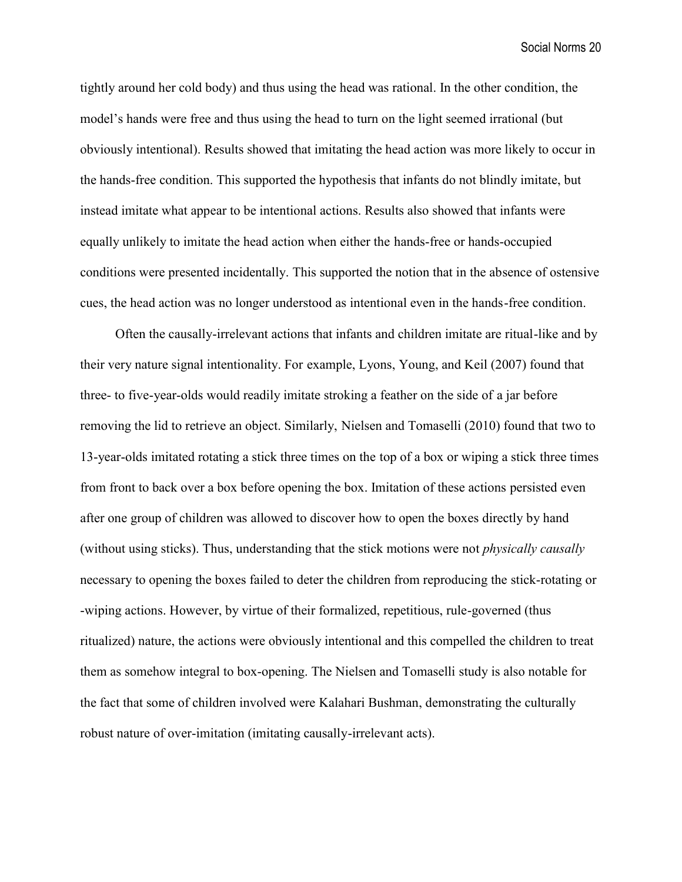tightly around her cold body) and thus using the head was rational. In the other condition, the model's hands were free and thus using the head to turn on the light seemed irrational (but obviously intentional). Results showed that imitating the head action was more likely to occur in the hands-free condition. This supported the hypothesis that infants do not blindly imitate, but instead imitate what appear to be intentional actions. Results also showed that infants were equally unlikely to imitate the head action when either the hands-free or hands-occupied conditions were presented incidentally. This supported the notion that in the absence of ostensive cues, the head action was no longer understood as intentional even in the hands-free condition.

Often the causally-irrelevant actions that infants and children imitate are ritual-like and by their very nature signal intentionality. For example, Lyons, Young, and Keil (2007) found that three- to five-year-olds would readily imitate stroking a feather on the side of a jar before removing the lid to retrieve an object. Similarly, Nielsen and Tomaselli (2010) found that two to 13-year-olds imitated rotating a stick three times on the top of a box or wiping a stick three times from front to back over a box before opening the box. Imitation of these actions persisted even after one group of children was allowed to discover how to open the boxes directly by hand (without using sticks). Thus, understanding that the stick motions were not *physically causally* necessary to opening the boxes failed to deter the children from reproducing the stick-rotating or -wiping actions. However, by virtue of their formalized, repetitious, rule-governed (thus ritualized) nature, the actions were obviously intentional and this compelled the children to treat them as somehow integral to box-opening. The Nielsen and Tomaselli study is also notable for the fact that some of children involved were Kalahari Bushman, demonstrating the culturally robust nature of over-imitation (imitating causally-irrelevant acts).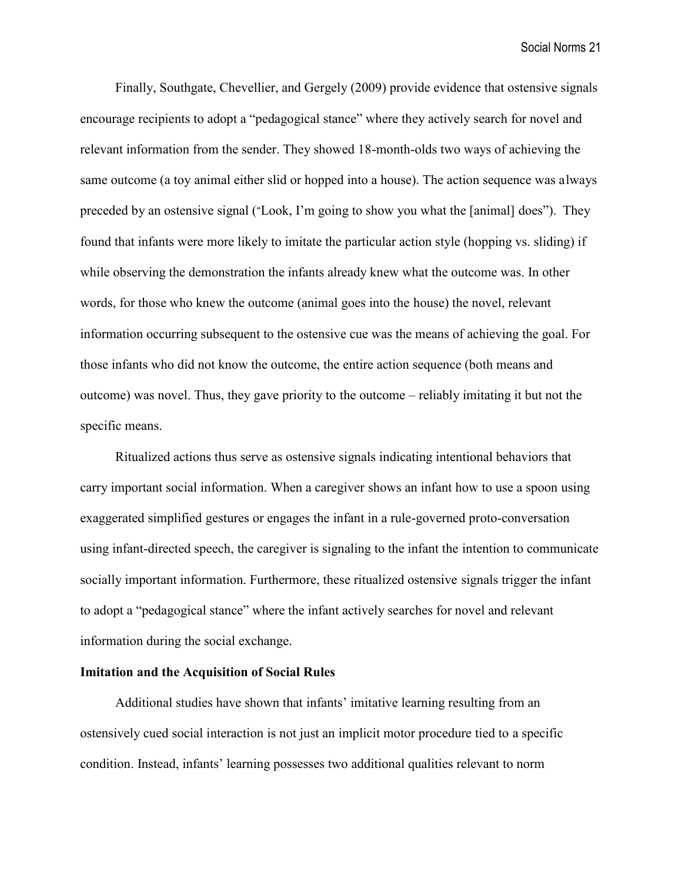Finally, Southgate, Chevellier, and Gergely (2009) provide evidence that ostensive signals encourage recipients to adopt a "pedagogical stance" where they actively search for novel and relevant information from the sender. They showed 18-month-olds two ways of achieving the same outcome (a toy animal either slid or hopped into a house). The action sequence was always preceded by an ostensive signal ("Look, I'm going to show you what the [animal] does"). They found that infants were more likely to imitate the particular action style (hopping vs. sliding) if while observing the demonstration the infants already knew what the outcome was. In other words, for those who knew the outcome (animal goes into the house) the novel, relevant information occurring subsequent to the ostensive cue was the means of achieving the goal. For those infants who did not know the outcome, the entire action sequence (both means and outcome) was novel. Thus, they gave priority to the outcome – reliably imitating it but not the specific means.

Ritualized actions thus serve as ostensive signals indicating intentional behaviors that carry important social information. When a caregiver shows an infant how to use a spoon using exaggerated simplified gestures or engages the infant in a rule-governed proto-conversation using infant-directed speech, the caregiver is signaling to the infant the intention to communicate socially important information. Furthermore, these ritualized ostensive signals trigger the infant to adopt a "pedagogical stance" where the infant actively searches for novel and relevant information during the social exchange.

## **Imitation and the Acquisition of Social Rules**

Additional studies have shown that infants' imitative learning resulting from an ostensively cued social interaction is not just an implicit motor procedure tied to a specific condition. Instead, infants' learning possesses two additional qualities relevant to norm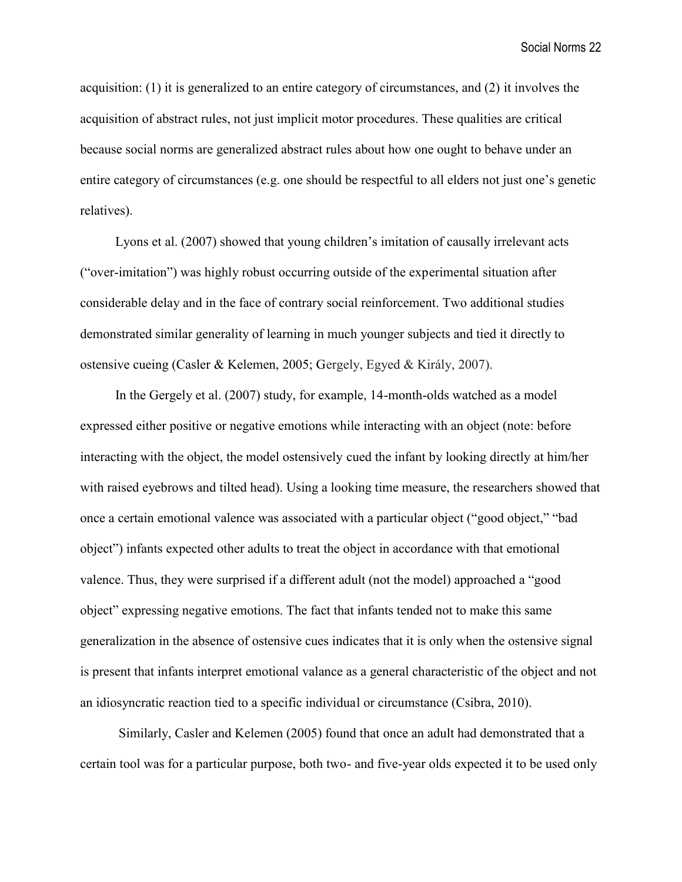acquisition: (1) it is generalized to an entire category of circumstances, and (2) it involves the acquisition of abstract rules, not just implicit motor procedures. These qualities are critical because social norms are generalized abstract rules about how one ought to behave under an entire category of circumstances (e.g. one should be respectful to all elders not just one's genetic relatives).

Lyons et al. (2007) showed that young children's imitation of causally irrelevant acts ("over-imitation") was highly robust occurring outside of the experimental situation after considerable delay and in the face of contrary social reinforcement. Two additional studies demonstrated similar generality of learning in much younger subjects and tied it directly to ostensive cueing (Casler & Kelemen, 2005; Gergely, Egyed & Király, 2007).

In the Gergely et al. (2007) study, for example, 14-month-olds watched as a model expressed either positive or negative emotions while interacting with an object (note: before interacting with the object, the model ostensively cued the infant by looking directly at him/her with raised eyebrows and tilted head). Using a looking time measure, the researchers showed that once a certain emotional valence was associated with a particular object ("good object," "bad object") infants expected other adults to treat the object in accordance with that emotional valence. Thus, they were surprised if a different adult (not the model) approached a "good object" expressing negative emotions. The fact that infants tended not to make this same generalization in the absence of ostensive cues indicates that it is only when the ostensive signal is present that infants interpret emotional valance as a general characteristic of the object and not an idiosyncratic reaction tied to a specific individual or circumstance (Csibra, 2010).

Similarly, Casler and Kelemen (2005) found that once an adult had demonstrated that a certain tool was for a particular purpose, both two- and five-year olds expected it to be used only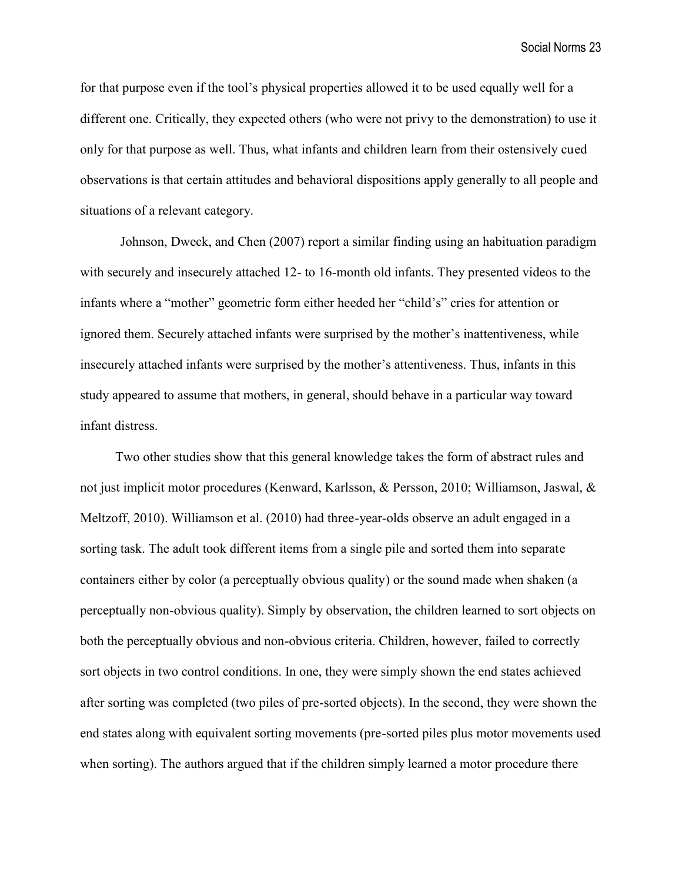for that purpose even if the tool's physical properties allowed it to be used equally well for a different one. Critically, they expected others (who were not privy to the demonstration) to use it only for that purpose as well. Thus, what infants and children learn from their ostensively cued observations is that certain attitudes and behavioral dispositions apply generally to all people and situations of a relevant category.

Johnson, Dweck, and Chen (2007) report a similar finding using an habituation paradigm with securely and insecurely attached 12- to 16-month old infants. They presented videos to the infants where a "mother" geometric form either heeded her "child's" cries for attention or ignored them. Securely attached infants were surprised by the mother's inattentiveness, while insecurely attached infants were surprised by the mother's attentiveness. Thus, infants in this study appeared to assume that mothers, in general, should behave in a particular way toward infant distress.

Two other studies show that this general knowledge takes the form of abstract rules and not just implicit motor procedures (Kenward, Karlsson, & Persson, 2010; Williamson, Jaswal, & Meltzoff, 2010). Williamson et al. (2010) had three-year-olds observe an adult engaged in a sorting task. The adult took different items from a single pile and sorted them into separate containers either by color (a perceptually obvious quality) or the sound made when shaken (a perceptually non-obvious quality). Simply by observation, the children learned to sort objects on both the perceptually obvious and non-obvious criteria. Children, however, failed to correctly sort objects in two control conditions. In one, they were simply shown the end states achieved after sorting was completed (two piles of pre-sorted objects). In the second, they were shown the end states along with equivalent sorting movements (pre-sorted piles plus motor movements used when sorting). The authors argued that if the children simply learned a motor procedure there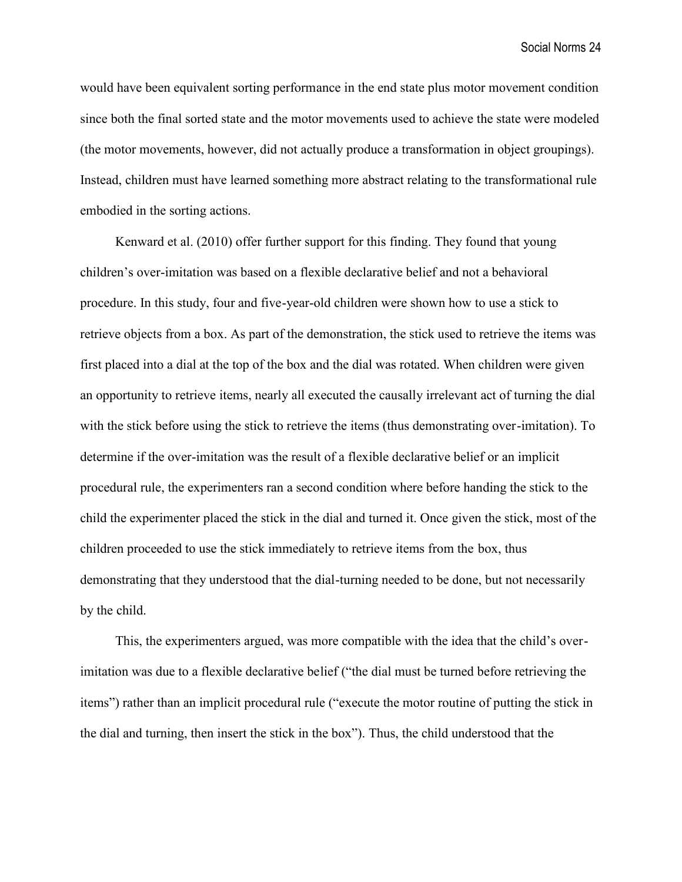would have been equivalent sorting performance in the end state plus motor movement condition since both the final sorted state and the motor movements used to achieve the state were modeled (the motor movements, however, did not actually produce a transformation in object groupings). Instead, children must have learned something more abstract relating to the transformational rule embodied in the sorting actions.

Kenward et al. (2010) offer further support for this finding. They found that young children's over-imitation was based on a flexible declarative belief and not a behavioral procedure. In this study, four and five-year-old children were shown how to use a stick to retrieve objects from a box. As part of the demonstration, the stick used to retrieve the items was first placed into a dial at the top of the box and the dial was rotated. When children were given an opportunity to retrieve items, nearly all executed the causally irrelevant act of turning the dial with the stick before using the stick to retrieve the items (thus demonstrating over-imitation). To determine if the over-imitation was the result of a flexible declarative belief or an implicit procedural rule, the experimenters ran a second condition where before handing the stick to the child the experimenter placed the stick in the dial and turned it. Once given the stick, most of the children proceeded to use the stick immediately to retrieve items from the box, thus demonstrating that they understood that the dial-turning needed to be done, but not necessarily by the child.

This, the experimenters argued, was more compatible with the idea that the child's overimitation was due to a flexible declarative belief ("the dial must be turned before retrieving the items") rather than an implicit procedural rule ("execute the motor routine of putting the stick in the dial and turning, then insert the stick in the box"). Thus, the child understood that the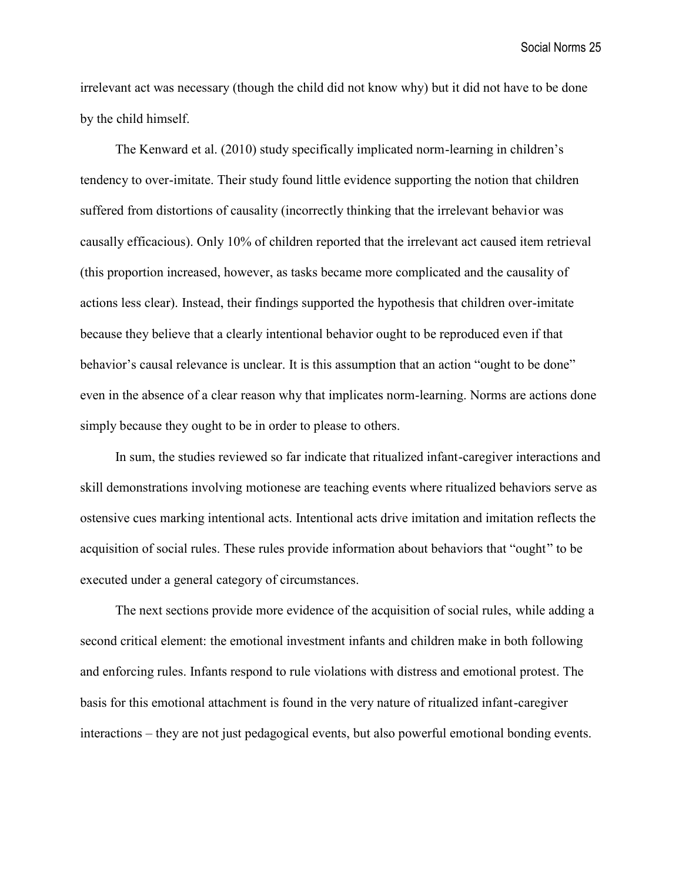irrelevant act was necessary (though the child did not know why) but it did not have to be done by the child himself.

The Kenward et al. (2010) study specifically implicated norm-learning in children's tendency to over-imitate. Their study found little evidence supporting the notion that children suffered from distortions of causality (incorrectly thinking that the irrelevant behavior was causally efficacious). Only 10% of children reported that the irrelevant act caused item retrieval (this proportion increased, however, as tasks became more complicated and the causality of actions less clear). Instead, their findings supported the hypothesis that children over-imitate because they believe that a clearly intentional behavior ought to be reproduced even if that behavior's causal relevance is unclear. It is this assumption that an action "ought to be done" even in the absence of a clear reason why that implicates norm-learning. Norms are actions done simply because they ought to be in order to please to others.

In sum, the studies reviewed so far indicate that ritualized infant-caregiver interactions and skill demonstrations involving motionese are teaching events where ritualized behaviors serve as ostensive cues marking intentional acts. Intentional acts drive imitation and imitation reflects the acquisition of social rules. These rules provide information about behaviors that "ought" to be executed under a general category of circumstances.

The next sections provide more evidence of the acquisition of social rules, while adding a second critical element: the emotional investment infants and children make in both following and enforcing rules. Infants respond to rule violations with distress and emotional protest. The basis for this emotional attachment is found in the very nature of ritualized infant-caregiver interactions – they are not just pedagogical events, but also powerful emotional bonding events.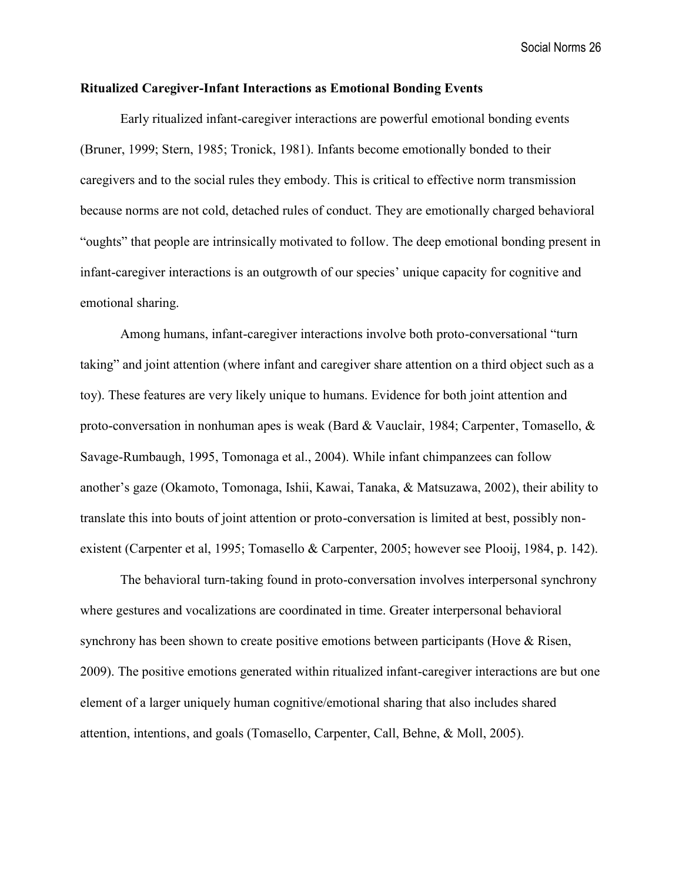### **Ritualized Caregiver-Infant Interactions as Emotional Bonding Events**

Early ritualized infant-caregiver interactions are powerful emotional bonding events (Bruner, 1999; Stern, 1985; Tronick, 1981). Infants become emotionally bonded to their caregivers and to the social rules they embody. This is critical to effective norm transmission because norms are not cold, detached rules of conduct. They are emotionally charged behavioral "oughts" that people are intrinsically motivated to follow. The deep emotional bonding present in infant-caregiver interactions is an outgrowth of our species' unique capacity for cognitive and emotional sharing.

Among humans, infant-caregiver interactions involve both proto-conversational "turn taking" and joint attention (where infant and caregiver share attention on a third object such as a toy). These features are very likely unique to humans. Evidence for both joint attention and proto-conversation in nonhuman apes is weak (Bard & Vauclair, 1984; Carpenter, Tomasello, & Savage-Rumbaugh, 1995, Tomonaga et al., 2004). While infant chimpanzees can follow another's gaze (Okamoto, Tomonaga, Ishii, Kawai, Tanaka, & Matsuzawa, 2002), their ability to translate this into bouts of joint attention or proto-conversation is limited at best, possibly non existent (Carpenter et al, 1995; Tomasello & Carpenter, 2005; however see Plooij, 1984, p. 142).

The behavioral turn-taking found in proto-conversation involves interpersonal synchrony where gestures and vocalizations are coordinated in time. Greater interpersonal behavioral synchrony has been shown to create positive emotions between participants (Hove & Risen, 2009). The positive emotions generated within ritualized infant-caregiver interactions are but one element of a larger uniquely human cognitive/emotional sharing that also includes shared attention, intentions, and goals (Tomasello, Carpenter, Call, Behne, & Moll, 2005).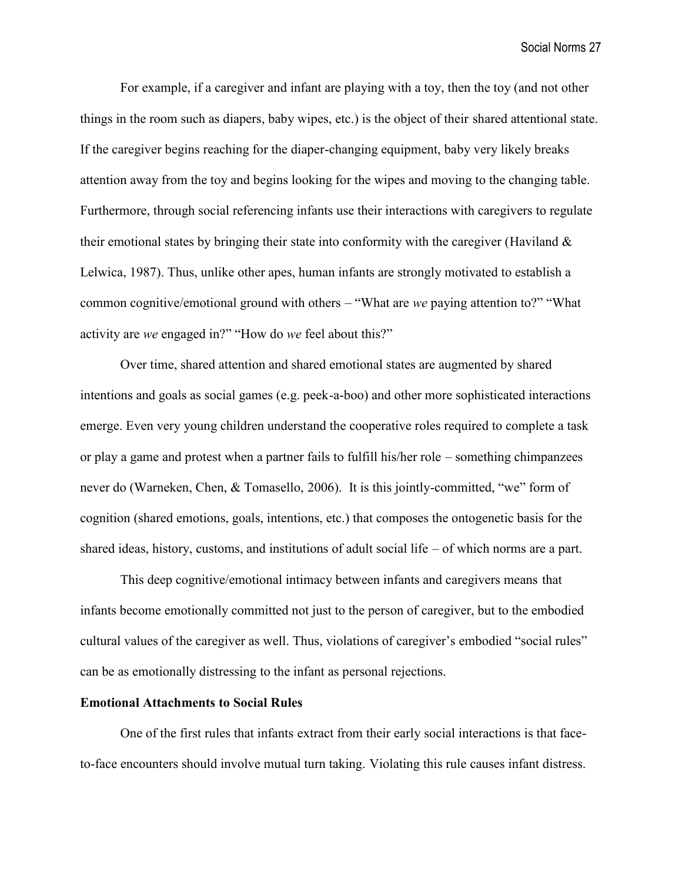For example, if a caregiver and infant are playing with a toy, then the toy (and not other things in the room such as diapers, baby wipes, etc.) is the object of their shared attentional state. If the caregiver begins reaching for the diaper-changing equipment, baby very likely breaks attention away from the toy and begins looking for the wipes and moving to the changing table. Furthermore, through social referencing infants use their interactions with caregivers to regulate their emotional states by bringing their state into conformity with the caregiver (Haviland  $\&$ Lelwica, 1987). Thus, unlike other apes, human infants are strongly motivated to establish a common cognitive/emotional ground with others – "What are *we* paying attention to?" "What activity are *we* engaged in?" "How do *we* feel about this?"

Over time, shared attention and shared emotional states are augmented by shared intentions and goals as social games (e.g. peek-a-boo) and other more sophisticated interactions emerge. Even very young children understand the cooperative roles required to complete a task or play a game and protest when a partner fails to fulfill his/her role – something chimpanzees never do (Warneken, Chen, & Tomasello, 2006). It is this jointly-committed, "we" form of cognition (shared emotions, goals, intentions, etc.) that composes the ontogenetic basis for the shared ideas, history, customs, and institutions of adult social life – of which norms are a part.

This deep cognitive/emotional intimacy between infants and caregivers means that infants become emotionally committed not just to the person of caregiver, but to the embodied cultural values of the caregiver as well. Thus, violations of caregiver's embodied "social rules" can be as emotionally distressing to the infant as personal rejections.

## **Emotional Attachments to Social Rules**

One of the first rules that infants extract from their early social interactions is that faceto-face encounters should involve mutual turn taking. Violating this rule causes infant distress.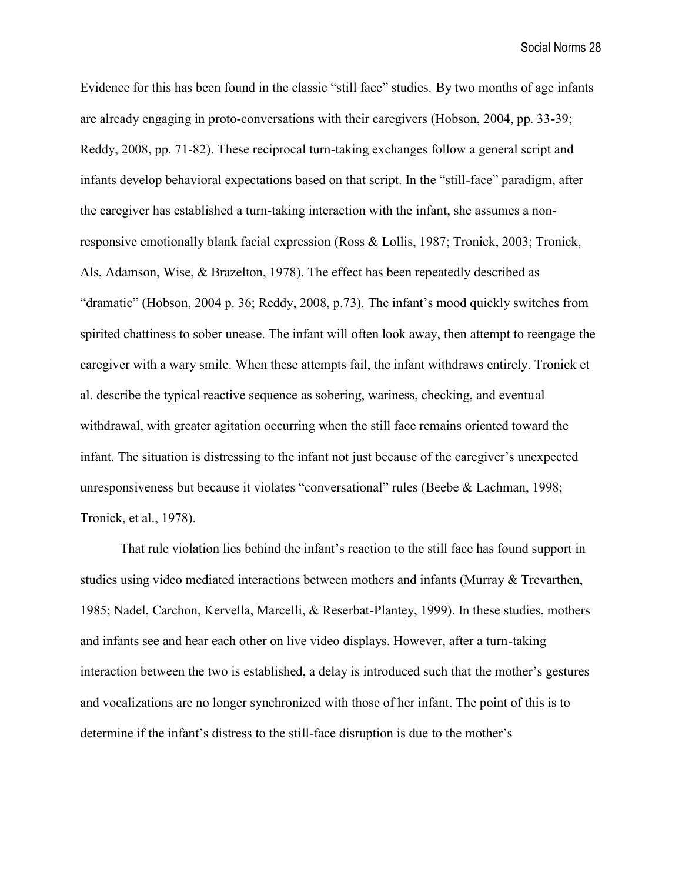Evidence for this has been found in the classic "still face" studies. By two months of age infants are already engaging in proto-conversations with their caregivers (Hobson, 2004, pp. 33-39; Reddy, 2008, pp. 71-82). These reciprocal turn-taking exchanges follow a general script and infants develop behavioral expectations based on that script. In the "still-face" paradigm, after the caregiver has established a turn-taking interaction with the infant, she assumes a nonresponsive emotionally blank facial expression (Ross & Lollis, 1987; Tronick, 2003; Tronick, Als, Adamson, Wise, & Brazelton, 1978). The effect has been repeatedly described as "dramatic" (Hobson, 2004 p. 36; Reddy, 2008, p.73). The infant's mood quickly switches from spirited chattiness to sober unease. The infant will often look away, then attempt to reengage the caregiver with a wary smile. When these attempts fail, the infant withdraws entirely. Tronick et al. describe the typical reactive sequence as sobering, wariness, checking, and eventual withdrawal, with greater agitation occurring when the still face remains oriented toward the infant. The situation is distressing to the infant not just because of the caregiver's unexpected unresponsiveness but because it violates "conversational" rules (Beebe & Lachman, 1998; Tronick, et al., 1978).

That rule violation lies behind the infant's reaction to the still face has found support in studies using video mediated interactions between mothers and infants (Murray & Trevarthen, 1985; Nadel, Carchon, Kervella, Marcelli, & Reserbat-Plantey, 1999). In these studies, mothers and infants see and hear each other on live video displays. However, after a turn-taking interaction between the two is established, a delay is introduced such that the mother's gestures and vocalizations are no longer synchronized with those of her infant. The point of this is to determine if the infant's distress to the still-face disruption is due to the mother's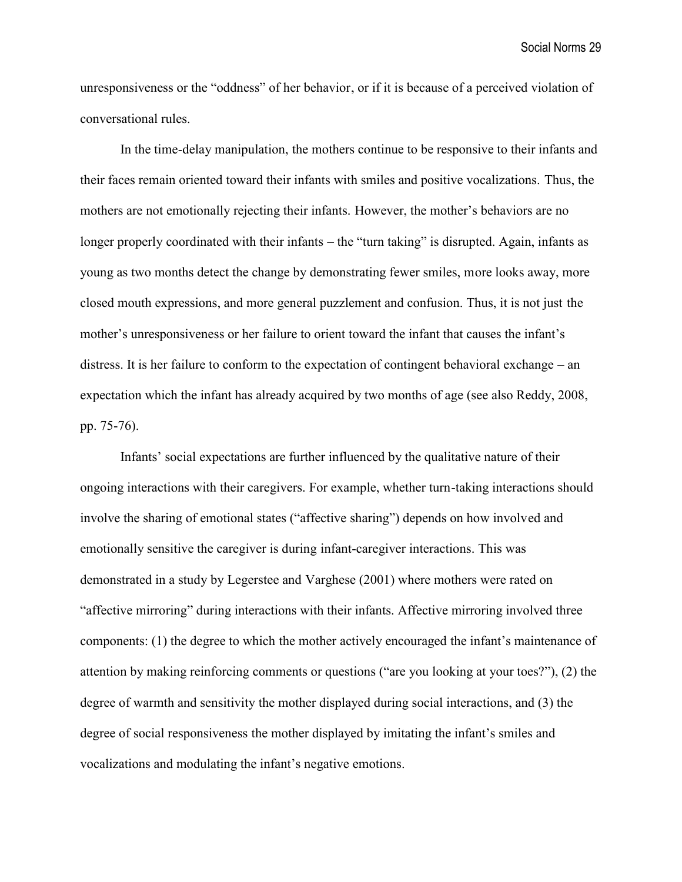unresponsiveness or the "oddness" of her behavior, or if it is because of a perceived violation of conversational rules.

In the time-delay manipulation, the mothers continue to be responsive to their infants and their faces remain oriented toward their infants with smiles and positive vocalizations. Thus, the mothers are not emotionally rejecting their infants. However, the mother's behaviors are no longer properly coordinated with their infants – the "turn taking" is disrupted. Again, infants as young as two months detect the change by demonstrating fewer smiles, more looks away, more closed mouth expressions, and more general puzzlement and confusion. Thus, it is not just the mother's unresponsiveness or her failure to orient toward the infant that causes the infant's distress. It is her failure to conform to the expectation of contingent behavioral exchange – an expectation which the infant has already acquired by two months of age (see also Reddy, 2008, pp. 75-76).

Infants' social expectations are further influenced by the qualitative nature of their ongoing interactions with their caregivers. For example, whether turn-taking interactions should involve the sharing of emotional states ("affective sharing") depends on how involved and emotionally sensitive the caregiver is during infant-caregiver interactions. This was demonstrated in a study by Legerstee and Varghese (2001) where mothers were rated on "affective mirroring" during interactions with their infants. Affective mirroring involved three components: (1) the degree to which the mother actively encouraged the infant's maintenance of attention by making reinforcing comments or questions ("are you looking at your toes?"), (2) the degree of warmth and sensitivity the mother displayed during social interactions, and (3) the degree of social responsiveness the mother displayed by imitating the infant's smiles and vocalizations and modulating the infant's negative emotions.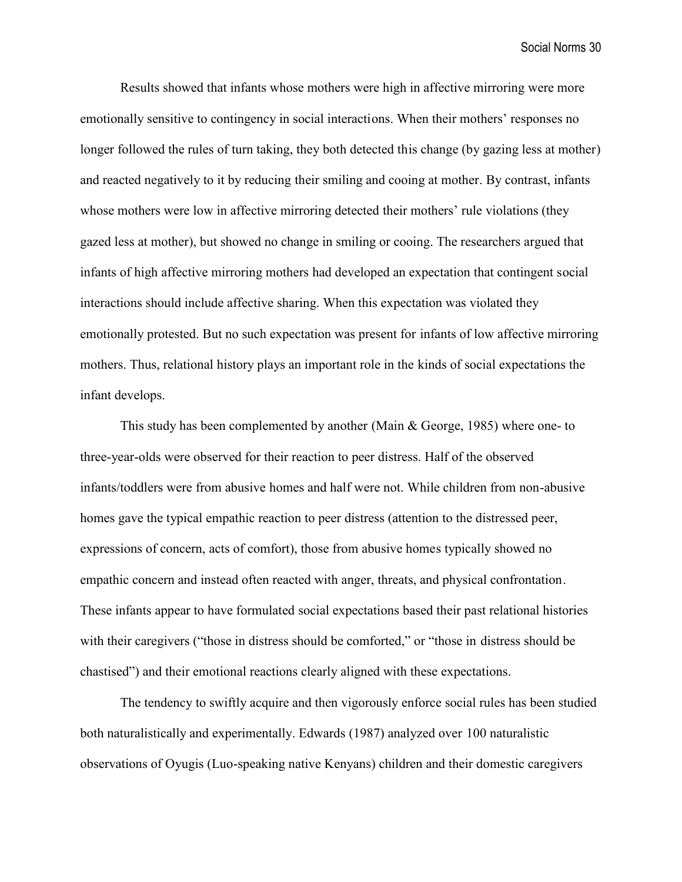Results showed that infants whose mothers were high in affective mirroring were more emotionally sensitive to contingency in social interactions. When their mothers' responses no longer followed the rules of turn taking, they both detected this change (by gazing less at mother) and reacted negatively to it by reducing their smiling and cooing at mother. By contrast, infants whose mothers were low in affective mirroring detected their mothers' rule violations (they gazed less at mother), but showed no change in smiling or cooing. The researchers argued that infants of high affective mirroring mothers had developed an expectation that contingent social interactions should include affective sharing. When this expectation was violated they emotionally protested. But no such expectation was present for infants of low affective mirroring mothers. Thus, relational history plays an important role in the kinds of social expectations the infant develops.

This study has been complemented by another (Main & George, 1985) where one- to three-year-olds were observed for their reaction to peer distress. Half of the observed infants/toddlers were from abusive homes and half were not. While children from non-abusive homes gave the typical empathic reaction to peer distress (attention to the distressed peer, expressions of concern, acts of comfort), those from abusive homes typically showed no empathic concern and instead often reacted with anger, threats, and physical confrontation. These infants appear to have formulated social expectations based their past relational histories with their caregivers ("those in distress should be comforted," or "those in distress should be chastised") and their emotional reactions clearly aligned with these expectations.

The tendency to swiftly acquire and then vigorously enforce social rules has been studied both naturalistically and experimentally. Edwards (1987) analyzed over 100 naturalistic observations of Oyugis (Luo-speaking native Kenyans) children and their domestic caregivers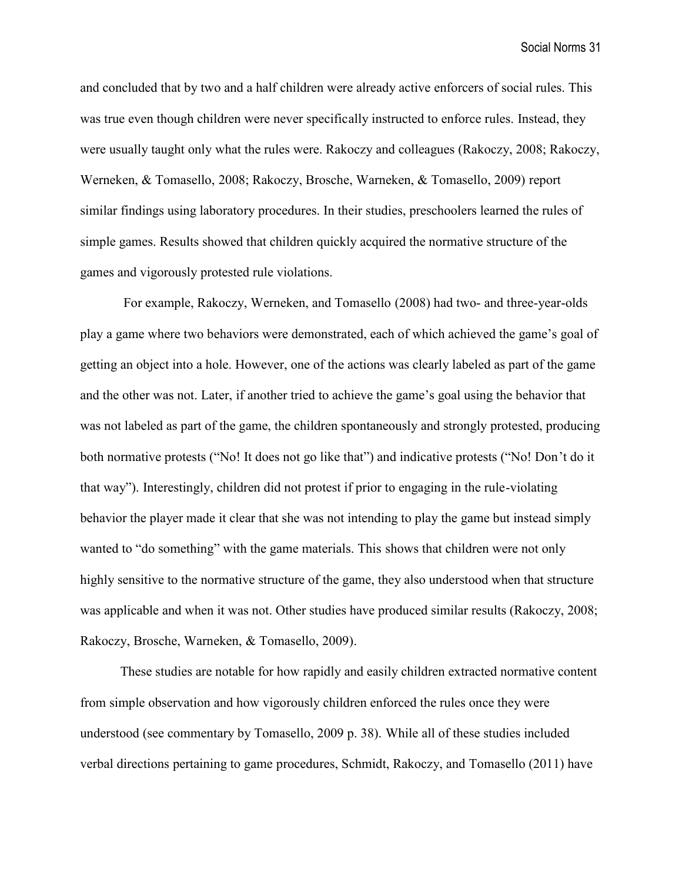and concluded that by two and a half children were already active enforcers of social rules. This was true even though children were never specifically instructed to enforce rules. Instead, they were usually taught only what the rules were. Rakoczy and colleagues (Rakoczy, 2008; Rakoczy, Werneken, & Tomasello, 2008; Rakoczy, Brosche, Warneken, & Tomasello, 2009) report similar findings using laboratory procedures. In their studies, preschoolers learned the rules of simple games. Results showed that children quickly acquired the normative structure of the games and vigorously protested rule violations.

For example, Rakoczy, Werneken, and Tomasello (2008) had two- and three-year-olds play a game where two behaviors were demonstrated, each of which achieved the game's goal of getting an object into a hole. However, one of the actions was clearly labeled as part of the game and the other was not. Later, if another tried to achieve the game's goal using the behavior that was not labeled as part of the game, the children spontaneously and strongly protested, producing both normative protests ("No! It does not go like that") and indicative protests ("No! Don't do it that way"). Interestingly, children did not protest if prior to engaging in the rule-violating behavior the player made it clear that she was not intending to play the game but instead simply wanted to "do something" with the game materials. This shows that children were not only highly sensitive to the normative structure of the game, they also understood when that structure was applicable and when it was not. Other studies have produced similar results (Rakoczy, 2008; Rakoczy, Brosche, Warneken, & Tomasello, 2009).

These studies are notable for how rapidly and easily children extracted normative content from simple observation and how vigorously children enforced the rules once they were understood (see commentary by Tomasello, 2009 p. 38). While allof these studies included verbal directions pertaining to game procedures, Schmidt, Rakoczy, and Tomasello (2011) have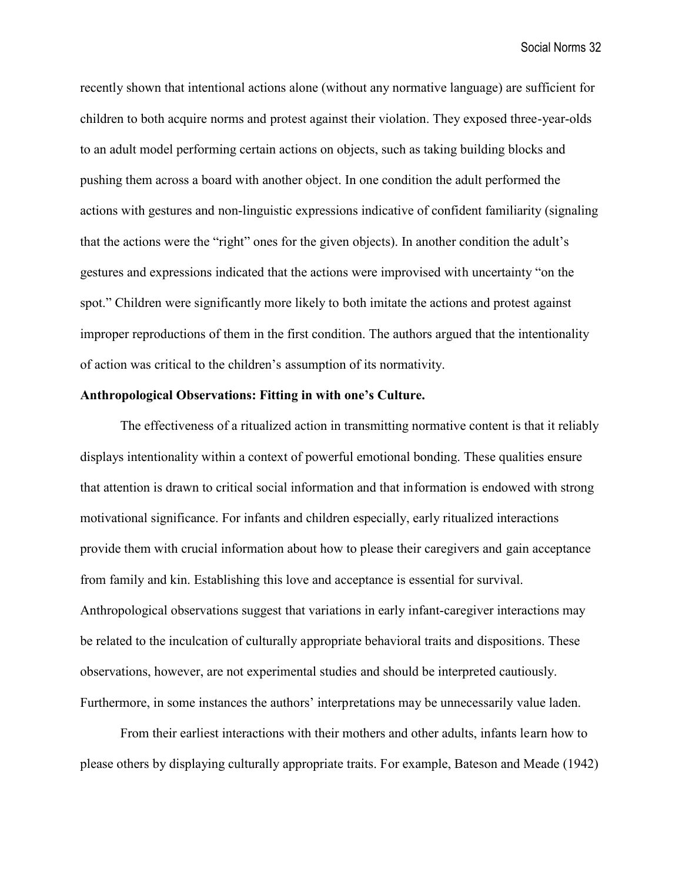recently shown that intentional actions alone (without any normative language) are sufficient for children to both acquire norms and protest against their violation. They exposed three-year-olds to an adult model performing certain actions on objects, such as taking building blocks and pushing them across a board with another object. In one condition the adult performed the actions with gestures and non-linguistic expressions indicative of confident familiarity (signaling that the actions were the "right" ones for the given objects). In another condition the adult's gestures and expressions indicated that the actions were improvised with uncertainty "on the spot." Children were significantly more likely to both imitate the actions and protest against improper reproductions of them in the first condition. The authors argued that the intentionality of action was critical to the children's assumption of its normativity.

#### **Anthropological Observations: Fitting in with one's Culture.**

The effectiveness of a ritualized action in transmitting normative content is that it reliably displays intentionality within a context of powerful emotional bonding. These qualities ensure that attention is drawn to critical social information and that information is endowed with strong motivational significance. For infants and children especially, early ritualized interactions provide them with crucial information about how to please their caregivers and gain acceptance from family and kin. Establishing this love and acceptance is essential for survival. Anthropological observations suggest that variations in early infant-caregiver interactions may be related to the inculcation of culturally appropriate behavioral traits and dispositions. These observations, however, are not experimental studies and should be interpreted cautiously. Furthermore, in some instances the authors' interpretations may be unnecessarily value laden.

From their earliest interactions with their mothers and other adults, infants learn how to please others by displaying culturally appropriate traits. For example, Bateson and Meade (1942)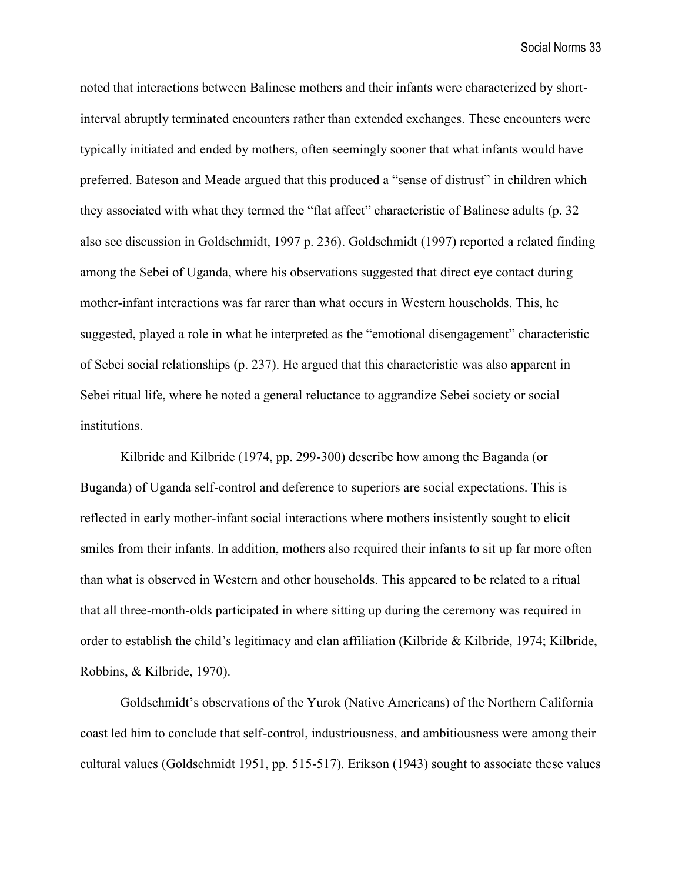noted that interactions between Balinese mothers and their infants were characterized by shortinterval abruptly terminated encounters rather than extended exchanges. These encounters were typically initiated and ended by mothers, often seemingly sooner that what infants would have preferred. Bateson and Meade argued that this produced a "sense of distrust" in children which they associated with what they termed the "flat affect" characteristic of Balinese adults (p. 32 also see discussion in Goldschmidt, 1997 p. 236). Goldschmidt (1997) reported a related finding among the Sebei of Uganda, where his observations suggested that direct eye contact during mother-infant interactions was far rarer than what occurs in Western households. This, he suggested, played a role in what he interpreted as the "emotional disengagement" characteristic of Sebei social relationships (p. 237). He argued that this characteristic was also apparent in Sebei ritual life, where he noted a general reluctance to aggrandize Sebei society or social institutions.

Kilbride and Kilbride (1974, pp. 299-300) describe how among the Baganda (or Buganda) of Uganda self-control and deference to superiors are social expectations. This is reflected in early mother-infant social interactions where mothers insistently sought to elicit smiles from their infants. In addition, mothers also required their infants to sit up far more often than what is observed in Western and other households. This appeared to be related to a ritual that all three-month-olds participated in where sitting up during the ceremony was required in order to establish the child's legitimacy and clan affiliation (Kilbride & Kilbride, 1974; Kilbride, Robbins, & Kilbride, 1970).

Goldschmidt's observations of the Yurok (Native Americans) of the Northern California coast led him to conclude that self-control, industriousness, and ambitiousness were among their cultural values (Goldschmidt 1951, pp. 515-517). Erikson (1943) sought to associate these values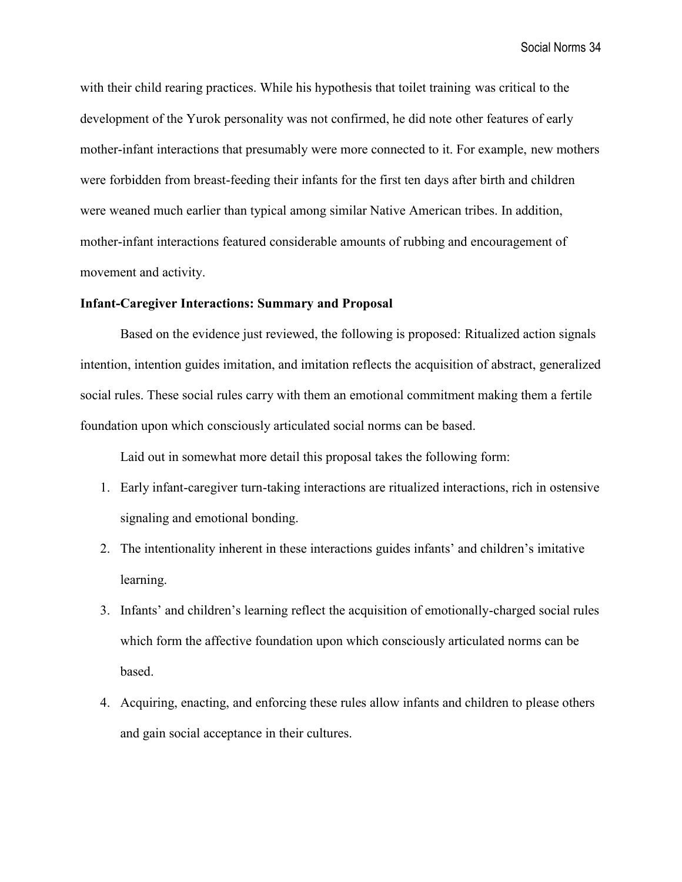with their child rearing practices. While his hypothesis that toilet training was critical to the development of the Yurok personality was not confirmed, he did note other features of early mother-infant interactions that presumably were more connected to it. For example, new mothers were forbidden from breast-feeding their infants for the first ten days after birth and children were weaned much earlier than typical among similar Native American tribes. In addition, mother-infant interactions featured considerable amounts of rubbing and encouragement of movement and activity.

## **Infant-Caregiver Interactions: Summary and Proposal**

Based on the evidence just reviewed, the following is proposed: Ritualized action signals intention, intention guides imitation, and imitation reflects the acquisition of abstract, generalized social rules. These social rules carry with them an emotional commitment making them a fertile foundation upon which consciously articulated social norms can be based.

Laid out in somewhat more detail this proposal takes the following form:

- 1. Early infant-caregiver turn-taking interactions are ritualized interactions, rich in ostensive signaling and emotional bonding.
- 2. The intentionality inherent in these interactions guides infants' and children's imitative learning.
- 3. Infants' and children's learning reflect the acquisition of emotionally-charged social rules which form the affective foundation upon which consciously articulated norms can be based.
- 4. Acquiring, enacting, and enforcing these rules allow infants and children to please others and gain social acceptance in their cultures.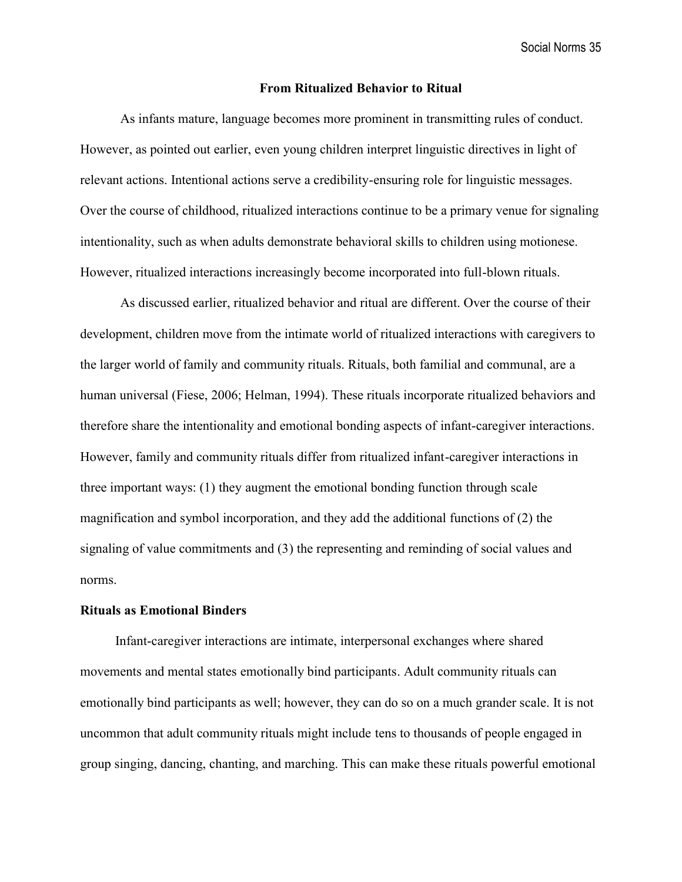#### **From Ritualized Behavior to Ritual**

As infants mature, language becomes more prominent in transmitting rules of conduct. However, as pointed out earlier, even young children interpret linguistic directives in light of relevant actions. Intentional actions serve a credibility-ensuring role for linguistic messages. Over the course of childhood, ritualized interactions continue to be a primary venue for signaling intentionality, such as when adults demonstrate behavioral skills to children using motionese. However, ritualized interactions increasingly become incorporated into full-blown rituals.

As discussed earlier, ritualized behavior and ritual are different. Over the course of their development, children move from the intimate world of ritualized interactions with caregivers to the larger world of family and community rituals. Rituals, both familial and communal, are a human universal (Fiese, 2006; Helman, 1994). These rituals incorporate ritualized behaviors and therefore share the intentionality and emotional bonding aspects of infant-caregiver interactions. However, family and community rituals differ from ritualized infant-caregiver interactions in three important ways: (1) they augment the emotional bonding function through scale magnification and symbol incorporation, and they add the additional functions of (2) the signaling of value commitments and (3) the representing and reminding of social values and norms.

### **Rituals as Emotional Binders**

Infant-caregiver interactions are intimate, interpersonal exchanges where shared movements and mental states emotionally bind participants. Adult community rituals can emotionally bind participants as well; however, they can do so on a much grander scale. It is not uncommon that adult community rituals might include tens to thousands of people engaged in group singing, dancing, chanting, and marching. This can make these rituals powerful emotional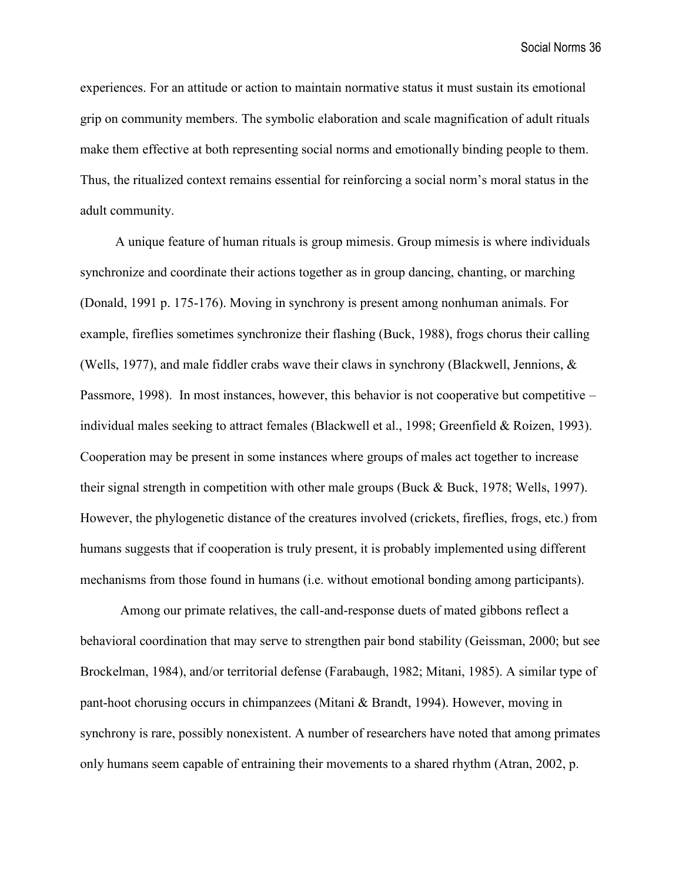experiences. For an attitude or action to maintain normative status it must sustain its emotional grip on community members. The symbolic elaboration and scale magnification of adult rituals make them effective at both representing social norms and emotionally binding people to them. Thus, the ritualized context remains essential for reinforcing a social norm's moral status in the adult community.

A unique feature of human rituals is group mimesis. Group mimesis is where individuals synchronize and coordinate their actions together as in group dancing, chanting, or marching (Donald, 1991 p. 175-176). Moving in synchrony is present among nonhuman animals. For example, fireflies sometimes synchronize their flashing (Buck, 1988), frogs chorus their calling (Wells, 1977), and male fiddler crabs wave their claws in synchrony (Blackwell, Jennions, & Passmore, 1998). In most instances, however, this behavior is not cooperative but competitive – individual males seeking to attract females (Blackwell et al., 1998; Greenfield & Roizen, 1993). Cooperation may be present in some instances where groups of males act together to increase their signal strength in competition with other male groups (Buck & Buck, 1978; Wells, 1997). However, the phylogenetic distance of the creatures involved (crickets, fireflies, frogs, etc.) from humans suggests that if cooperation is truly present, it is probably implemented using different mechanisms from those found in humans (i.e. without emotional bonding among participants).

Among our primate relatives, the call-and-response duets of mated gibbons reflect a behavioral coordination that may serve to strengthen pair bond stability (Geissman, 2000; but see Brockelman, 1984), and/or territorial defense (Farabaugh, 1982; Mitani, 1985). A similar type of pant-hoot chorusing occurs in chimpanzees (Mitani & Brandt, 1994). However, moving in synchrony is rare, possibly nonexistent. A number of researchers have noted that among primates only humans seem capable of entraining their movements to a shared rhythm (Atran, 2002, p.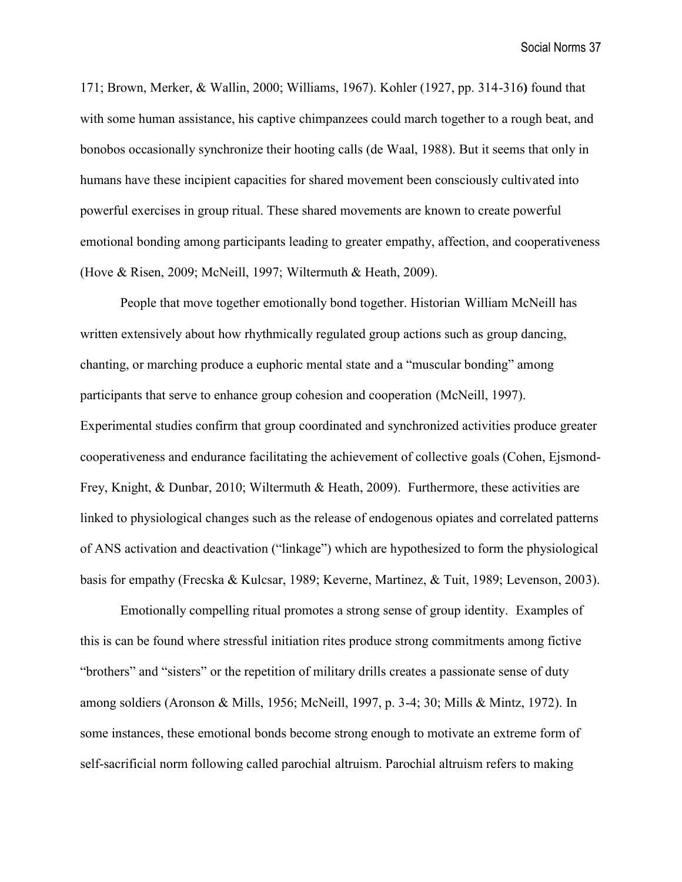171; Brown, Merker, & Wallin, 2000; Williams, 1967). Kohler (1927, pp. 314-316**)** found that with some human assistance, his captive chimpanzees could march together to a rough beat, and bonobos occasionally synchronize their hooting calls (de Waal, 1988). But it seems that only in humans have these incipient capacities for shared movement been consciously cultivated into powerful exercises in group ritual. These shared movements are known to create powerful emotional bonding among participants leading to greater empathy, affection, and cooperativeness (Hove & Risen, 2009; McNeill, 1997; Wiltermuth & Heath, 2009).

People that move together emotionally bond together. Historian William McNeill has written extensively about how rhythmically regulated group actions such as group dancing, chanting, or marching produce a euphoric mental state and a "muscular bonding" among participants that serve to enhance group cohesion and cooperation (McNeill, 1997). Experimental studies confirm that group coordinated and synchronized activities produce greater cooperativeness and endurance facilitating the achievement of collective goals (Cohen, Ejsmond- Frey, Knight, & Dunbar, 2010; Wiltermuth & Heath, 2009). Furthermore, these activities are linked to physiological changes such as the release of endogenous opiates and correlated patterns of ANS activation and deactivation ("linkage") which are hypothesized to form the physiological basis for empathy (Frecska & Kulcsar, 1989; Keverne, Martinez, & Tuit, 1989; Levenson, 2003).

Emotionally compelling ritual promotes a strong sense of group identity. Examples of this is can be found where stressful initiation rites produce strong commitments among fictive "brothers" and "sisters" or the repetition of military drills creates a passionate sense of duty among soldiers (Aronson & Mills, 1956; McNeill, 1997, p. 3-4; 30; Mills & Mintz, 1972). In some instances, these emotional bonds become strong enough to motivate an extreme form of self-sacrificial norm following called parochial altruism. Parochial altruism refers to making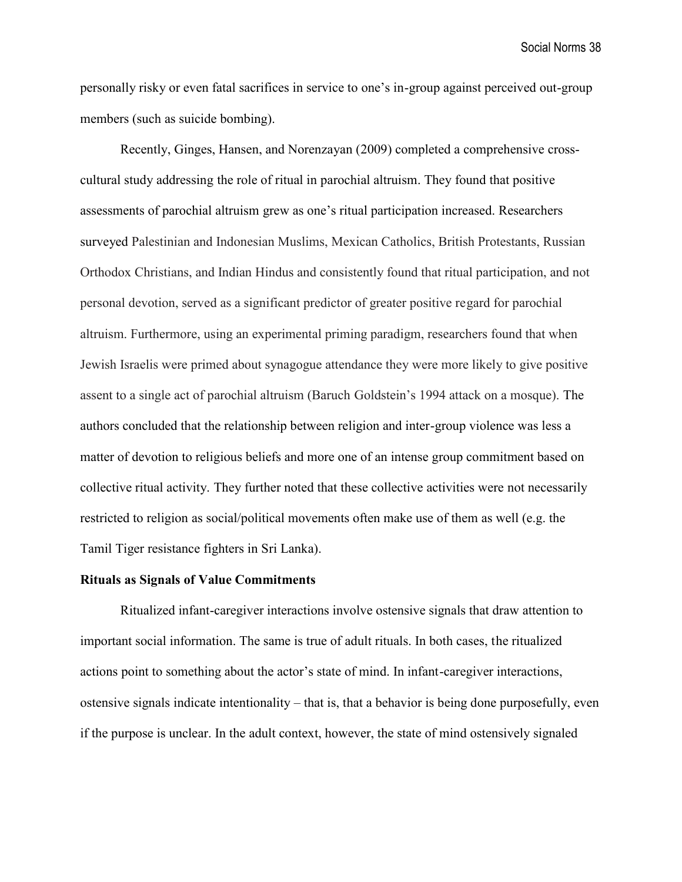personally risky or even fatal sacrifices in service to one's in-group against perceived out-group members (such as suicide bombing).

Recently, Ginges, Hansen, and Norenzayan (2009) completed a comprehensive cross cultural study addressing the role of ritual in parochial altruism. They found that positive assessments of parochial altruism grew as one's ritual participation increased. Researchers surveyed Palestinian and Indonesian Muslims, Mexican Catholics, British Protestants, Russian Orthodox Christians, and Indian Hindus and consistently found that ritual participation, and not personal devotion, served as a significant predictor of greater positive regard for parochial altruism. Furthermore, using an experimental priming paradigm, researchers found that when Jewish Israelis were primed about synagogue attendance they were more likely to give positive assent to a single act of parochial altruism (Baruch Goldstein's 1994 attack on a mosque). The authors concluded that the relationship between religion and inter-group violence was less a matter of devotion to religious beliefs and more one of an intense group commitment based on collective ritual activity. They further noted that these collective activities were not necessarily restricted to religion as social/political movements often make use of them as well (e.g. the Tamil Tiger resistance fighters in Sri Lanka).

## **Rituals as Signals of Value Commitments**

Ritualized infant-caregiver interactions involve ostensive signals that draw attention to important social information. The same is true of adult rituals. In both cases, the ritualized actions point to something about the actor's state of mind. In infant-caregiver interactions, ostensive signals indicate intentionality – that is, that a behavior is being done purposefully, even if the purpose is unclear. In the adult context, however, the state of mind ostensively signaled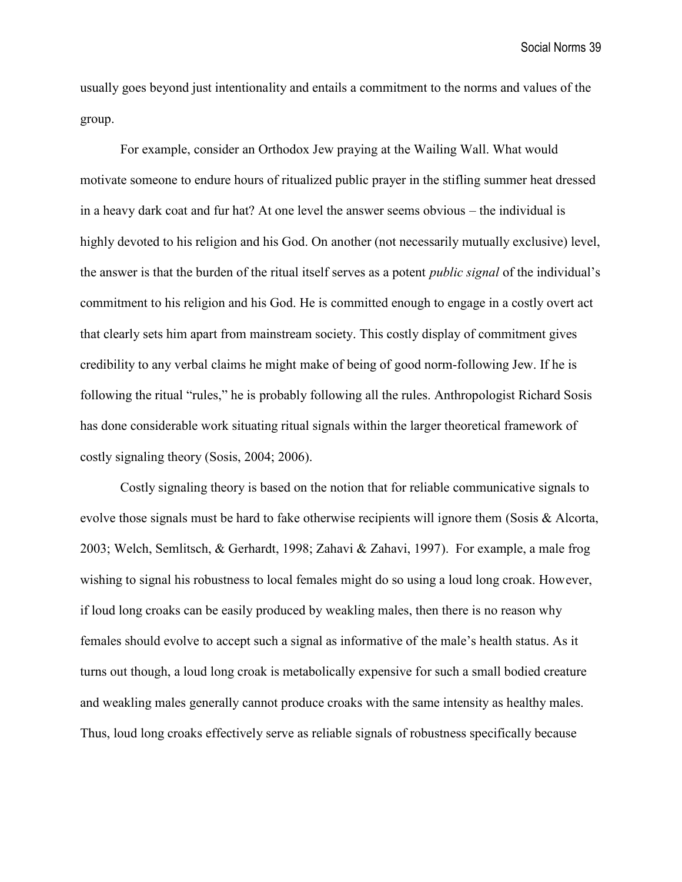usually goes beyond just intentionality and entails a commitment to the norms and values of the group.

For example, consider an Orthodox Jew praying at the Wailing Wall. What would motivate someone to endure hours of ritualized public prayer in the stifling summer heat dressed in a heavy dark coat and fur hat? At one level the answer seems obvious – the individual is highly devoted to his religion and his God. On another (not necessarily mutually exclusive) level, the answer is that the burden of the ritual itself serves as a potent *public signal* of the individual's commitment to his religion and his God. He is committed enough to engage in a costly overt act that clearly sets him apart from mainstream society. This costly display of commitment gives credibility to any verbal claims he might make of being of good norm-following Jew. If he is following the ritual "rules," he is probably following all the rules. Anthropologist Richard Sosis has done considerable work situating ritual signals within the larger theoretical framework of costly signaling theory (Sosis, 2004; 2006).

Costly signaling theory is based on the notion that for reliable communicative signals to evolve those signals must be hard to fake otherwise recipients will ignore them (Sosis & Alcorta, 2003; Welch, Semlitsch, & Gerhardt, 1998; Zahavi & Zahavi, 1997). For example, a male frog wishing to signal his robustness to local females might do so using a loud long croak. However, if loud long croaks can be easily produced by weakling males, then there is no reason why females should evolve to accept such a signal as informative of the male's health status. As it turns out though, a loud long croak is metabolically expensive for such a small bodied creature and weakling males generally cannot produce croaks with the same intensity as healthy males. Thus, loud long croaks effectively serve as reliable signals of robustness specifically because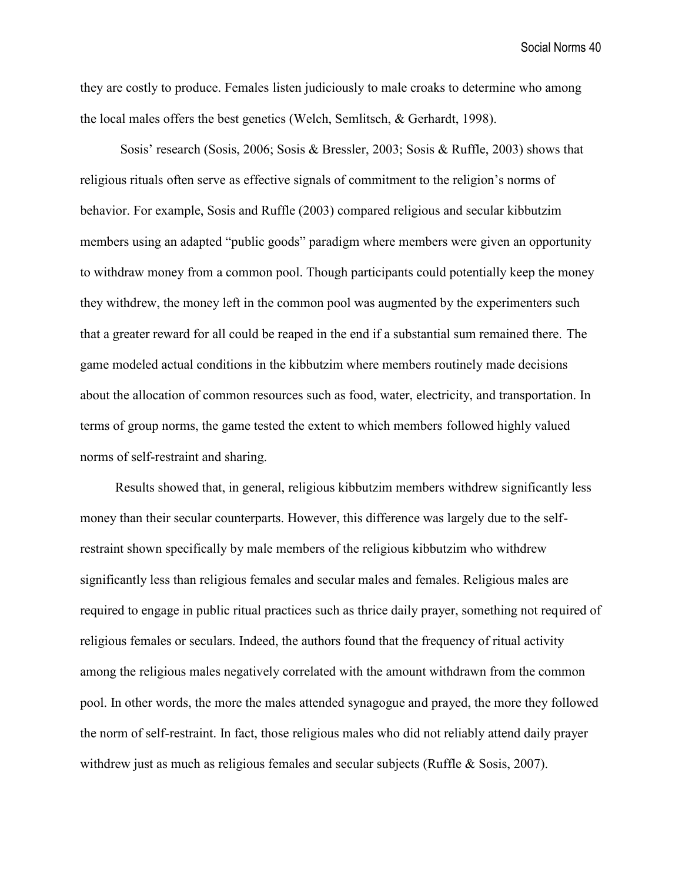they are costly to produce. Females listen judiciously to male croaks to determine who among the local males offers the best genetics (Welch, Semlitsch, & Gerhardt, 1998).

Sosis' research (Sosis, 2006; Sosis & Bressler, 2003; Sosis & Ruffle, 2003) shows that religious rituals often serve as effective signals of commitment to the religion's norms of behavior. For example, Sosis and Ruffle (2003) compared religious and secular kibbutzim members using an adapted "public goods" paradigm where members were given an opportunity to withdraw money from a common pool. Though participants could potentially keep the money they withdrew, the money left in the common pool was augmented by the experimenters such that a greater reward for all could be reaped in the end if a substantial sum remained there. The game modeled actual conditions in the kibbutzim where members routinely made decisions about the allocation of common resources such as food, water, electricity, and transportation. In terms of group norms, the game tested the extent to which members followed highly valued norms of self-restraint and sharing.

Results showed that, in general, religious kibbutzim members withdrew significantly less money than their secular counterparts. However, this difference was largely due to the selfrestraint shown specifically by male members of the religious kibbutzim who withdrew significantly less than religious females and secular males and females. Religious males are required to engage in public ritual practices such as thrice daily prayer, something not required of religious females or seculars. Indeed, the authors found that the frequency of ritual activity among the religious males negatively correlated with the amount withdrawn from the common pool. In other words, the more the males attended synagogue and prayed, the more they followed the norm of self-restraint. In fact, those religious males who did not reliably attend daily prayer withdrew just as much as religious females and secular subjects (Ruffle & Sosis, 2007).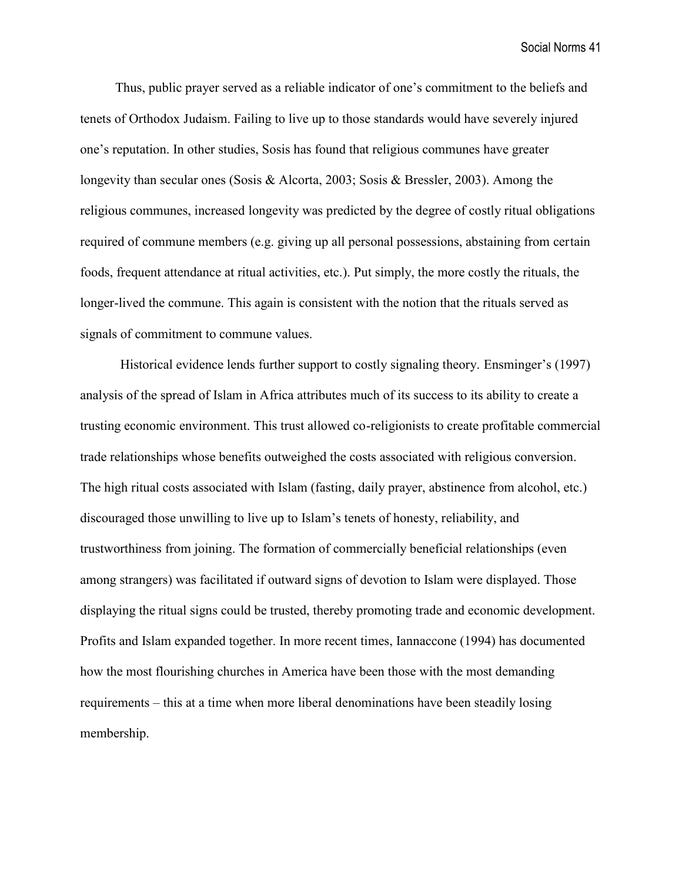Thus, public prayer served as a reliable indicator of one's commitment to the beliefs and tenets of Orthodox Judaism. Failing to live up to those standards would have severely injured one's reputation. In other studies, Sosis has found that religious communes have greater longevity than secular ones (Sosis & Alcorta, 2003; Sosis & Bressler, 2003). Among the religious communes, increased longevity was predicted by the degree of costly ritual obligations required of commune members (e.g. giving up all personal possessions, abstaining from certain foods, frequent attendance at ritual activities, etc.). Put simply, the more costly the rituals, the longer-lived the commune. This again is consistent with the notion that the rituals served as signals of commitment to commune values.

Historical evidence lends further support to costly signaling theory. Ensminger's (1997) analysis of the spread of Islam in Africa attributes much of its success to its ability to create a trusting economic environment. This trust allowed co-religionists to create profitable commercial trade relationships whose benefits outweighed the costs associated with religious conversion. The high ritual costs associated with Islam (fasting, daily prayer, abstinence from alcohol, etc.) discouraged those unwilling to live up to Islam's tenets of honesty, reliability, and trustworthiness from joining. The formation of commercially beneficial relationships (even among strangers) was facilitated if outward signs of devotion to Islam were displayed. Those displaying the ritual signs could be trusted, thereby promoting trade and economic development. Profits and Islam expanded together. In more recent times, Iannaccone (1994) has documented how the most flourishing churches in America have been those with the most demanding requirements – this at a time when more liberal denominations have been steadily losing membership.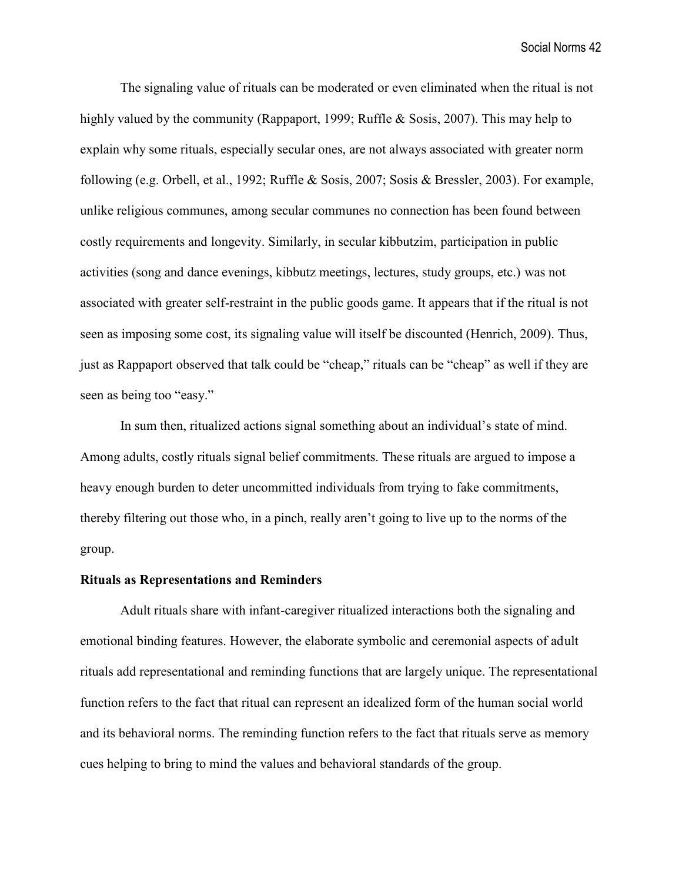The signaling value of rituals can be moderated or even eliminated when the ritual is not highly valued by the community (Rappaport, 1999; Ruffle & Sosis, 2007). This may help to explain why some rituals, especially secular ones, are not always associated with greater norm following (e.g. Orbell, et al., 1992; Ruffle & Sosis, 2007; Sosis & Bressler, 2003). For example, unlike religious communes, among secular communes no connection has been found between costly requirements and longevity. Similarly, in secular kibbutzim, participation in public activities (song and dance evenings, kibbutz meetings, lectures, study groups, etc.) was not associated with greater self-restraint in the public goods game. It appears that if the ritual is not seen as imposing some cost, its signaling value will itself be discounted (Henrich, 2009). Thus, just as Rappaport observed that talk could be "cheap," rituals can be "cheap" as well if they are seen as being too "easy."

In sum then, ritualized actions signal something about an individual's state of mind. Among adults, costly rituals signal belief commitments. These rituals are argued to impose a heavy enough burden to deter uncommitted individuals from trying to fake commitments, thereby filtering out those who, in a pinch, really aren't going to live up to the norms of the group.

## **Rituals as Representations and Reminders**

Adult rituals share with infant-caregiver ritualized interactions both the signaling and emotional binding features. However, the elaborate symbolic and ceremonial aspects of adult rituals add representational and reminding functions that are largely unique. The representational function refers to the fact that ritual can represent an idealized form of the human social world and its behavioral norms. The reminding function refers to the fact that rituals serve as memory cues helping to bring to mind the values and behavioral standards of the group.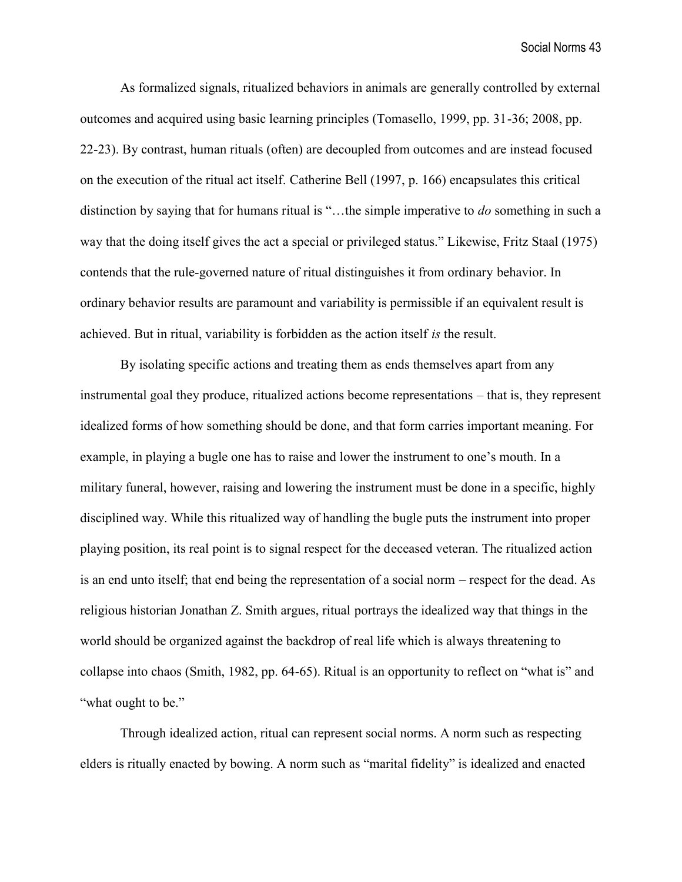As formalized signals, ritualized behaviors in animals are generally controlled by external outcomes and acquired using basic learning principles (Tomasello, 1999, pp. 31-36; 2008, pp. 22-23). By contrast, human rituals (often) are decoupled from outcomes and are instead focused on the execution of the ritual act itself. Catherine Bell (1997, p. 166) encapsulates this critical distinction by saying that for humans ritual is "…the simple imperative to *do* something in such a way that the doing itself gives the act a special or privileged status." Likewise, Fritz Staal (1975) contends that the rule-governed nature of ritual distinguishes it from ordinary behavior. In ordinary behavior results are paramount and variability is permissible if an equivalent result is achieved. But in ritual, variability is forbidden as the action itself *is* the result.

By isolating specific actions and treating them as ends themselves apart from any instrumental goal they produce, ritualized actions become representations – that is, they represent idealized forms of how something should be done, and that form carries important meaning. For example, in playing a bugle one has to raise and lower the instrument to one's mouth. In a military funeral, however, raising and lowering the instrument must be done in a specific, highly disciplined way. While this ritualized way of handling the bugle puts the instrument into proper playing position, its real point is to signal respect for the deceased veteran. The ritualized action is an end unto itself; that end being the representation of a social norm – respect for the dead. As religious historian Jonathan Z. Smith argues, ritual portrays the idealized way that things in the world should be organized against the backdrop of real life which is always threatening to collapse into chaos (Smith, 1982, pp. 64-65). Ritual is an opportunity to reflect on "what is" and "what ought to be."

Through idealized action, ritual can represent social norms. A norm such as respecting elders is ritually enacted by bowing. A norm such as "marital fidelity" is idealized and enacted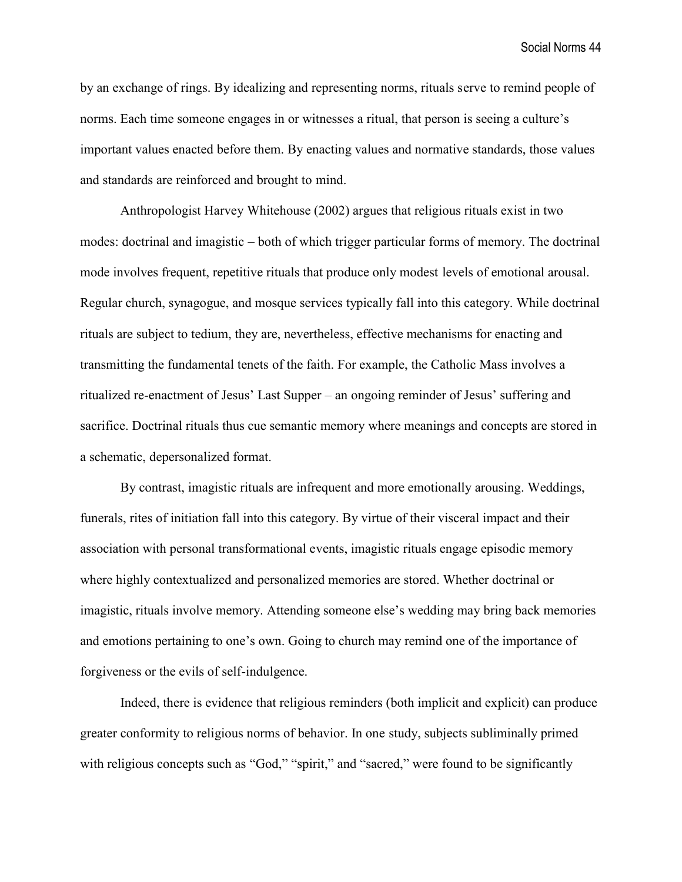by an exchange of rings. By idealizing and representing norms, rituals serve to remind people of norms. Each time someone engages in or witnesses a ritual, that person is seeing a culture's important values enacted before them. By enacting values and normative standards, those values and standards are reinforced and brought to mind.

Anthropologist Harvey Whitehouse (2002) argues that religious rituals exist in two modes: doctrinal and imagistic – both of which trigger particular forms of memory. The doctrinal mode involves frequent, repetitive rituals that produce only modest levels of emotional arousal. Regular church, synagogue, and mosque services typically fall into this category. While doctrinal rituals are subject to tedium, they are, nevertheless, effective mechanisms for enacting and transmitting the fundamental tenets of the faith. For example, the Catholic Mass involves a ritualized re-enactment of Jesus' Last Supper – an ongoing reminder of Jesus' suffering and sacrifice. Doctrinal rituals thus cue semantic memory where meanings and concepts are stored in a schematic, depersonalized format.

By contrast, imagistic rituals are infrequent and more emotionally arousing. Weddings, funerals, rites of initiation fall into this category. By virtue of their visceral impact and their association with personal transformational events, imagistic rituals engage episodic memory where highly contextualized and personalized memories are stored. Whether doctrinal or imagistic, rituals involve memory. Attending someone else's wedding may bring back memories and emotions pertaining to one's own. Going to church may remind one of the importance of forgiveness or the evils of self-indulgence.

Indeed, there is evidence that religious reminders (both implicit and explicit) can produce greater conformity to religious norms of behavior. In one study, subjects subliminally primed with religious concepts such as "God," "spirit," and "sacred," were found to be significantly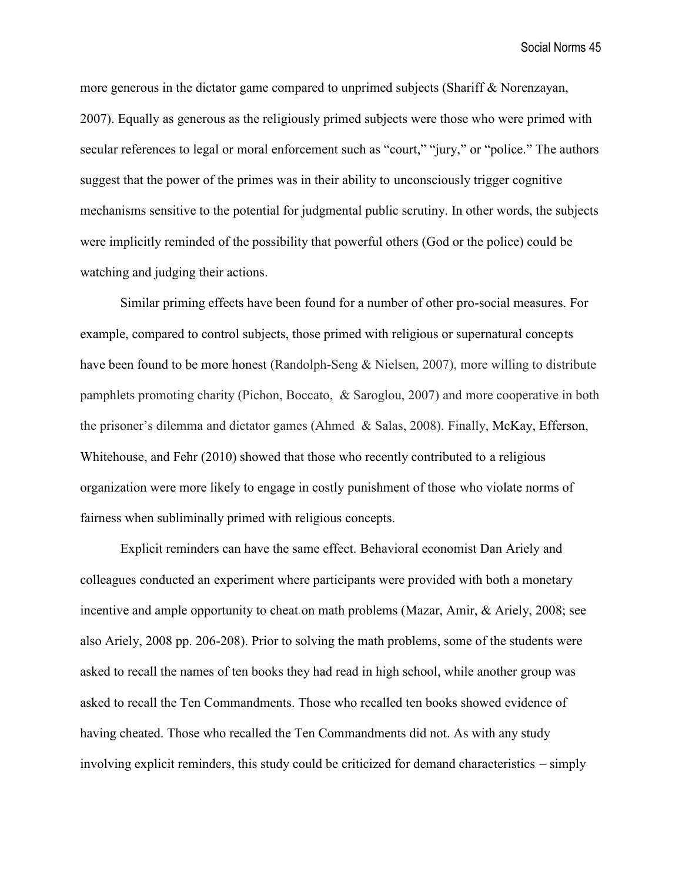more generous in the dictator game compared to unprimed subjects (Shariff & Norenzayan, 2007). Equally as generous as the religiously primed subjects were those who were primed with secular references to legal or moral enforcement such as "court," "jury," or "police." The authors suggest that the power of the primes was in their ability to unconsciously trigger cognitive mechanisms sensitive to the potential for judgmental public scrutiny. In other words, the subjects were implicitly reminded of the possibility that powerful others (God or the police) could be watching and judging their actions.

Similar priming effects have been found for a number of other pro-social measures. For example, compared to control subjects, those primed with religious or supernatural concepts have been found to be more honest (Randolph-Seng & Nielsen, 2007), more willing to distribute pamphlets promoting charity (Pichon, Boccato, & Saroglou, 2007) and more cooperative in both the prisoner's dilemma and dictator games (Ahmed & Salas, 2008). Finally, McKay, Efferson, Whitehouse, and Fehr (2010) showed that those who recently contributed to a religious organization were more likely to engage in costly punishment of those who violate norms of fairness when subliminally primed with religious concepts.

Explicit reminders can have the same effect. Behavioral economist Dan Ariely and colleagues conducted an experiment where participants were provided with both a monetary incentive and ample opportunity to cheat on math problems (Mazar, Amir, & Ariely, 2008; see also Ariely, 2008 pp. 206-208). Prior to solving the math problems, some of the students were asked to recall the names of ten books they had read in high school, while another group was asked to recall the Ten Commandments. Those who recalled ten books showed evidence of having cheated. Those who recalled the Ten Commandments did not. As with any study involving explicit reminders, this study could be criticized for demand characteristics – simply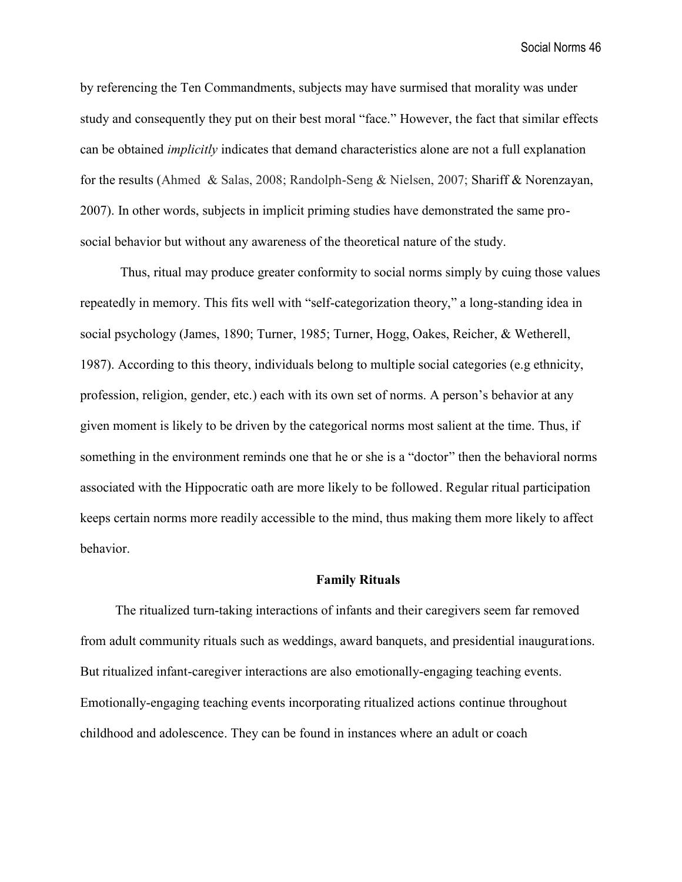by referencing the Ten Commandments, subjects may have surmised that morality was under study and consequently they put on their best moral "face." However, the fact that similar effects can be obtained *implicitly* indicates that demand characteristics alone are not a full explanation for the results (Ahmed & Salas, 2008; Randolph-Seng & Nielsen, 2007; Shariff & Norenzayan, 2007). In other words, subjects in implicit priming studies have demonstrated the same pro social behavior but without any awareness of the theoretical nature of the study.

Thus, ritual may produce greater conformity to social norms simply by cuing those values repeatedly in memory. This fits well with "self-categorization theory," a long-standing idea in social psychology (James, 1890; Turner, 1985; Turner, Hogg, Oakes, Reicher, & Wetherell, 1987). According to this theory, individuals belong to multiple social categories (e.g ethnicity, profession, religion, gender, etc.) each with its own set of norms. A person's behavior at any given moment is likely to be driven by the categorical norms most salient at the time. Thus, if something in the environment reminds one that he or she is a "doctor" then the behavioral norms associated with the Hippocratic oath are more likely to be followed. Regular ritual participation keeps certain norms more readily accessible to the mind, thus making them more likely to affect behavior.

## **Family Rituals**

The ritualized turn-taking interactions of infants and their caregivers seem far removed from adult community rituals such as weddings, award banquets, and presidential inaugurations. But ritualized infant-caregiver interactions are also emotionally-engaging teaching events. Emotionally-engaging teaching events incorporating ritualized actions continue throughout childhood and adolescence. They can be found in instances where an adult or coach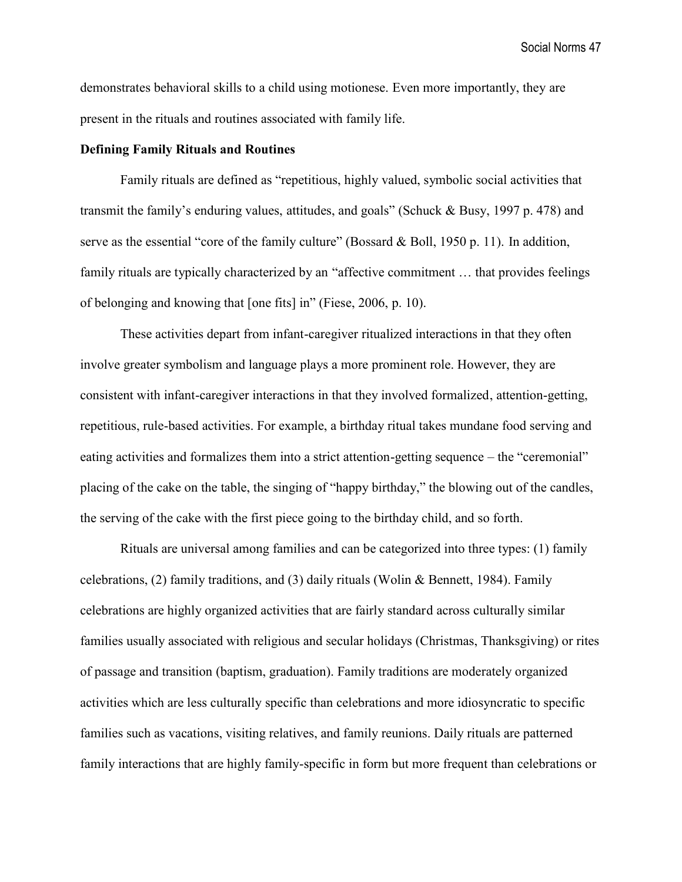demonstrates behavioral skills to a child using motionese. Even more importantly, they are present in the rituals and routines associated with family life.

# **Defining Family Rituals and Routines**

Family rituals are defined as "repetitious, highly valued, symbolic social activities that transmit the family's enduring values, attitudes, and goals" (Schuck & Busy, 1997 p. 478) and serve as the essential "core of the family culture" (Bossard & Boll, 1950 p. 11). In addition, family rituals are typically characterized by an "affective commitment … that provides feelings of belonging and knowing that [one fits] in" (Fiese, 2006, p. 10).

These activities depart from infant-caregiver ritualized interactions in that they often involve greater symbolism and language plays a more prominent role. However, they are consistent with infant-caregiver interactions in that they involved formalized, attention-getting, repetitious, rule-based activities. For example, a birthday ritual takes mundane food serving and eating activities and formalizes them into a strict attention-getting sequence – the "ceremonial" placing of the cake on the table, the singing of "happy birthday," the blowing out of the candles, the serving of the cake with the first piece going to the birthday child, and so forth.

Rituals are universal among families and can be categorized into three types: (1) family celebrations, (2) family traditions, and (3) daily rituals (Wolin & Bennett, 1984). Family celebrations are highly organized activities that are fairly standard across culturally similar families usually associated with religious and secular holidays (Christmas, Thanksgiving) or rites of passage and transition (baptism, graduation). Family traditions are moderately organized activities which are less culturally specific than celebrations and more idiosyncratic to specific families such as vacations, visiting relatives, and family reunions. Daily rituals are patterned family interactions that are highly family-specific in form but more frequent than celebrations or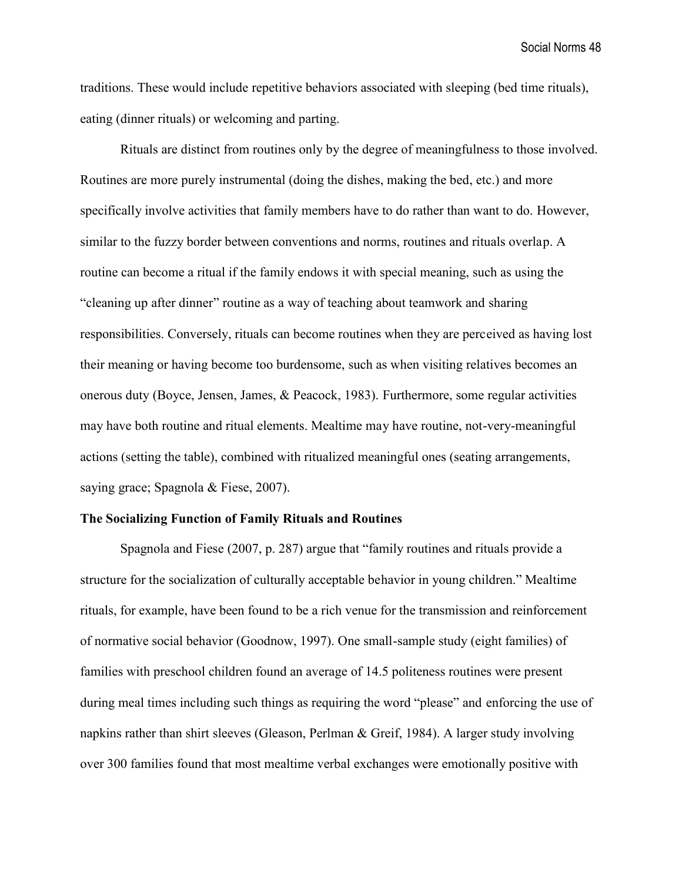traditions. These would include repetitive behaviors associated with sleeping (bed time rituals), eating (dinner rituals) or welcoming and parting.

Rituals are distinct from routines only by the degree of meaningfulness to those involved. Routines are more purely instrumental (doing the dishes, making the bed, etc.) and more specifically involve activities that family members have to do rather than want to do. However, similar to the fuzzy border between conventions and norms, routines and rituals overlap. A routine can become a ritual if the family endows it with special meaning, such as using the "cleaning up after dinner" routine as a way of teaching about teamwork and sharing responsibilities. Conversely, rituals can become routines when they are perceived as having lost their meaning or having become too burdensome, such as when visiting relatives becomes an onerous duty (Boyce, Jensen, James, & Peacock, 1983). Furthermore, some regular activities may have both routine and ritual elements. Mealtime may have routine, not-very-meaningful actions (setting the table), combined with ritualized meaningful ones (seating arrangements, saying grace; Spagnola & Fiese, 2007).

#### **The Socializing Function of Family Rituals and Routines**

Spagnola and Fiese (2007, p. 287) argue that "family routines and rituals provide a structure for the socialization of culturally acceptable behavior in young children." Mealtime rituals, for example, have been found to be a rich venue for the transmission and reinforcement of normative social behavior (Goodnow, 1997). One small-sample study (eight families) of families with preschool children found an average of 14.5 politeness routines were present during meal times including such things as requiring the word "please" and enforcing the use of napkins rather than shirt sleeves (Gleason, Perlman & Greif, 1984). A larger study involving over 300 families found that most mealtime verbal exchanges were emotionally positive with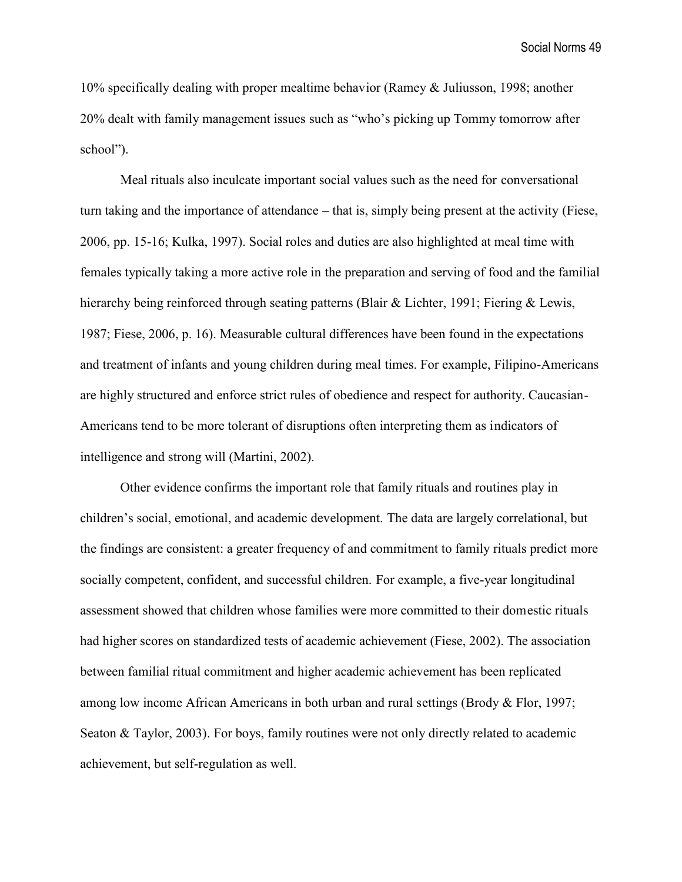10% specifically dealing with proper mealtime behavior (Ramey  $\&$  Juliusson, 1998; another 20% dealt with family management issues such as "who's picking up Tommy tomorrow after school").<br>Meal rituals also inculcate important social values such as the need for conversational

turn taking and the importance of attendance – that is, simply being present at the activity (Fiese, 2006, pp. 15-16; Kulka, 1997). Social roles and duties are also highlighted at meal time with females typically taking a more active role in the preparation and serving of food and the familial hierarchy being reinforced through seating patterns (Blair & Lichter, 1991; Fiering & Lewis, 1987; Fiese, 2006, p. 16). Measurable cultural differences have been found in the expectations and treatment of infants and young children during meal times. For example, Filipino-Americans are highly structured and enforce strict rules of obedience and respect for authority. Caucasian- Americans tend to be more tolerant of disruptions often interpreting them as indicators of intelligence and strong will (Martini, 2002).

Other evidence confirms the important role that family rituals and routines play in children's social, emotional, and academic development. The data are largely correlational, but the findings are consistent: a greater frequency of and commitment to family rituals predict more socially competent, confident, and successful children. For example, a five-year longitudinal assessment showed that children whose families were more committed to their domestic rituals had higher scores on standardized tests of academic achievement (Fiese, 2002). The association between familial ritual commitment and higher academic achievement has been replicated among low income African Americans in both urban and rural settings (Brody & Flor, 1997; Seaton & Taylor, 2003). For boys, family routines were not only directly related to academic achievement, but self-regulation as well.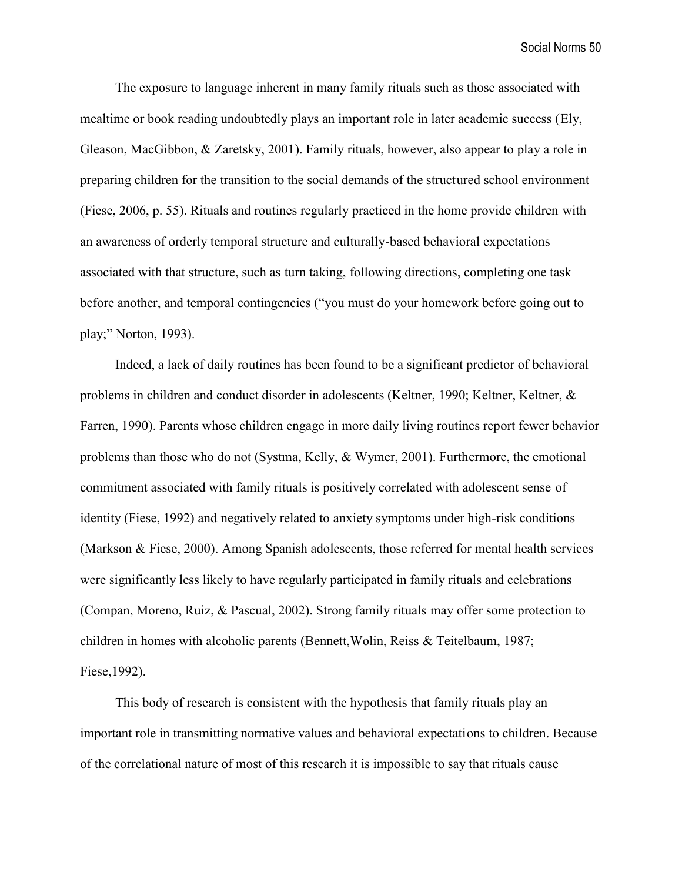The exposure to language inherent in many family rituals such as those associated with mealtime or book reading undoubtedly plays an important role in later academic success (Ely, Gleason, MacGibbon, & Zaretsky, 2001). Family rituals, however, also appear to play a role in preparing children for the transition to the social demands of the structured school environment (Fiese, 2006, p. 55). Rituals and routines regularly practiced in the home provide children with an awareness of orderly temporal structure and culturally-based behavioral expectations associated with that structure, such as turn taking, following directions, completing one task before another, and temporal contingencies ("you must do your homework before going out to play;" Norton, 1993).

Indeed, a lack of daily routines has been found to be a significant predictor of behavioral problems in children and conduct disorder in adolescents (Keltner, 1990; Keltner, Keltner, & Farren, 1990). Parents whose children engage in more daily living routines report fewer behavior problems than those who do not (Systma, Kelly, & Wymer, 2001). Furthermore, the emotional commitment associated with family rituals is positively correlated with adolescent sense of identity (Fiese, 1992) and negatively related to anxiety symptoms under high-risk conditions (Markson & Fiese, 2000). Among Spanish adolescents, those referred for mental health services were significantly less likely to have regularly participated in family rituals and celebrations (Compan, Moreno, Ruiz, & Pascual, 2002). Strong family rituals may offer some protection to children in homes with alcoholic parents (Bennett,Wolin, Reiss & Teitelbaum, 1987; Fiese,1992).

This body of research is consistent with the hypothesis that family rituals play an important role in transmitting normative values and behavioral expectations to children. Because of the correlational nature of most of this research it is impossible to say that rituals cause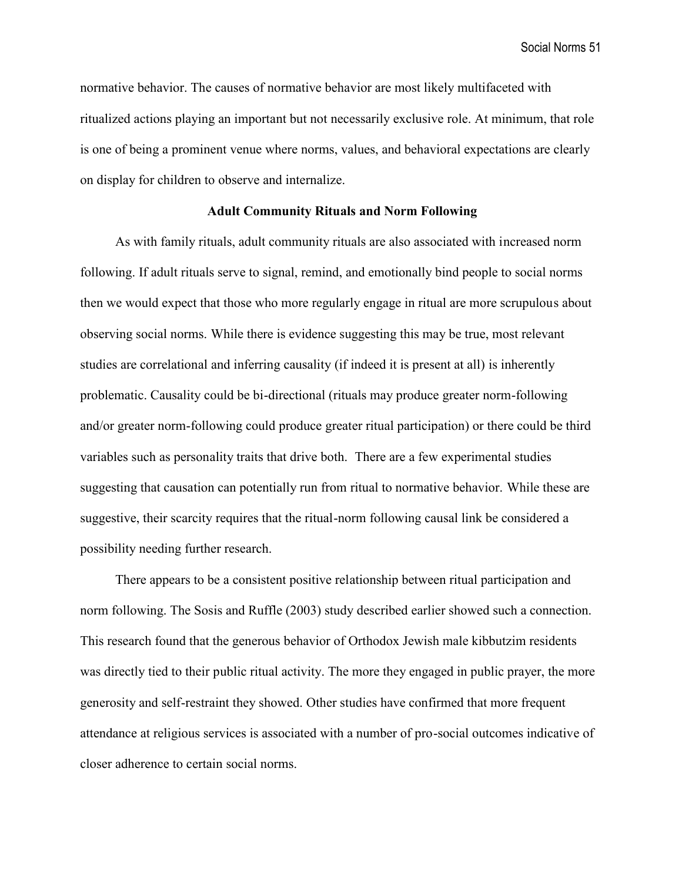normative behavior. The causes of normative behavior are most likely multifaceted with ritualized actions playing an important but not necessarily exclusive role. At minimum, that role is one of being a prominent venue where norms, values, and behavioral expectations are clearly on display for children to observe and internalize.

# **Adult Community Rituals and Norm Following**

As with family rituals, adult community rituals are also associated with increased norm following. If adult rituals serve to signal, remind, and emotionally bind people to social norms then we would expect that those who more regularly engage in ritual are more scrupulous about observing social norms. While there is evidence suggesting this may be true, most relevant studies are correlational and inferring causality (if indeed it is present at all) is inherently problematic. Causality could be bi-directional (rituals may produce greater norm-following and/or greater norm-following could produce greater ritual participation) or there could be third variables such as personality traits that drive both. There are a few experimental studies suggesting that causation can potentially run from ritual to normative behavior. While these are suggestive, their scarcity requires that the ritual-norm following causal link be considered a possibility needing further research.

There appears to be a consistent positive relationship between ritual participation and norm following. The Sosis and Ruffle (2003) study described earlier showed such a connection. This research found that the generous behavior of Orthodox Jewish male kibbutzim residents was directly tied to their public ritual activity. The more they engaged in public prayer, the more generosity and self-restraint they showed. Other studies have confirmed that more frequent attendance at religious services is associated with a number of pro-social outcomes indicative of closer adherence to certain social norms.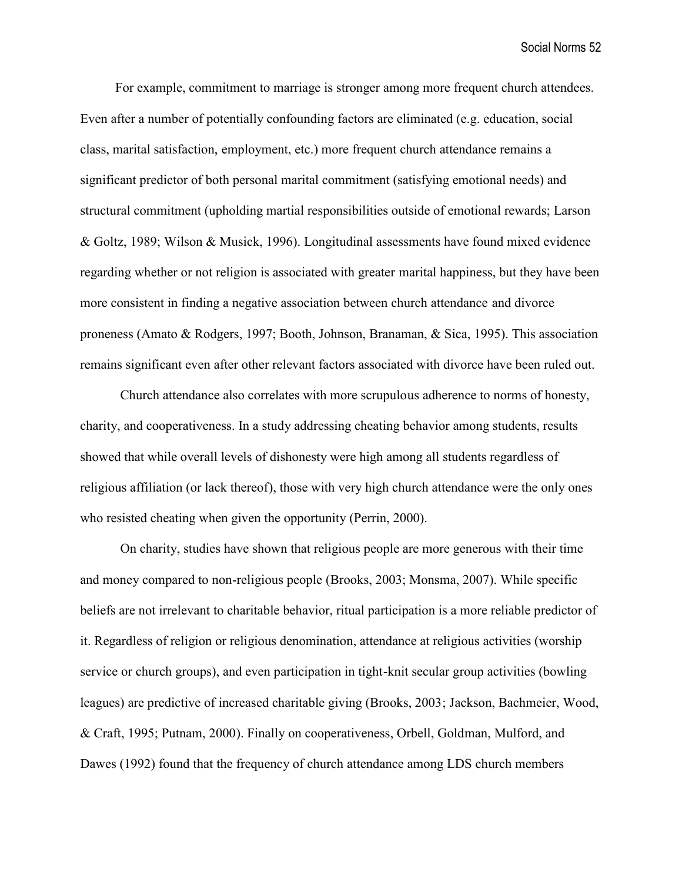For example, commitment to marriage is stronger among more frequent church attendees. Even after a number of potentially confounding factors are eliminated (e.g. education, social class, marital satisfaction, employment, etc.) more frequent church attendance remains a significant predictor of both personal marital commitment (satisfying emotional needs) and structural commitment (upholding martial responsibilities outside of emotional rewards; Larson & Goltz, 1989; Wilson & Musick, 1996). Longitudinal assessments have found mixed evidence regarding whether or not religion is associated with greater marital happiness, but they have been more consistent in finding a negative association between church attendance and divorce proneness (Amato & Rodgers, 1997; Booth, Johnson, Branaman, & Sica, 1995). This association remains significant even after other relevant factors associated with divorce have been ruled out.

Church attendance also correlates with more scrupulous adherence to norms of honesty, charity, and cooperativeness. In a study addressing cheating behavior among students, results showed that while overall levels of dishonesty were high among all students regardless of religious affiliation (or lack thereof), those with very high church attendance were the only ones who resisted cheating when given the opportunity (Perrin, 2000).

On charity, studies have shown that religious people are more generous with their time and money compared to non-religious people (Brooks, 2003; Monsma, 2007). While specific beliefs are not irrelevant to charitable behavior, ritual participation is a more reliable predictor of it. Regardless of religion or religious denomination, attendance at religious activities (worship service or church groups), and even participation in tight-knit secular group activities (bowling leagues) are predictive of increased charitable giving (Brooks, 2003; Jackson, Bachmeier, Wood, & Craft, 1995; Putnam, 2000). Finally on cooperativeness, Orbell, Goldman, Mulford, and Dawes (1992) found that the frequency of church attendance among LDS church members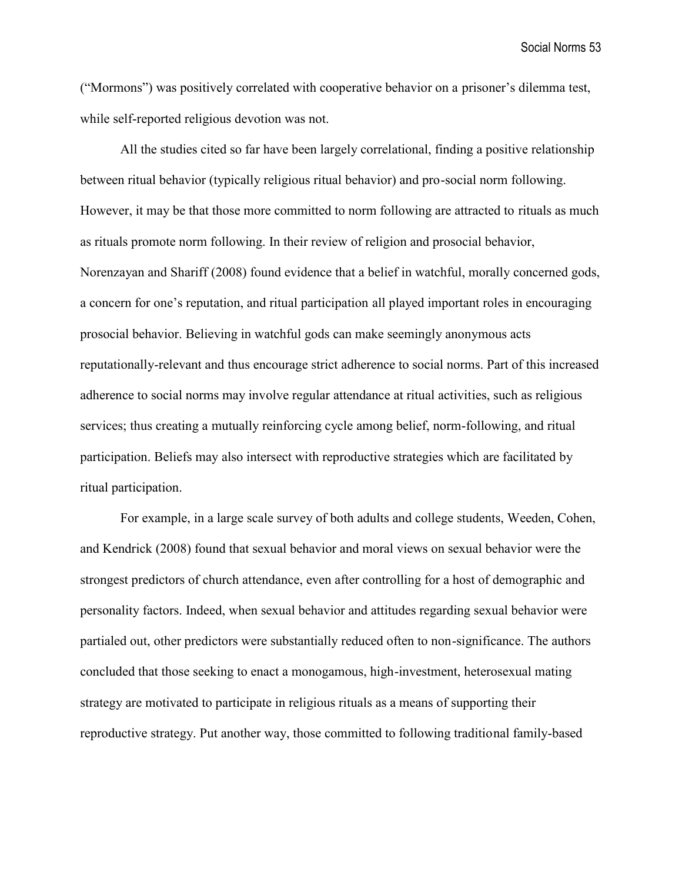("Mormons") was positively correlated with cooperative behavior on a prisoner's dilemma test, while self-reported religious devotion was not.

All the studies cited so far have been largely correlational, finding a positive relationship between ritual behavior (typically religious ritual behavior) and pro-social norm following. However, it may be that those more committed to norm following are attracted to rituals as much as rituals promote norm following. In their review of religion and prosocial behavior, Norenzayan and Shariff (2008) found evidence that a belief in watchful, morally concerned gods, a concern for one's reputation, and ritual participation all played important roles in encouraging prosocial behavior. Believing in watchful gods can make seemingly anonymous acts reputationally-relevant and thus encourage strict adherence to social norms. Part of this increased adherence to social norms may involve regular attendance at ritual activities, such as religious services; thus creating a mutually reinforcing cycle among belief, norm-following, and ritual participation. Beliefs may also intersect with reproductive strategies which are facilitated by ritual participation.

For example, in a large scale survey of both adults and college students, Weeden, Cohen, and Kendrick (2008) found that sexual behavior and moral views on sexual behavior were the strongest predictors of church attendance, even after controlling for a host of demographic and personality factors. Indeed, when sexual behavior and attitudes regarding sexual behavior were partialed out, other predictors were substantially reduced often to non-significance. The authors concluded that those seeking to enact a monogamous, high-investment, heterosexual mating strategy are motivated to participate in religious rituals as a means of supporting their reproductive strategy. Put another way, those committed to following traditional family-based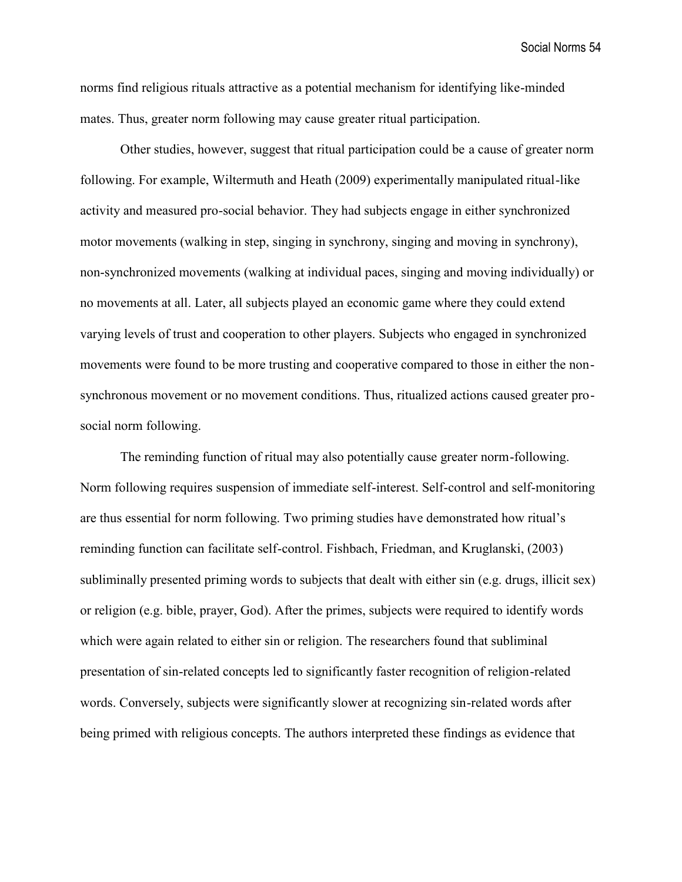norms find religious rituals attractive as a potential mechanism for identifying like-minded mates. Thus, greater norm following may cause greater ritual participation.

Other studies, however, suggest that ritual participation could be a cause of greater norm following. For example, Wiltermuth and Heath (2009) experimentally manipulated ritual-like activity and measured pro-social behavior. They had subjects engage in either synchronized motor movements (walking in step, singing in synchrony, singing and moving in synchrony), non-synchronized movements (walking at individual paces, singing and moving individually) or no movements at all. Later, all subjects played an economic game where they could extend varying levels of trust and cooperation to other players. Subjects who engaged in synchronized movements were found to be more trusting and cooperative compared to those in either the non synchronous movement or no movement conditions. Thus, ritualized actions caused greater pro social norm following.

The reminding function of ritual may also potentially cause greater norm-following. Norm following requires suspension of immediate self-interest. Self-control and self-monitoring are thus essential for norm following. Two priming studies have demonstrated how ritual's reminding function can facilitate self-control. Fishbach, Friedman, and Kruglanski, (2003) subliminally presented priming words to subjects that dealt with either sin (e.g. drugs, illicit sex) or religion (e.g. bible, prayer, God). After the primes, subjects were required to identify words which were again related to either sin or religion. The researchers found that subliminal presentation of sin-related concepts led to significantly faster recognition of religion-related words. Conversely, subjects were significantly slower at recognizing sin-related words after being primed with religious concepts. The authors interpreted these findings as evidence that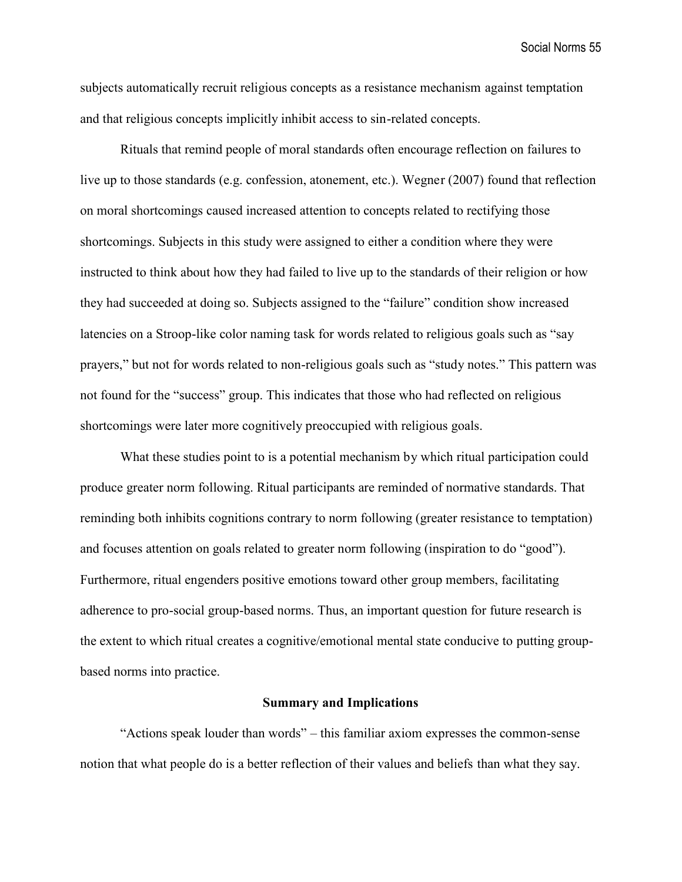subjects automatically recruit religious concepts as a resistance mechanism against temptation and that religious concepts implicitly inhibit access to sin-related concepts.

Rituals that remind people of moral standards often encourage reflection on failures to live up to those standards (e.g. confession, atonement, etc.). Wegner (2007) found that reflection on moral shortcomings caused increased attention to concepts related to rectifying those shortcomings. Subjects in this study were assigned to either a condition where they were instructed to think about how they had failed to live up to the standards of their religion or how they had succeeded at doing so. Subjects assigned to the "failure" condition show increased latencies on a Stroop-like color naming task for words related to religious goals such as "say prayers," but not for words related to non-religious goals such as "study notes." This pattern was not found for the "success" group. This indicates that those who had reflected on religious shortcomings were later more cognitively preoccupied with religious goals.

What these studies point to is a potential mechanism by which ritual participation could produce greater norm following. Ritual participants are reminded of normative standards. That reminding both inhibits cognitions contrary to norm following (greater resistance to temptation) and focuses attention on goals related to greater norm following (inspiration to do "good"). Furthermore, ritual engenders positive emotions toward other group members, facilitating adherence to pro-social group-based norms. Thus, an important question for future research is the extent to which ritual creates a cognitive/emotional mental state conducive to putting group based norms into practice.

# **Summary and Implications**

"Actions speak louder than words" – this familiar axiom expresses the common-sense notion that what people do is a better reflection of their values and beliefs than what they say.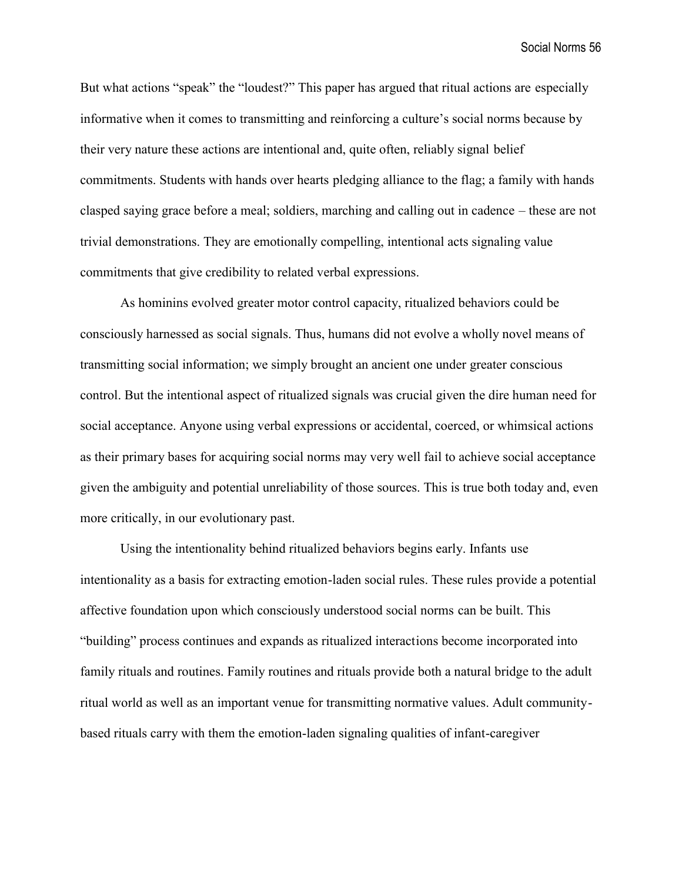But what actions "speak" the "loudest?" This paper has argued that ritual actions are especially informative when it comes to transmitting and reinforcing a culture's social norms because by their very nature these actions are intentional and, quite often, reliably signal belief commitments. Students with hands over hearts pledging alliance to the flag; a family with hands clasped saying grace before a meal; soldiers, marching and calling out in cadence – these are not trivial demonstrations. They are emotionally compelling, intentional acts signaling value commitments that give credibility to related verbal expressions.

As hominins evolved greater motor control capacity, ritualized behaviors could be consciously harnessed as social signals. Thus, humans did not evolve a wholly novel means of transmitting social information; we simply brought an ancient one under greater conscious control. But the intentional aspect of ritualized signals was crucial given the dire human need for social acceptance. Anyone using verbal expressions or accidental, coerced, or whimsical actions as their primary bases for acquiring social norms may very well fail to achieve social acceptance given the ambiguity and potential unreliability of those sources. This is true both today and, even more critically, in our evolutionary past.

Using the intentionality behind ritualized behaviors begins early. Infants use intentionality as a basis for extracting emotion-laden social rules. These rules provide a potential affective foundation upon which consciously understood social norms can be built. This "building" process continues and expands as ritualized interactions become incorporated into family rituals and routines. Family routines and rituals provide both a natural bridge to the adult ritual world as well as an important venue for transmitting normative values. Adult community based rituals carry with them the emotion-laden signaling qualities of infant-caregiver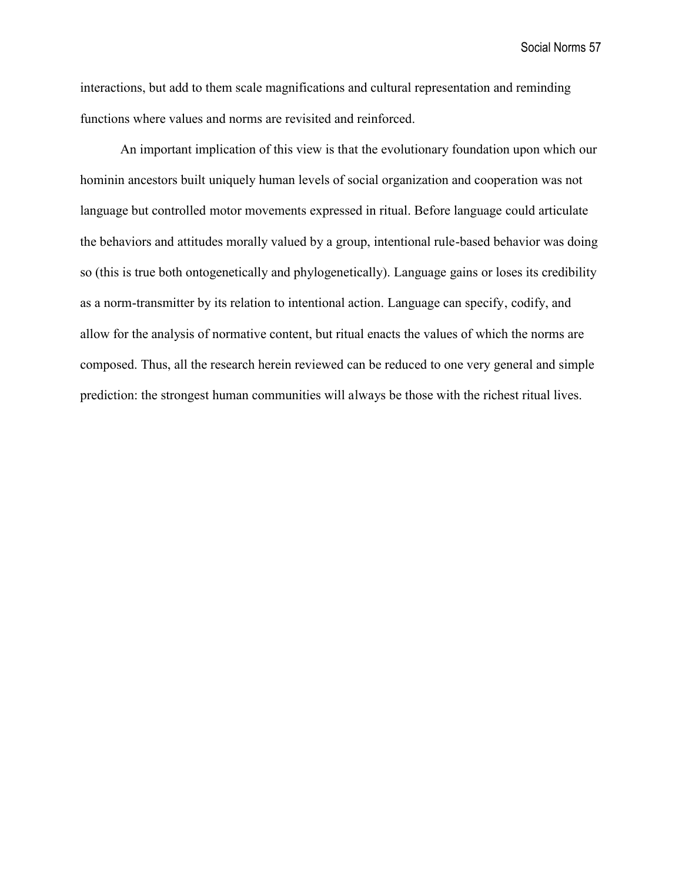interactions, but add to them scale magnifications and cultural representation and reminding functions where values and norms are revisited and reinforced.

An important implication of this view is that the evolutionary foundation upon which our hominin ancestors built uniquely human levels of social organization and cooperation was not language but controlled motor movements expressed in ritual. Before language could articulate the behaviors and attitudes morally valued by a group, intentional rule-based behavior was doing so (this is true both ontogenetically and phylogenetically). Language gains or loses its credibility as a norm-transmitter by its relation to intentional action. Language can specify, codify, and allow for the analysis of normative content, but ritual enacts the values of which the norms are composed. Thus, all the research herein reviewed can be reduced to one very general and simple prediction: the strongest human communities will always be those with the richest ritual lives.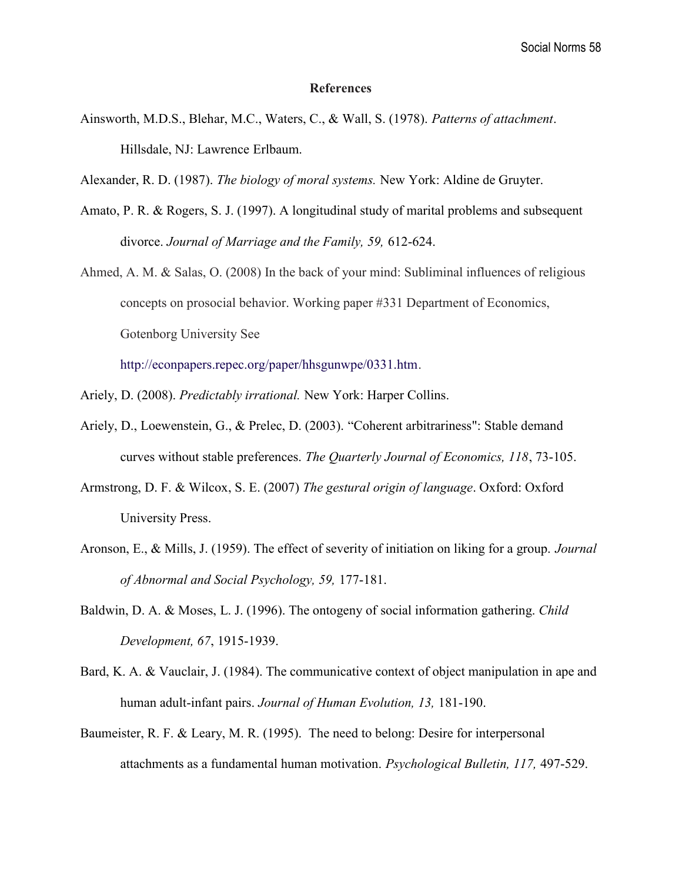#### **References**

- Ainsworth, M.D.S., Blehar, M.C., Waters, C., & Wall, S. (1978). *Patterns of attachment*. Hillsdale, NJ: Lawrence Erlbaum.
- Alexander, R. D. (1987). *The biology of moral systems.* New York: Aldine de Gruyter.
- Amato, P. R. & Rogers, S. J. (1997). A longitudinal study of marital problems and subsequent divorce. *Journal of Marriage and the Family, 59,* 612-624.
- Ahmed, A. M. & Salas, O. (2008) In the back of your mind: Subliminal influences of religious concepts on prosocial behavior. Working paper #331 Department of Economics, Gotenborg University See

http://econpapers.repec.org/paper/hhsgunwpe/0331.htm.

- Ariely, D. (2008). *Predictably irrational.* New York: Harper Collins.
- Ariely, D., Loewenstein, G., & Prelec, D. (2003). "Coherent arbitrariness": Stable demand curves without stable preferences. *The Quarterly Journal of Economics, 118*, 73-105.
- Armstrong, D. F. & Wilcox, S. E. (2007) *The gestural origin of language*. Oxford: Oxford University Press.
- Aronson, E., & Mills, J. (1959). The effect of severity of initiation on liking for a group. *Journal of Abnormal and Social Psychology, 59,* 177-181.
- Baldwin, D. A. & Moses, L. J. (1996). The ontogeny of social information gathering. *Child Development, 67*, 1915-1939.
- Bard, K. A. & Vauclair, J. (1984). The communicative context of object manipulation in ape and human adult-infant pairs. *Journal of Human Evolution, 13,* 181-190.
- Baumeister, R. F. & Leary, M. R. (1995). The need to belong: Desire for interpersonal attachments as a fundamental human motivation. *Psychological Bulletin, 117,* 497-529.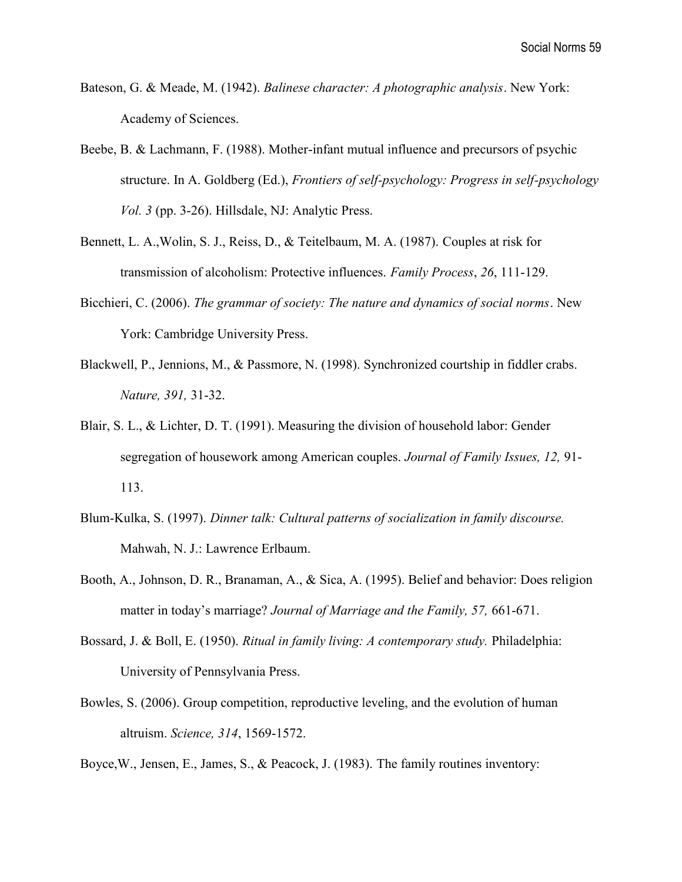- Bateson, G. & Meade, M. (1942). *Balinese character: A photographic analysis*. New York: Academy of Sciences.
- Beebe, B. & Lachmann, F. (1988). Mother-infant mutual influence and precursors of psychic structure. In A. Goldberg (Ed.), *Frontiers of self-psychology: Progress in self-psychology Vol. 3* (pp. 3-26). Hillsdale, NJ: Analytic Press.
- Bennett, L. A.,Wolin, S. J., Reiss, D., & Teitelbaum, M. A. (1987). Couples at risk for transmission of alcoholism: Protective influences. *Family Process*, *26*, 111-129.
- Bicchieri, C. (2006). *The grammar of society: The nature and dynamics of social norms*. New York: Cambridge University Press.
- Blackwell, P., Jennions, M., & Passmore, N. (1998). Synchronized courtship in fiddler crabs. *Nature, 391,* 31-32.
- Blair, S. L., & Lichter, D. T. (1991). Measuring the division of household labor: Gender segregation of housework among American couples. *Journal of Family Issues, 12,* 91- 113.
- Blum-Kulka, S. (1997). *Dinner talk: Cultural patterns of socialization in family discourse.* Mahwah, N. J.: Lawrence Erlbaum.
- Booth, A., Johnson, D. R., Branaman, A., & Sica, A. (1995). Belief and behavior: Does religion matter in today's marriage? *Journal of Marriage and the Family, 57,* 661-671.
- Bossard, J. & Boll, E. (1950). *Ritual in family living: A contemporary study.* Philadelphia: University of Pennsylvania Press.
- Bowles, S. (2006). Group competition, reproductive leveling, and the evolution of human altruism. *Science, 314*, 1569-1572.
- Boyce,W., Jensen, E., James, S., & Peacock, J. (1983). The family routines inventory: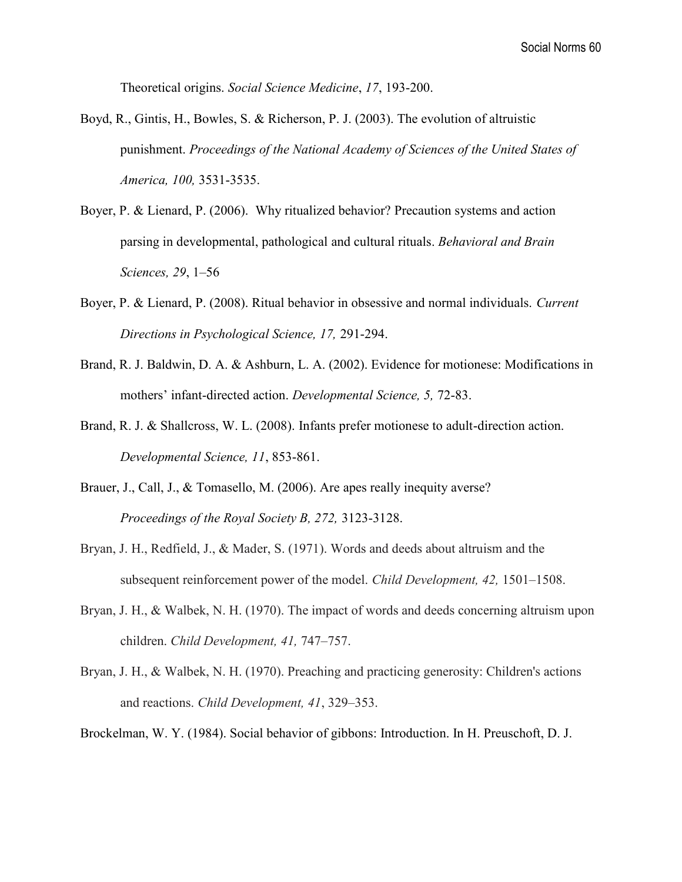Theoretical origins. *Social Science Medicine*, *17*, 193-200.

- Boyd, R., Gintis, H., Bowles, S. & Richerson, P. J. (2003). The evolution of altruistic punishment. *Proceedings of the National Academy of Sciences of the United States of America, 100,* 3531-3535.
- Boyer, P. & Lienard, P. (2006). Why ritualized behavior? Precaution systems and action parsing in developmental, pathological and cultural rituals. *Behavioral and Brain Sciences, 29*, 1–56
- Boyer, P. & Lienard, P. (2008). Ritual behavior in obsessive and normal individuals. *Current Directions in Psychological Science, 17,* 291-294.
- Brand, R. J. Baldwin, D. A. & Ashburn, L. A. (2002). Evidence for motionese: Modifications in mothers' infant-directed action. *Developmental Science, 5,* 72-83.
- Brand, R. J. & Shallcross, W. L. (2008). Infants prefer motionese to adult-direction action. *Developmental Science, 11*, 853-861.
- Brauer, J., Call, J., & Tomasello, M. (2006). Are apes really inequity averse? *Proceedings of the Royal Society B, 272,* 3123-3128.
- Bryan, J. H., Redfield, J., & Mader, S. (1971). Words and deeds about altruism and the subsequent reinforcement power of the model. *Child Development, 42,* 1501–1508.
- Bryan, J. H., & Walbek, N. H. (1970). The impact of words and deeds concerning altruism upon children. *Child Development, 41,* 747–757.
- Bryan, J. H., & Walbek, N. H. (1970). Preaching and practicing generosity: Children's actions and reactions. *Child Development, 41*, 329–353.
- Brockelman, W. Y. (1984). Social behavior of gibbons: Introduction. In H. Preuschoft, D. J.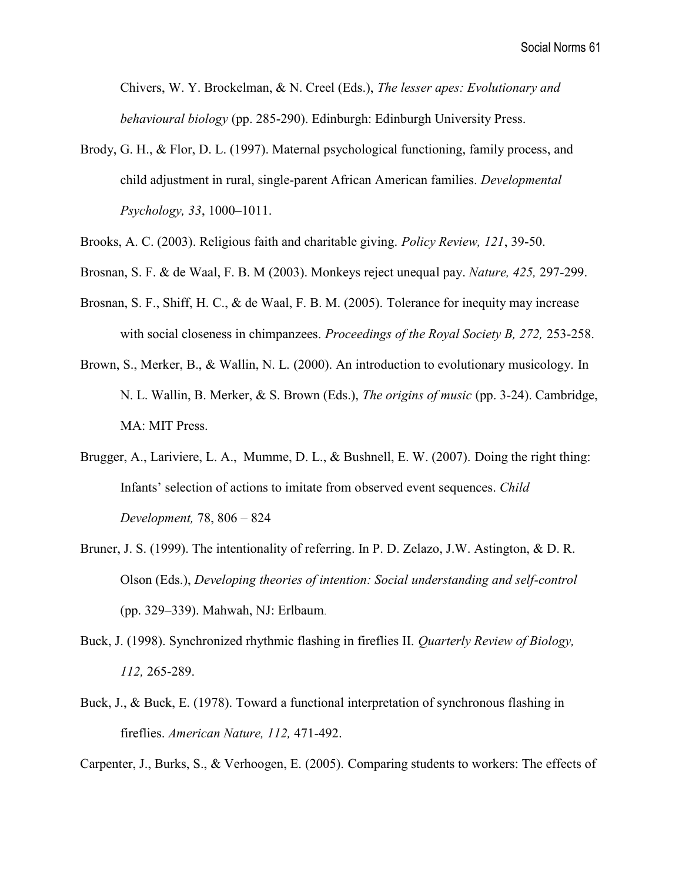Chivers, W. Y. Brockelman, & N. Creel (Eds.), *The lesser apes: Evolutionary and behavioural biology* (pp. 285-290). Edinburgh: Edinburgh University Press.

Brody, G. H., & Flor, D. L. (1997). Maternal psychological functioning, family process, and child adjustment in rural, single-parent African American families. *Developmental Psychology, 33*, 1000–1011.

Brooks, A. C. (2003). Religious faith and charitable giving. *Policy Review, 121*, 39-50.

- Brosnan, S. F. & de Waal, F. B. M (2003). Monkeys reject unequal pay. *Nature, 425,* 297-299.
- Brosnan, S. F., Shiff, H. C., & de Waal, F. B. M. (2005). Tolerance for inequity may increase with social closeness in chimpanzees. *Proceedings of the Royal Society B, 272,* 253-258.
- Brown, S., Merker, B., & Wallin, N. L. (2000). An introduction to evolutionary musicology. In N. L. Wallin, B. Merker, & S. Brown (Eds.), *The origins of music* (pp. 3-24). Cambridge, MA: MIT Press.
- Brugger, A., Lariviere, L. A., Mumme, D. L., & Bushnell, E. W. (2007). Doing the right thing: Infants' selection of actions to imitate from observed event sequences. *Child Development,* 78, 806 – 824
- Bruner, J. S. (1999). The intentionality of referring. In P. D. Zelazo, J.W. Astington, & D. R. Olson (Eds.), *Developing theories of intention: Social understanding and self-control* (pp. 329–339). Mahwah, NJ: Erlbaum.
- Buck, J. (1998). Synchronized rhythmic flashing in fireflies II. *Quarterly Review of Biology, 112,* 265-289.
- Buck, J., & Buck, E. (1978). Toward a functional interpretation of synchronous flashing in fireflies. *American Nature, 112,* 471-492.

Carpenter, J., Burks, S., & Verhoogen, E. (2005). Comparing students to workers: The effects of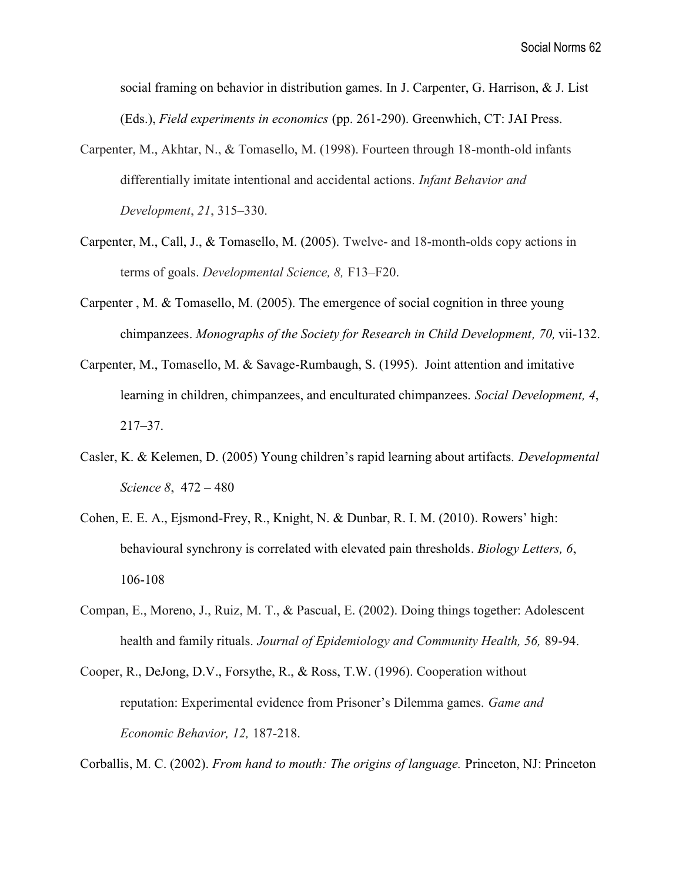social framing on behavior in distribution games. In J. Carpenter, G. Harrison, & J. List (Eds.), *Field experiments in economics* (pp. 261-290). Greenwhich, CT: JAI Press.

- Carpenter, M., Akhtar, N., & Tomasello, M. (1998). Fourteen through 18-month-old infants differentially imitate intentional and accidental actions. *Infant Behavior and Development*, *21*, 315–330.
- Carpenter, M., Call, J., & Tomasello, M. (2005). Twelve- and 18-month-olds copy actions in terms of goals. *Developmental Science, 8,* F13–F20.
- Carpenter , M. & Tomasello, M. (2005). The emergence of social cognition in three young chimpanzees. *Monographs of the Society for Research in Child Development, 70,* vii-132.
- Carpenter, M., Tomasello, M. & Savage-Rumbaugh, S. (1995). Joint attention and imitative learning in children, chimpanzees, and enculturated chimpanzees. *Social Development, 4*, 217–37.
- Casler, K. & Kelemen, D. (2005) Young children's rapid learning about artifacts. *Developmental Science 8*, 472 – 480
- Cohen, E. E. A., Ejsmond-Frey, R., Knight, N. & Dunbar, R. I. M. (2010). Rowers' high: behavioural synchrony is correlated with elevated pain thresholds. *Biology Letters, 6*, 106-108
- Compan, E., Moreno, J., Ruiz, M. T., & Pascual, E. (2002). Doing things together: Adolescent health and family rituals. *Journal of Epidemiology and Community Health, 56,* 89-94.
- Cooper, R., DeJong, D.V., Forsythe, R., & Ross, T.W. (1996). Cooperation without reputation: Experimental evidence from Prisoner's Dilemma games. *Game and Economic Behavior, 12,* 187-218.

Corballis, M. C. (2002). *From hand to mouth: The origins of language.* Princeton, NJ: Princeton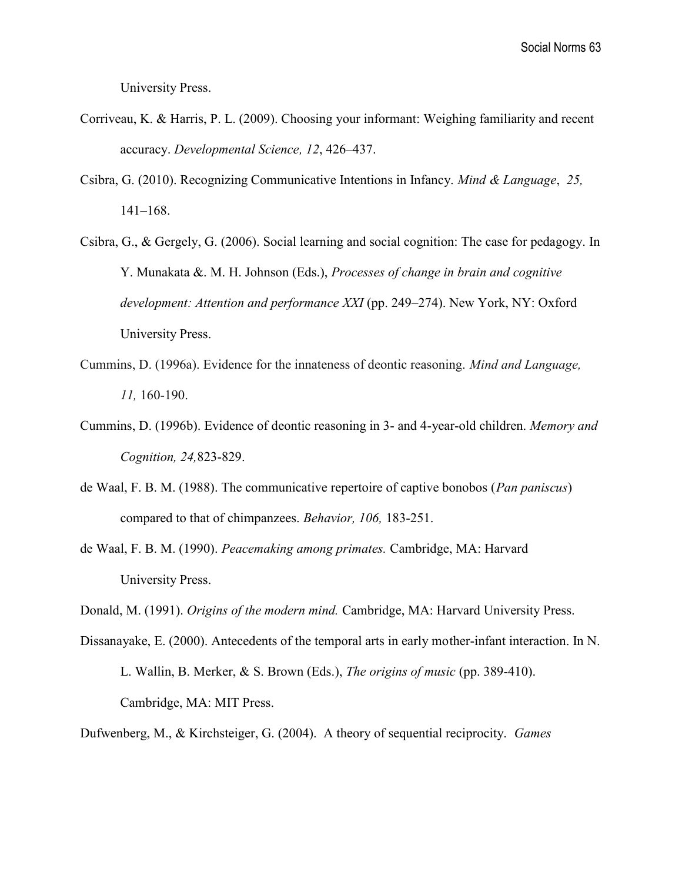University Press.

- Corriveau, K. & Harris, P. L. (2009). Choosing your informant: Weighing familiarity and recent accuracy. *Developmental Science, 12*, 426–437.
- Csibra, G. (2010). Recognizing Communicative Intentions in Infancy. *Mind & Language*, *25,* 141–168.
- Csibra, G., & Gergely, G. (2006). Social learning and social cognition: The case for pedagogy. In Y. Munakata &. M. H. Johnson (Eds.), *Processes of change in brain and cognitive development: Attention and performance XXI* (pp. 249–274). New York, NY: Oxford University Press.
- Cummins, D. (1996a). Evidence for the innateness of deontic reasoning. *Mind and Language, 11,* 160-190.
- Cummins, D. (1996b). Evidence of deontic reasoning in 3- and 4-year-old children. *Memory and Cognition, 24,*823-829.
- de Waal, F. B. M. (1988). The communicative repertoire of captive bonobos (*Pan paniscus*) compared to that of chimpanzees. *Behavior, 106,* 183-251.
- de Waal, F. B. M. (1990). *Peacemaking among primates.* Cambridge, MA: Harvard University Press.
- Donald, M. (1991). *Origins of the modern mind.* Cambridge, MA: Harvard University Press.
- Dissanayake, E. (2000). Antecedents of the temporal arts in early mother-infant interaction. In N. L. Wallin, B. Merker, & S. Brown (Eds.), *The origins of music* (pp. 389-410). Cambridge, MA: MIT Press.
- Dufwenberg, M., & Kirchsteiger, G. (2004). A theory of sequential reciprocity. *Games*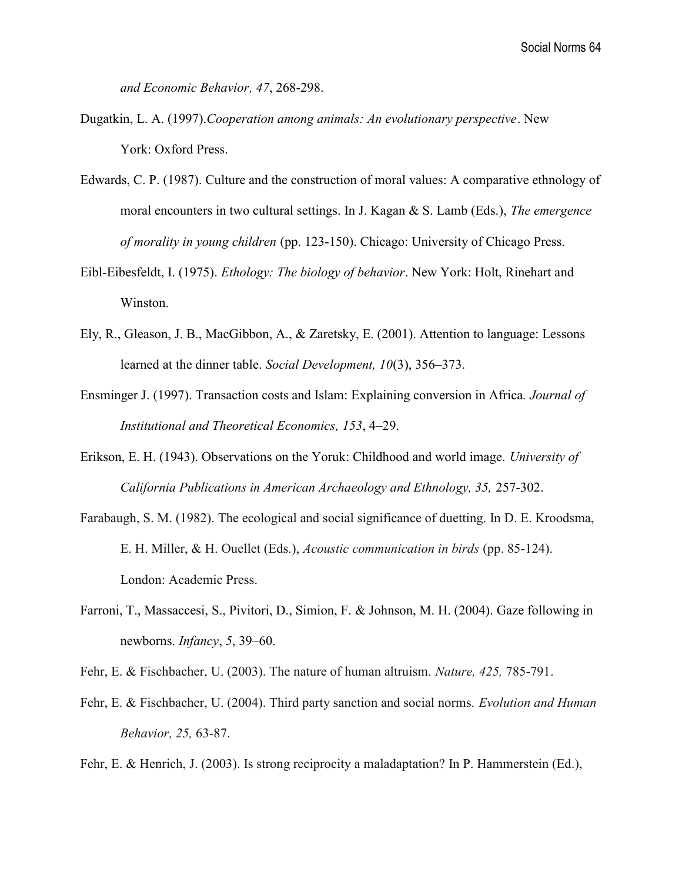*and Economic Behavior, 47*, 268-298.

- Dugatkin, L. A. (1997).*Cooperation among animals: An evolutionary perspective*. New York: Oxford Press.
- Edwards, C. P. (1987). Culture and the construction of moral values: A comparative ethnology of moral encounters in two cultural settings. In J. Kagan & S. Lamb (Eds.), *The emergence of morality in young children* (pp. 123-150). Chicago: University of Chicago Press.
- Eibl-Eibesfeldt, I. (1975). *Ethology: The biology of behavior*. New York: Holt, Rinehart and Winston.
- Ely, R., Gleason, J. B., MacGibbon, A., & Zaretsky, E. (2001). Attention to language: Lessons learned at the dinner table. *Social Development, 10*(3), 356–373.
- Ensminger J. (1997). Transaction costs and Islam: Explaining conversion in Africa*. Journal of Institutional and Theoretical Economics, 153*, 4–29.
- Erikson, E. H. (1943). Observations on the Yoruk: Childhood and world image. *University of California Publications in American Archaeology and Ethnology, 35,* 257-302.
- Farabaugh, S. M. (1982). The ecological and social significance of duetting. In D. E. Kroodsma, E. H. Miller, & H. Ouellet (Eds.), *Acoustic communication in birds* (pp. 85-124). London: Academic Press.
- Farroni, T., Massaccesi, S., Pivitori, D., Simion, F. & Johnson, M. H. (2004). Gaze following in newborns. *Infancy*, *5*, 39–60.
- Fehr, E. & Fischbacher, U. (2003). The nature of human altruism. *Nature, 425,* 785-791.
- Fehr, E. & Fischbacher, U. (2004). Third party sanction and social norms. *Evolution and Human Behavior, 25,* 63-87.
- Fehr, E. & Henrich, J. (2003). Is strong reciprocity a maladaptation? In P. Hammerstein (Ed.),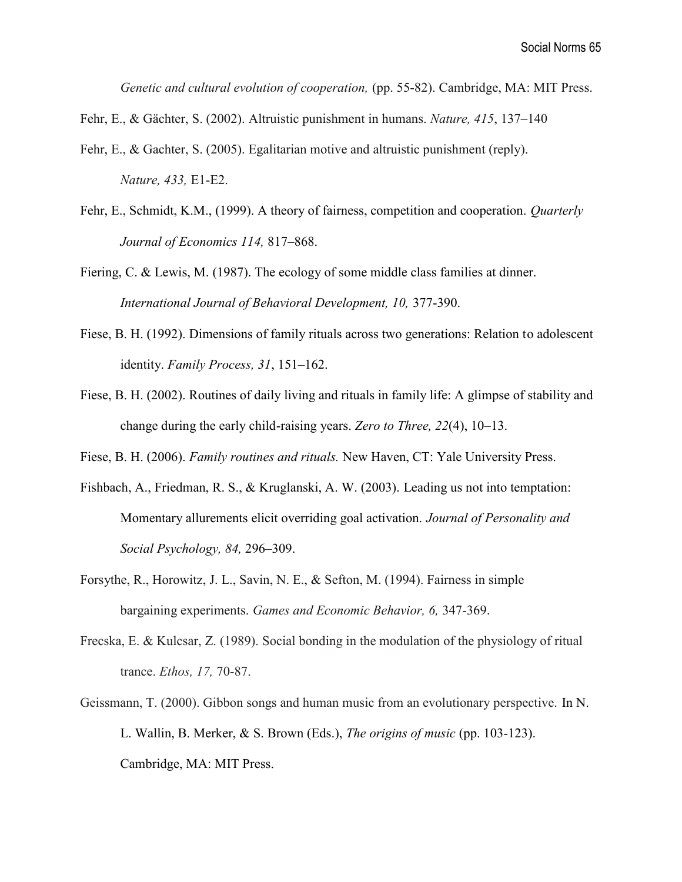*Genetic and cultural evolution of cooperation,* (pp. 55-82). Cambridge, MA: MIT Press.

- Fehr, E., & Gächter, S. (2002). Altruistic punishment in humans. *Nature, 415*, 137–140
- Fehr, E., & Gachter, S. (2005). Egalitarian motive and altruistic punishment (reply). *Nature, 433,* E1-E2.
- Fehr, E., Schmidt, K.M., (1999). A theory of fairness, competition and cooperation. *Quarterly Journal of Economics 114,* 817–868.

Fiering, C. & Lewis, M. (1987). The ecology of some middle class families at dinner. *International Journal of Behavioral Development, 10,* 377-390.

- Fiese, B. H. (1992). Dimensions of family rituals across two generations: Relation to adolescent identity. *Family Process, 31*, 151–162.
- Fiese, B. H. (2002). Routines of daily living and rituals in family life: A glimpse of stability and change during the early child-raising years. *Zero to Three, 22*(4), 10–13.
- Fiese, B. H. (2006). *Family routines and rituals.* New Haven, CT: Yale University Press.
- Fishbach, A., Friedman, R. S., & Kruglanski, A. W. (2003). Leading us not into temptation: Momentary allurements elicit overriding goal activation. *Journal of Personality and Social Psychology, 84,* 296–309.
- Forsythe, R., Horowitz, J. L., Savin, N. E., & Sefton, M. (1994). Fairness in simple bargaining experiments. *Games and Economic Behavior, 6,* 347-369.
- Frecska, E. & Kulcsar, Z. (1989). Social bonding in the modulation of the physiology of ritual trance. *Ethos, 17,* 70-87.
- Geissmann, T. (2000). Gibbon songs and human music from an evolutionary perspective. In N. L. Wallin, B. Merker, & S. Brown (Eds.), *The origins of music* (pp. 103-123). Cambridge, MA: MIT Press.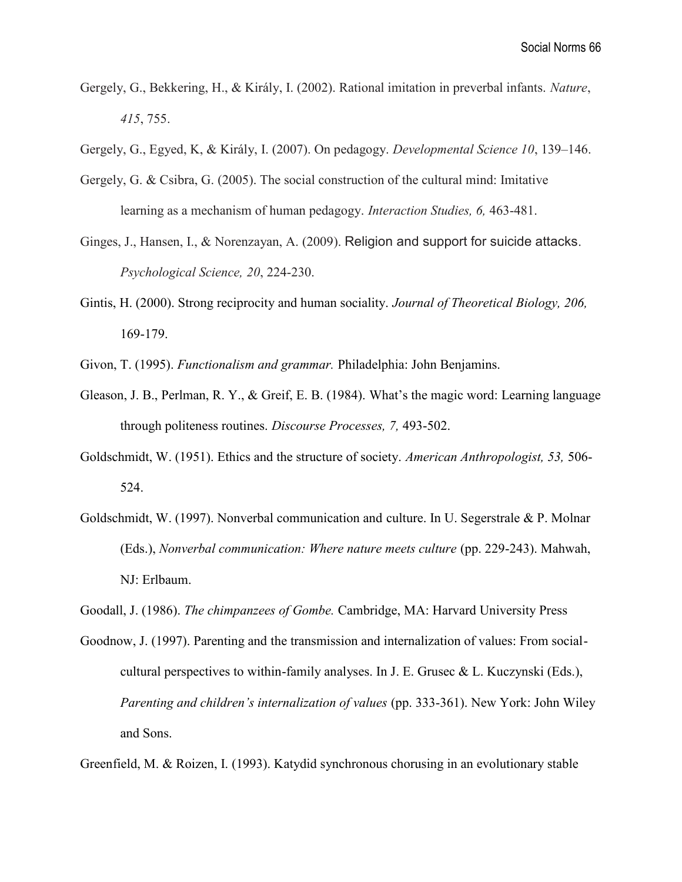- Gergely, G., Bekkering, H., & Király, I. (2002). Rational imitation in preverbal infants. *Nature*, *415*, 755.
- Gergely, G., Egyed, K, & Király, I. (2007). On pedagogy. *Developmental Science 10*, 139–146.
- Gergely, G. & Csibra, G. (2005). The social construction of the cultural mind: Imitative learning as a mechanism of human pedagogy. *Interaction Studies, 6,* 463-481.
- Ginges, J., Hansen, I., & Norenzayan, A. (2009). Religion and support for suicide attacks. *Psychological Science, 20*, 224-230.
- Gintis, H. (2000). Strong reciprocity and human sociality. *Journal of Theoretical Biology, 206,* 169-179.
- Givon, T. (1995). *Functionalism and grammar.* Philadelphia: John Benjamins.
- Gleason, J. B., Perlman, R. Y., & Greif, E. B. (1984). What's the magic word: Learning language through politeness routines. *Discourse Processes, 7,* 493-502.
- Goldschmidt, W. (1951). Ethics and the structure of society. *American Anthropologist, 53,* 506- 524.
- Goldschmidt, W. (1997). Nonverbal communication and culture. In U. Segerstrale & P. Molnar (Eds.), *Nonverbal communication: Where nature meets culture* (pp. 229-243). Mahwah, NJ: Erlbaum.
- Goodall, J. (1986). *The chimpanzees of Gombe.* Cambridge, MA: Harvard University Press
- Goodnow, J. (1997). Parenting and the transmission and internalization of values: From social cultural perspectives to within-family analyses. In J. E. Grusec  $\&$  L. Kuczynski (Eds.), *Parenting and children's internalization of values* (pp. 333-361). New York: John Wiley and Sons.

Greenfield, M. & Roizen, I. (1993). Katydid synchronous chorusing in an evolutionary stable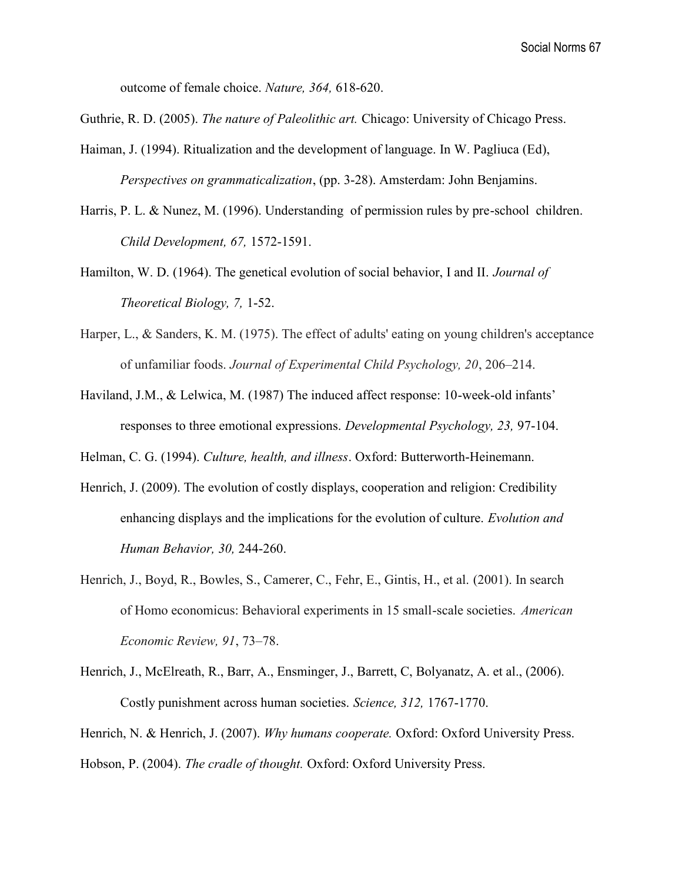outcome of female choice. *Nature, 364,* 618-620.

Guthrie, R. D. (2005). *The nature of Paleolithic art.* Chicago: University of Chicago Press.

- Haiman, J. (1994). Ritualization and the development of language. In W. Pagliuca (Ed), *Perspectives on grammaticalization*, (pp. 3-28). Amsterdam: John Benjamins.
- Harris, P. L. & Nunez, M. (1996). Understanding of permission rules by pre-school children. *Child Development, 67,* 1572-1591.
- Hamilton, W. D. (1964). The genetical evolution of social behavior, I and II. *Journal of Theoretical Biology, 7,* 1-52.
- Harper, L., & Sanders, K. M. (1975). The effect of adults' eating on young children's acceptance of unfamiliar foods. *Journal of Experimental Child Psychology, 20*, 206–214.
- Haviland, J.M., & Lelwica, M. (1987) The induced affect response: 10-week-old infants' responses to three emotional expressions. *Developmental Psychology, 23,* 97-104.

Helman, C. G. (1994). *Culture, health, and illness*. Oxford: Butterworth-Heinemann.

- Henrich, J. (2009). The evolution of costly displays, cooperation and religion: Credibility enhancing displays and the implications for the evolution of culture. *Evolution and Human Behavior, 30,* 244-260.
- Henrich, J., Boyd, R., Bowles, S., Camerer, C., Fehr, E., Gintis, H., et al. (2001). In search of Homo economicus: Behavioral experiments in 15 small-scale societies. *American Economic Review, 91*, 73–78.
- Henrich, J., McElreath, R., Barr, A., Ensminger, J., Barrett, C, Bolyanatz, A. et al., (2006). Costly punishment across human societies. *Science, 312,* 1767-1770.

Henrich, N. & Henrich, J. (2007). *Why humans cooperate.* Oxford: Oxford University Press. Hobson, P. (2004). *The cradle of thought.* Oxford: Oxford University Press.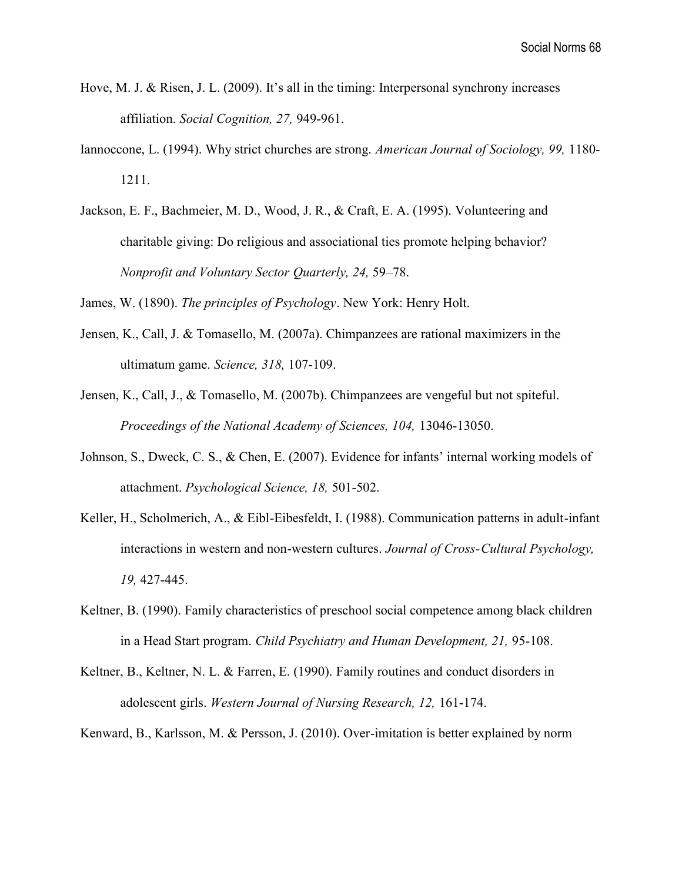- Hove, M. J. & Risen, J. L. (2009). It's all in the timing: Interpersonal synchrony increases affiliation. *Social Cognition, 27,* 949-961.
- Iannoccone, L. (1994). Why strict churches are strong. *American Journal of Sociology, 99,* 1180- 1211.
- Jackson, E. F., Bachmeier, M. D., Wood, J. R., & Craft, E. A. (1995). Volunteering and charitable giving: Do religious and associational ties promote helping behavior? *Nonprofit and Voluntary Sector Quarterly, 24,* 59–78.

James, W. (1890). *The principles of Psychology*. New York: Henry Holt.

- Jensen, K., Call, J. & Tomasello, M. (2007a). Chimpanzees are rational maximizers in the ultimatum game. *Science, 318,* 107-109.
- Jensen, K., Call, J., & Tomasello, M. (2007b). Chimpanzees are vengeful but not spiteful. *Proceedings of the National Academy of Sciences, 104,* 13046-13050.
- Johnson, S., Dweck, C. S., & Chen, E. (2007). Evidence for infants' internal working models of attachment. *Psychological Science, 18,* 501-502.
- Keller, H., Scholmerich, A., & Eibl-Eibesfeldt, I. (1988). Communication patterns in adult-infant interactions in western and non-western cultures. *Journal of Cross-Cultural Psychology, 19,* 427-445.
- Keltner, B. (1990). Family characteristics of preschool social competence among black children in a Head Start program. *Child Psychiatry and Human Development, 21,* 95-108.
- Keltner, B., Keltner, N. L. & Farren, E. (1990). Family routines and conduct disorders in adolescent girls. *Western Journal of Nursing Research, 12,* 161-174.
- Kenward, B., Karlsson, M. & Persson, J. (2010). Over-imitation is better explained by norm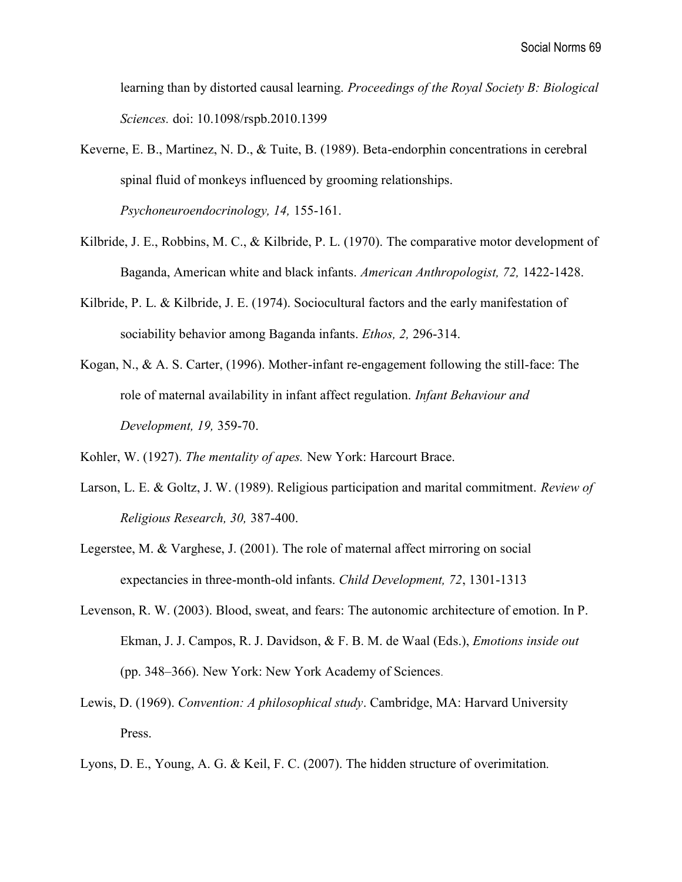learning than by distorted causal learning. *Proceedings of the Royal Society B: Biological Sciences.* doi: 10.1098/rspb.2010.1399

- Keverne, E. B., Martinez, N. D., & Tuite, B. (1989). Beta-endorphin concentrations in cerebral spinal fluid of monkeys influenced by grooming relationships. *Psychoneuroendocrinology, 14,* 155-161.
- Kilbride, J. E., Robbins, M. C., & Kilbride, P. L. (1970). The comparative motor development of Baganda, American white and black infants. *American Anthropologist, 72,* 1422-1428.
- Kilbride, P. L. & Kilbride, J. E. (1974). Sociocultural factors and the early manifestation of sociability behavior among Baganda infants. *Ethos, 2,* 296-314.
- Kogan, N., & A. S. Carter, (1996). Mother-infant re-engagement following the still-face: The role of maternal availability in infant affect regulation. *Infant Behaviour and Development, 19,* 359-70.

Kohler, W. (1927). *The mentality of apes.* New York: Harcourt Brace.

- Larson, L. E. & Goltz, J. W. (1989). Religious participation and marital commitment. *Review of Religious Research, 30,* 387-400.
- Legerstee, M. & Varghese, J. (2001). The role of maternal affect mirroring on social expectancies in three-month-old infants. *Child Development, 72*, 1301-1313
- Levenson, R. W. (2003). Blood, sweat, and fears: The autonomic architecture of emotion. In P. Ekman, J. J. Campos, R. J. Davidson, & F. B. M. de Waal (Eds.), *Emotions inside out* (pp. 348–366). New York: New York Academy of Sciences.
- Lewis, D. (1969). *Convention: A philosophical study*. Cambridge, MA: Harvard University Press.
- Lyons, D. E., Young, A. G. & Keil, F. C. (2007). The hidden structure of overimitation*.*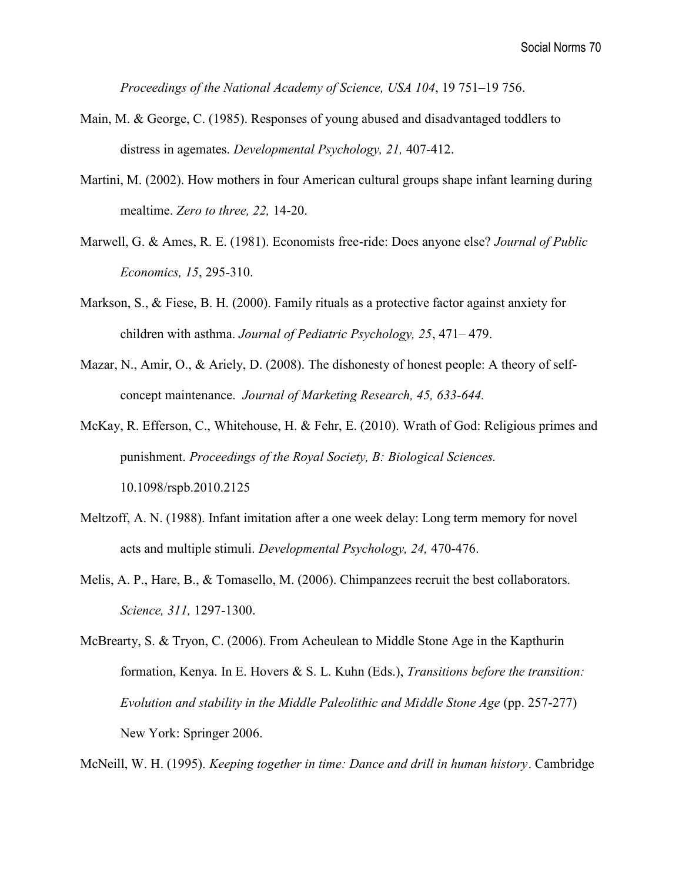*Proceedings of the National Academy of Science, USA 104*, 19 751–19 756.

- Main, M. & George, C. (1985). Responses of young abused and disadvantaged toddlers to distress in agemates. *Developmental Psychology, 21,* 407-412.
- Martini, M. (2002). How mothers in four American cultural groups shape infant learning during mealtime. *Zero to three, 22,* 14-20.
- Marwell, G. & Ames, R. E. (1981). Economists free-ride: Does anyone else? *Journal of Public Economics, 15*, 295-310.
- Markson, S., & Fiese, B. H. (2000). Family rituals as a protective factor against anxiety for children with asthma. *Journal of Pediatric Psychology, 25*, 471– 479.
- Mazar, N., Amir, O., & Ariely, D. (2008). The dishonesty of honest people: A theory of self concept maintenance. *Journal of Marketing Research, 45, 633-644.*
- McKay, R. Efferson, C., Whitehouse, H. & Fehr, E. (2010). Wrath of God: Religious primes and punishment. *Proceedings of the Royal Society, B: Biological Sciences.* 10.1098/rspb.2010.2125
- Meltzoff, A. N. (1988). Infant imitation after a one week delay: Long term memory for novel acts and multiple stimuli. *Developmental Psychology, 24,* 470-476.
- Melis, A. P., Hare, B., & Tomasello, M. (2006). Chimpanzees recruit the best collaborators. *Science, 311,* 1297-1300.
- McBrearty, S. & Tryon, C. (2006). From Acheulean to Middle Stone Age in the Kapthurin formation, Kenya. In E. Hovers & S. L. Kuhn (Eds.), *Transitions before the transition: Evolution and stability in the Middle Paleolithic and Middle Stone Age* (pp. 257-277) New York: Springer 2006.

McNeill, W. H. (1995). *Keeping together in time: Dance and drill in human history*. Cambridge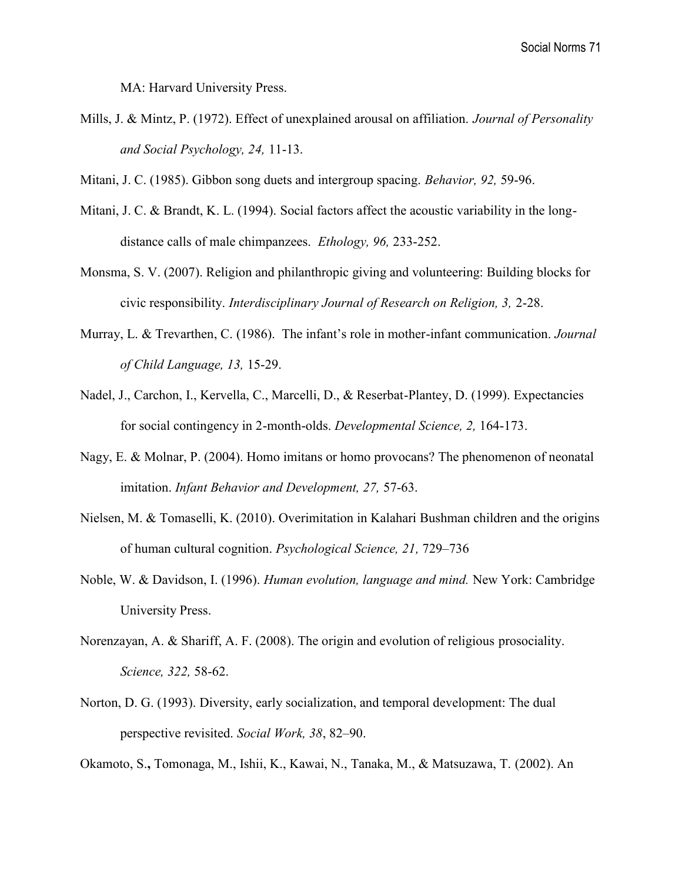MA: Harvard University Press.

Mills, J. & Mintz, P. (1972). Effect of unexplained arousal on affiliation. *Journal of Personality and Social Psychology, 24,* 11-13.

Mitani, J. C. (1985). Gibbon song duets and intergroup spacing. *Behavior, 92,* 59-96.

- Mitani, J. C. & Brandt, K. L. (1994). Social factors affect the acoustic variability in the long distance calls of male chimpanzees. *Ethology, 96,* 233-252.
- Monsma, S. V. (2007). Religion and philanthropic giving and volunteering: Building blocks for civic responsibility. *Interdisciplinary Journal of Research on Religion, 3,* 2-28.
- Murray, L. & Trevarthen, C. (1986). The infant's role in mother-infant communication. *Journal of Child Language, 13,* 15-29.
- Nadel, J., Carchon, I., Kervella, C., Marcelli, D., & Reserbat-Plantey, D. (1999). Expectancies for social contingency in 2-month-olds. *Developmental Science, 2,* 164-173.
- Nagy, E. & Molnar, P. (2004). Homo imitans or homo provocans? The phenomenon of neonatal imitation. *Infant Behavior and Development, 27,* 57-63.
- Nielsen, M. & Tomaselli, K. (2010). Overimitation in Kalahari Bushman children and the origins of human cultural cognition. *Psychological Science, 21,* 729–736
- Noble, W. & Davidson, I. (1996). *Human evolution, language and mind.* New York: Cambridge University Press.
- Norenzayan, A. & Shariff, A. F. (2008). The origin and evolution of religious prosociality. *Science, 322,* 58-62.
- Norton, D. G. (1993). Diversity, early socialization, and temporal development: The dual perspective revisited. *Social Work, 38*, 82–90.

Okamoto, S.**,** Tomonaga, M., Ishii, K., Kawai, N., Tanaka, M., & Matsuzawa, T. (2002). An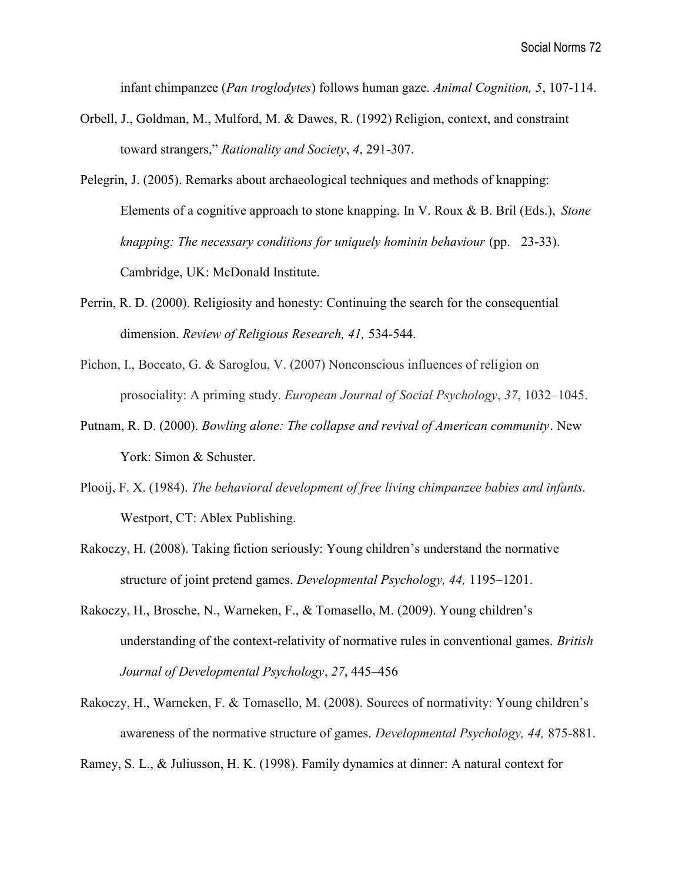infant chimpanzee (*Pan troglodytes*) follows human gaze. *Animal Cognition, 5*, 107-114.

- Orbell, J., Goldman, M., Mulford, M. & Dawes, R. (1992) Religion, context, and constraint toward strangers," *Rationality and Society*, *4*, 291-307.
- Pelegrin, J. (2005). Remarks about archaeological techniques and methods of knapping: Elements of a cognitive approach to stone knapping. In V. Roux & B. Bril (Eds.), *Stone knapping: The necessary conditions for uniquely hominin behaviour* (pp. 23-33). Cambridge, UK: McDonald Institute.
- Perrin, R. D. (2000). Religiosity and honesty: Continuing the search for the consequential dimension. *Review of Religious Research, 41,* 534-544.
- Pichon, I., Boccato, G. & Saroglou, V. (2007) Nonconscious influences of religion on prosociality: A priming study. *European Journal of Social Psychology*, *37*, 1032–1045.
- Putnam, R. D. (2000). *Bowling alone: The collapse and revival of American community*. New York: Simon & Schuster.
- Plooij, F. X. (1984). *The behavioral development of free living chimpanzee babies and infants.* Westport, CT: Ablex Publishing.
- Rakoczy, H. (2008). Taking fiction seriously: Young children's understand the normative structure of joint pretend games. *Developmental Psychology, 44,* 1195–1201.
- Rakoczy, H., Brosche, N., Warneken, F., & Tomasello, M. (2009). Young children's understanding of the context-relativity of normative rules in conventional games. *British Journal of Developmental Psychology*, *27*, 445–456
- Rakoczy, H., Warneken, F. & Tomasello, M. (2008). Sources of normativity: Young children's awareness of the normative structure of games. *Developmental Psychology, 44,* 875-881.

Ramey, S. L., & Juliusson, H. K. (1998). Family dynamics at dinner: A natural context for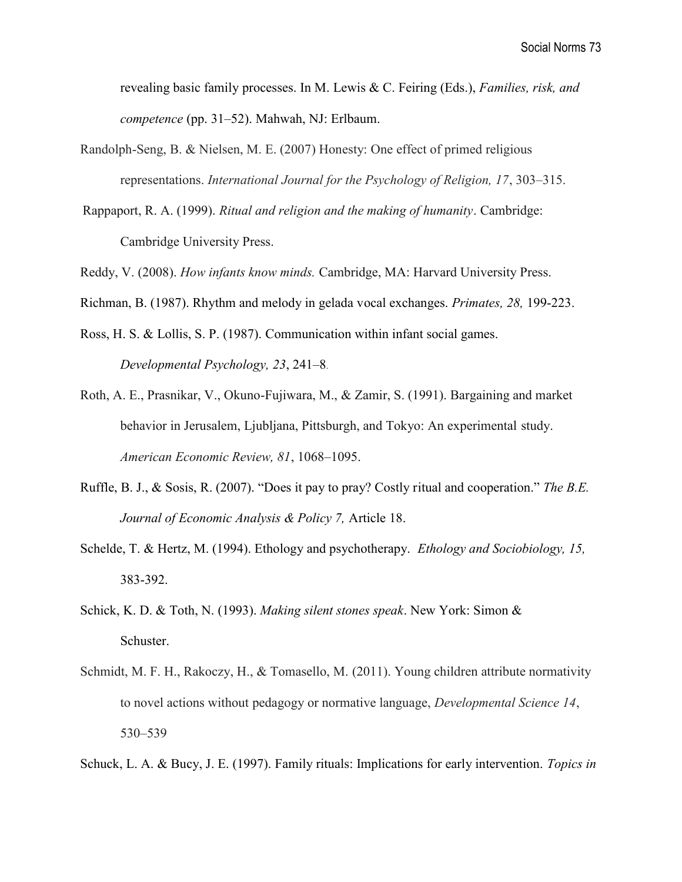revealing basic family processes. In M. Lewis & C. Feiring (Eds.), *Families, risk, and competence* (pp. 31–52). Mahwah, NJ: Erlbaum.

- Randolph-Seng, B. & Nielsen, M. E. (2007) Honesty: One effect of primed religious representations. *International Journal for the Psychology of Religion, 17*, 303–315.
- Rappaport, R. A. (1999). *Ritual and religion and the making of humanity*. Cambridge: Cambridge University Press.
- Reddy, V. (2008). *How infants know minds.* Cambridge, MA: Harvard University Press.
- Richman, B. (1987). Rhythm and melody in gelada vocal exchanges. *Primates, 28,* 199-223.
- Ross, H. S. & Lollis, S. P. (1987). Communication within infant social games. *Developmental Psychology, 23*, 241–8.
- Roth, A. E., Prasnikar, V., Okuno-Fujiwara, M., & Zamir, S. (1991). Bargaining and market behavior in Jerusalem, Ljubljana, Pittsburgh, and Tokyo: An experimental study. *American Economic Review, 81*, 1068–1095.
- Ruffle, B. J., & Sosis, R. (2007). "Does it pay to pray? Costly ritual and cooperation." *The B.E. Journal of Economic Analysis & Policy 7,* Article 18.
- Schelde, T. & Hertz, M. (1994). Ethology and psychotherapy. *Ethology and Sociobiology, 15,* 383-392.
- Schick, K. D. & Toth, N. (1993). *Making silent stones speak*. New York: Simon & Schuster.
- Schmidt, M. F. H., Rakoczy, H., & Tomasello, M. (2011). Young children attribute normativity to novel actions without pedagogy or normative language, *Developmental Science 14*, 530–539
- Schuck, L. A. & Bucy, J. E. (1997). Family rituals: Implications for early intervention. *Topics in*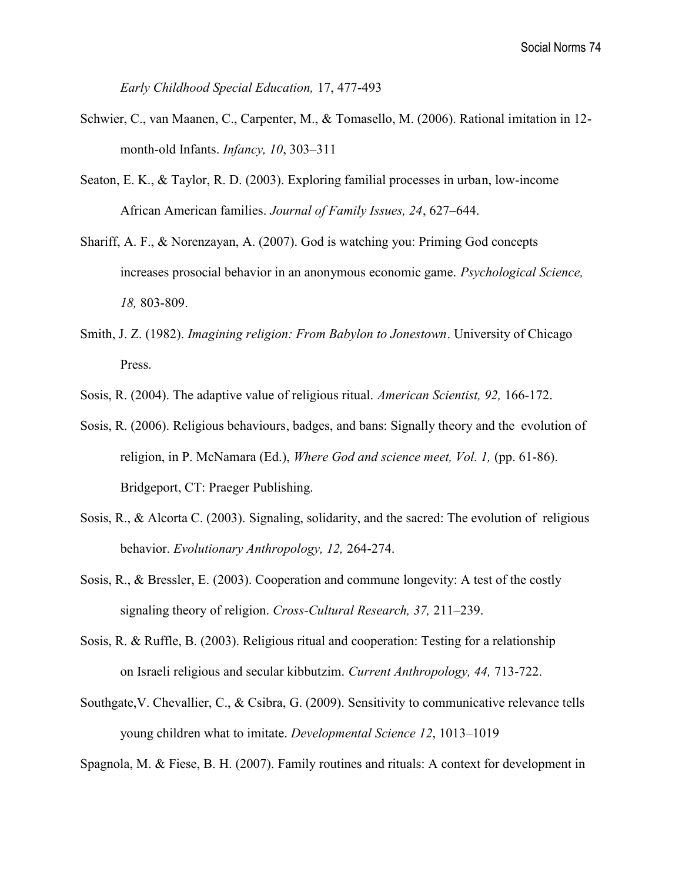*Early Childhood Special Education,* 17, 477-493

- Schwier, C., van Maanen, C., Carpenter, M., & Tomasello, M. (2006). Rational imitation in 12 month-old Infants. *Infancy, 10*, 303–311
- Seaton, E. K., & Taylor, R. D. (2003). Exploring familial processes in urban, low-income African American families. *Journal of Family Issues, 24*, 627–644.
- Shariff, A. F., & Norenzayan, A. (2007). God is watching you: Priming God concepts increases prosocial behavior in an anonymous economic game. *Psychological Science, 18,* 803-809.
- Smith, J. Z. (1982). *Imagining religion: From Babylon to Jonestown*. University of Chicago Press.
- Sosis, R. (2004). The adaptive value of religious ritual. *American Scientist, 92,* 166-172.
- Sosis, R. (2006). Religious behaviours, badges, and bans: Signally theory and the evolution of religion, in P. McNamara (Ed.), *Where God and science meet, Vol. 1,* (pp. 61-86). Bridgeport, CT: Praeger Publishing.
- Sosis, R., & Alcorta C. (2003). Signaling, solidarity, and the sacred: The evolution of religious behavior. *Evolutionary Anthropology, 12,* 264-274.
- Sosis, R., & Bressler, E. (2003). Cooperation and commune longevity: A test of the costly signaling theory of religion. *Cross-Cultural Research, 37,* 211–239.
- Sosis, R. & Ruffle, B. (2003). Religious ritual and cooperation: Testing for a relationship on Israeli religious and secular kibbutzim. *Current Anthropology, 44,* 713-722.
- Southgate,V. Chevallier, C., & Csibra, G. (2009). Sensitivity to communicative relevance tells young children what to imitate. *Developmental Science 12*, 1013–1019

Spagnola, M. & Fiese, B. H. (2007). Family routines and rituals: A context for development in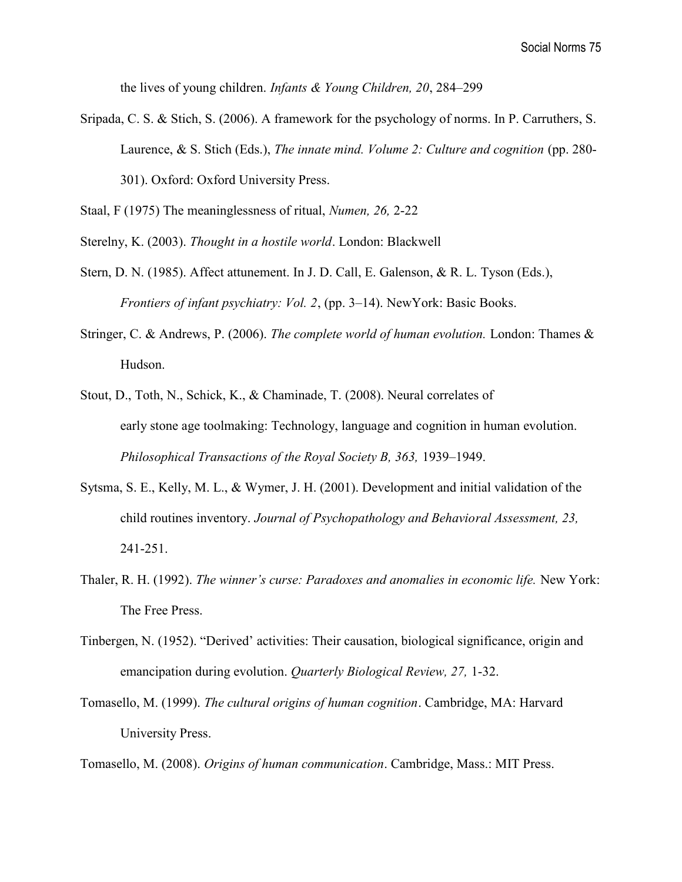the lives of young children. *Infants & Young Children, 20*, 284–299

Sripada, C. S. & Stich, S. (2006). A framework for the psychology of norms. In P. Carruthers, S. Laurence, & S. Stich (Eds.), *The innate mind. Volume 2: Culture and cognition* (pp. 280- 301). Oxford: Oxford University Press.

Staal, F (1975) The meaninglessness of ritual, *Numen, 26,* 2-22

Sterelny, K. (2003). *Thought in a hostile world*. London: Blackwell

- Stern, D. N. (1985). Affect attunement. In J. D. Call, E. Galenson, & R. L. Tyson (Eds.), *Frontiers of infant psychiatry: Vol. 2*, (pp. 3–14). NewYork: Basic Books.
- Stringer, C. & Andrews, P. (2006). *The complete world of human evolution.* London: Thames & Hudson.

Stout, D., Toth, N., Schick, K., & Chaminade, T. (2008). Neural correlates of early stone age toolmaking: Technology, language and cognition in human evolution. *Philosophical Transactions of the Royal Society B, 363,* 1939–1949.

- Sytsma, S. E., Kelly, M. L., & Wymer, J. H. (2001). Development and initial validation of the child routines inventory. *Journal of Psychopathology and Behavioral Assessment, 23,* 241-251.
- Thaler, R. H. (1992). *The winner's curse: Paradoxes and anomalies in economic life.* New York: The Free Press.
- Tinbergen, N. (1952). "Derived' activities: Their causation, biological significance, origin and emancipation during evolution. *Quarterly Biological Review, 27,* 1-32.
- Tomasello, M. (1999). *The cultural origins of human cognition*. Cambridge, MA: Harvard University Press.

Tomasello, M. (2008). *Origins of human communication*. Cambridge, Mass.: MIT Press.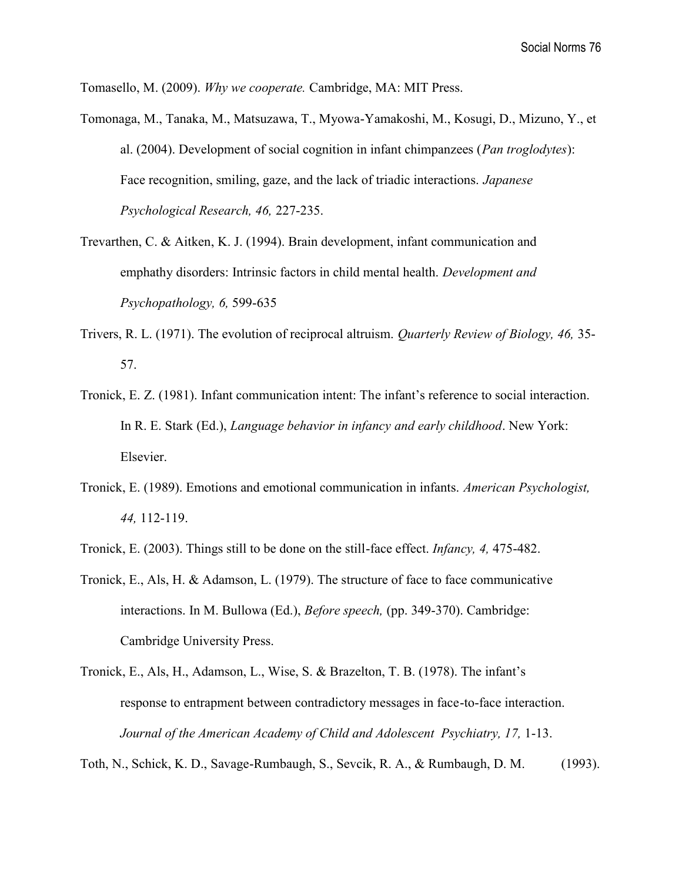Tomasello, M. (2009). *Why we cooperate.* Cambridge, MA: MIT Press.

Tomonaga, M., Tanaka, M., Matsuzawa, T., Myowa-Yamakoshi, M., Kosugi, D., Mizuno, Y., et al. (2004). Development of social cognition in infant chimpanzees (*Pan troglodytes*): Face recognition, smiling, gaze, and the lack of triadic interactions. *Japanese Psychological Research, 46,* 227-235.

Trevarthen, C. & Aitken, K. J. (1994). Brain development, infant communication and emphathy disorders: Intrinsic factors in child mental health. *Development and Psychopathology, 6,* 599-635

- Trivers, R. L. (1971). The evolution of reciprocal altruism. *Quarterly Review of Biology, 46,* 35- 57.
- Tronick, E. Z. (1981). Infant communication intent: The infant's reference to social interaction. In R. E. Stark (Ed.), *Language behavior in infancy and early childhood*. New York: Elsevier.
- Tronick, E. (1989). Emotions and emotional communication in infants. *American Psychologist, 44,* 112-119.
- Tronick, E. (2003). Things still to be done on the still-face effect. *Infancy, 4,* 475-482.
- Tronick, E., Als, H. & Adamson, L. (1979). The structure of face to face communicative interactions. In M. Bullowa (Ed.), *Before speech,* (pp. 349-370). Cambridge: Cambridge University Press.
- Tronick, E., Als, H., Adamson, L., Wise, S. & Brazelton, T. B. (1978). The infant's response to entrapment between contradictory messages in face-to-face interaction. *Journal of the American Academy of Child and Adolescent Psychiatry, 17,* 1-13.

Toth, N., Schick, K. D., Savage-Rumbaugh, S., Sevcik, R. A., & Rumbaugh, D. M. (1993).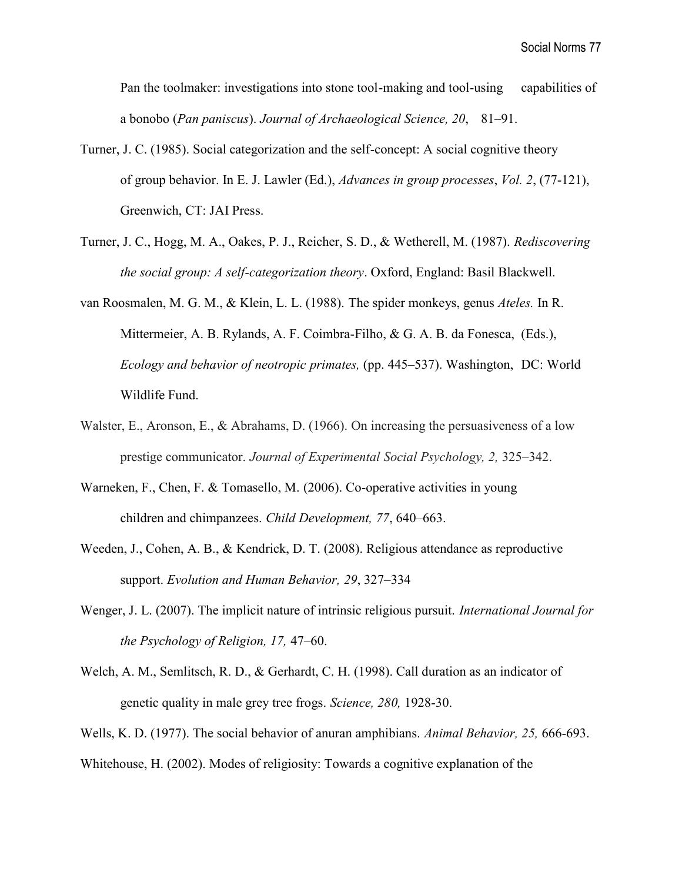Pan the toolmaker: investigations into stone tool-making and tool-using capabilities of a bonobo (*Pan paniscus*). *Journal of Archaeological Science, 20*, 81–91.

- Turner, J. C. (1985). Social categorization and the self-concept: A social cognitive theory of group behavior. In E. J. Lawler (Ed.), *Advances in group processes*, *Vol. 2*, (77-121), Greenwich, CT: JAI Press.
- Turner, J. C., Hogg, M. A., Oakes, P. J., Reicher, S. D., & Wetherell, M. (1987). *Rediscovering the social group: A self-categorization theory*. Oxford, England: Basil Blackwell.
- van Roosmalen, M. G. M., & Klein, L. L. (1988). The spider monkeys, genus *Ateles.* In R. Mittermeier, A. B. Rylands, A. F. Coimbra-Filho, & G. A. B. da Fonesca, (Eds.), *Ecology and behavior of neotropic primates,* (pp. 445–537). Washington, DC: World Wildlife Fund.
- Walster, E., Aronson, E., & Abrahams, D. (1966). On increasing the persuasiveness of a low prestige communicator. *Journal of Experimental Social Psychology, 2,* 325–342.
- Warneken, F., Chen, F. & Tomasello, M. (2006). Co-operative activities in young children and chimpanzees. *Child Development, 77*, 640–663.
- Weeden, J., Cohen, A. B., & Kendrick, D. T. (2008). Religious attendance as reproductive support. *Evolution and Human Behavior, 29*, 327–334
- Wenger, J. L. (2007). The implicit nature of intrinsic religious pursuit. *International Journal for the Psychology of Religion, 17,* 47–60.
- Welch, A. M., Semlitsch, R. D., & Gerhardt, C. H. (1998). Call duration as an indicator of genetic quality in male grey tree frogs. *Science, 280,* 1928-30.
- Wells, K. D. (1977). The social behavior of anuran amphibians. *Animal Behavior, 25,* 666-693.

Whitehouse, H. (2002). Modes of religiosity: Towards a cognitive explanation of the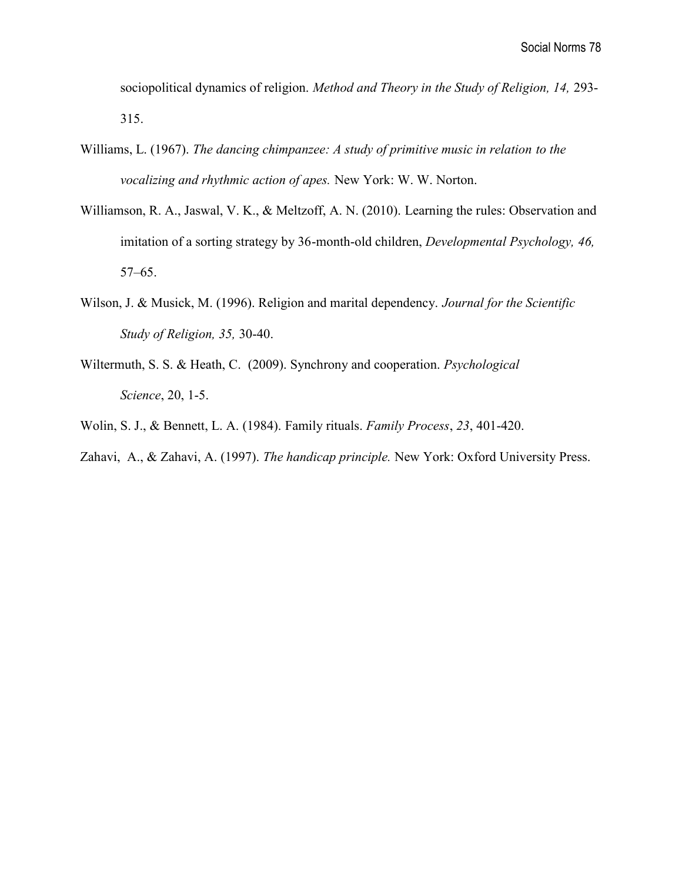sociopolitical dynamics of religion. *Method and Theory in the Study of Religion, 14,* 293- 315.

- Williams, L. (1967). *The dancing chimpanzee: A study of primitive music in relation to the vocalizing and rhythmic action of apes.* New York: W. W. Norton.
- Williamson, R. A., Jaswal, V. K., & Meltzoff, A. N. (2010). Learning the rules: Observation and imitation of a sorting strategy by 36-month-old children, *Developmental Psychology, 46,* 57–65.
- Wilson, J. & Musick, M. (1996). Religion and marital dependency. *Journal for the Scientific Study of Religion, 35,* 30-40.
- Wiltermuth, S. S. & Heath, C. (2009). Synchrony and cooperation. *Psychological Science*, 20, 1-5.
- Wolin, S. J., & Bennett, L. A. (1984). Family rituals. *Family Process*, *23*, 401-420.
- Zahavi, A., & Zahavi, A. (1997). *The handicap principle.* New York: Oxford University Press.